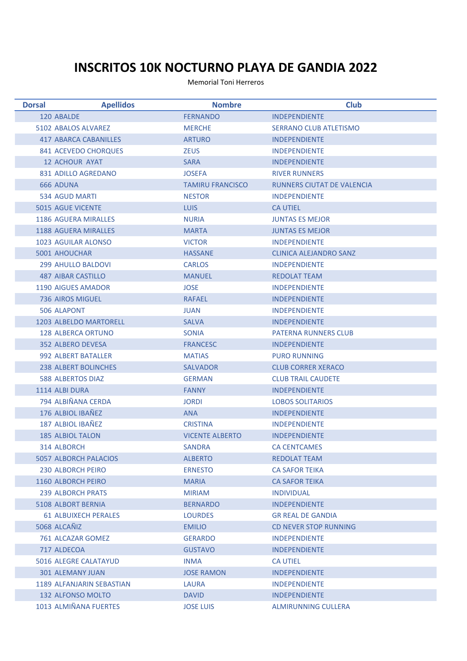## **INSCRITOS 10K NOCTURNO PLAYA DE GANDIA 2022**

Memorial Toni Herreros

| <b>Dorsal</b> | <b>Apellidos</b>                 | <b>Nombre</b>           | <b>Club</b>                |
|---------------|----------------------------------|-------------------------|----------------------------|
|               | 120 ABALDE                       | <b>FERNANDO</b>         | <b>INDEPENDIENTE</b>       |
|               | 5102 ABALOS ALVAREZ              | <b>MERCHE</b>           | SERRANO CLUB ATLETISMO     |
|               | 417 ABARCA CABANILLES            | <b>ARTURO</b>           | <b>INDEPENDIENTE</b>       |
|               | 841 ACEVEDO CHORQUES             | <b>ZEUS</b>             | <b>INDEPENDIENTE</b>       |
|               | <b>12 ACHOUR AYAT</b>            | <b>SARA</b>             | <b>INDEPENDIENTE</b>       |
|               | 831 ADILLO AGREDANO              | <b>JOSEFA</b>           | <b>RIVER RUNNERS</b>       |
|               | 666 ADUNA                        | <b>TAMIRU FRANCISCO</b> | RUNNERS CIUTAT DE VALENCIA |
|               | 534 AGUD MARTI                   | <b>NESTOR</b>           | <b>INDEPENDIENTE</b>       |
|               | <b>5015 AGUE VICENTE</b>         | LUIS.                   | CA UTIEL                   |
|               | 1186 AGUERA MIRALLES             | <b>NURIA</b>            | <b>JUNTAS ES MEJOR</b>     |
|               | 1188 AGUERA MIRALLES             | <b>MARTA</b>            | <b>JUNTAS ES MEJOR</b>     |
|               | 1023 AGUILAR ALONSO              | <b>VICTOR</b>           | <b>INDEPENDIENTE</b>       |
|               | <b>5001 AHOUCHAR</b>             | <b>HASSANE</b>          | CLINICA ALEJANDRO SANZ     |
|               | <b>299 AHULLO BALDOVI</b>        | <b>CARLOS</b>           | <b>INDEPENDIENTE</b>       |
|               | 487 AIBAR CASTILLO               | <b>MANUEL</b>           | REDOLAT TEAM               |
|               | <b>1190 AIGUES AMADOR</b>        | <b>JOSE</b>             | <b>INDEPENDIENTE</b>       |
|               | <b>736 AIROS MIGUEL</b>          | <b>RAFAEL</b>           | <b>INDEPENDIENTE</b>       |
|               | 506 ALAPONT                      | <b>JUAN</b>             | <b>INDEPENDIENTE</b>       |
|               | 1203 ALBELDO MARTORELL           | <b>SALVA</b>            | <b>INDEPENDIENTE</b>       |
|               | 128 ALBERCA ORTUNO               | <b>SONIA</b>            | PATERNA RUNNERS CLUB       |
|               | 352 ALBERO DEVESA                | <b>FRANCESC</b>         | <b>INDEPENDIENTE</b>       |
|               | 992 ALBERT BATALLER              | <b>MATIAS</b>           | PURO RUNNING               |
|               | <b>238 ALBERT BOLINCHES</b>      | SALVADOR                | <b>CLUB CORRER XERACO</b>  |
|               | <b>588 ALBERTOS DIAZ</b>         | <b>GERMAN</b>           | <b>CLUB TRAIL CAUDETE</b>  |
|               | 1114 ALBI DURA                   | <b>FANNY</b>            | <b>INDEPENDIENTE</b>       |
|               | 794 ALBIÑANA CERDA               | <b>JORDI</b>            | <b>LOBOS SOLITARIOS</b>    |
|               | 176 ALBIOL IBAÑEZ                | ANA                     | <b>INDEPENDIENTE</b>       |
|               | 187 ALBIOL IBAÑEZ                | <b>CRISTINA</b>         | <b>INDEPENDIENTE</b>       |
|               | <b>185 ALBIOL TALON</b>          | <b>VICENTE ALBERTO</b>  | <b>INDEPENDIENTE</b>       |
|               | 314 ALBORCH                      | <b>SANDRA</b>           | <b>CA CENTCAMES</b>        |
|               | 5057 ALBORCH PALACIOS            | <b>ALBERTO</b>          | REDOLAT TEAM               |
|               | <b>230 ALBORCH PEIRO</b>         | <b>ERNESTO</b>          | <b>CA SAFOR TEIKA</b>      |
|               | 1160 ALBORCH PEIRO               | <b>MARIA</b>            | <b>CA SAFOR TEIKA</b>      |
|               | 239 ALBORCH PRATS                | <b>MIRIAM</b>           | <i><b>INDIVIDUAL</b></i>   |
|               | 5108 ALBORT BERNIA               | <b>BERNARDO</b>         | <b>INDEPENDIENTE</b>       |
|               | <b>61 ALBUIXECH PERALES</b>      | <b>LOURDES</b>          | <b>GR REAL DE GANDIA</b>   |
|               | 5068 ALCAÑIZ                     | <b>EMILIO</b>           | CD NEVER STOP RUNNING      |
|               | 761 ALCAZAR GOMEZ                | <b>GERARDO</b>          | <b>INDEPENDIENTE</b>       |
|               | 717 ALDECOA                      | <b>GUSTAVO</b>          | <b>INDEPENDIENTE</b>       |
|               | <b>5016 ALEGRE CALATAYUD</b>     | INMA                    | CA UTIEL                   |
|               | 301 ALEMANY JUAN                 | <b>JOSE RAMON</b>       | <b>INDEPENDIENTE</b>       |
|               | <b>1189 ALFANJARIN SEBASTIAN</b> | LAURA                   | <b>INDEPENDIENTE</b>       |
|               | 132 ALFONSO MOLTO                | <b>DAVID</b>            | <b>INDEPENDIENTE</b>       |
|               | 1013 ALMIÑANA FUERTES            | <b>JOSE LUIS</b>        | ALMIRUNNING CULLERA        |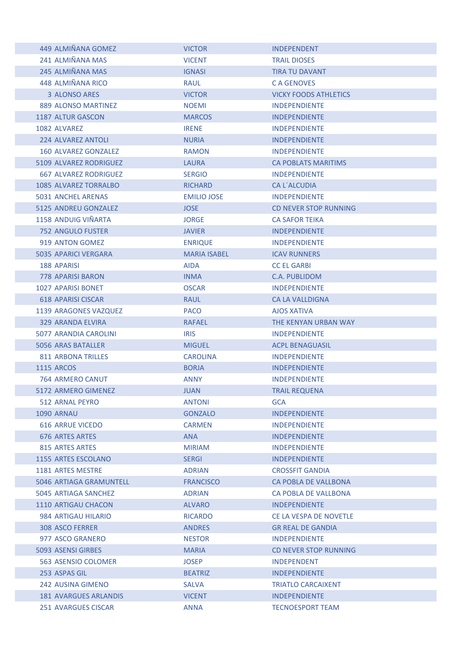| 449 ALMIÑANA GOMEZ           | <b>VICTOR</b>       | <b>INDEPENDENT</b>           |
|------------------------------|---------------------|------------------------------|
| 241 ALMIÑANA MAS             | <b>VICENT</b>       | <b>TRAIL DIOSES</b>          |
| 245 ALMIÑANA MAS             | <b>IGNASI</b>       | TIRA TU DAVANT               |
| 448 ALMIÑANA RICO            | RAUL                | C A GENOVES                  |
| 3 ALONSO ARES                | <b>VICTOR</b>       | <b>VICKY FOODS ATHLETICS</b> |
| 889 ALONSO MARTINEZ          | <b>NOEMI</b>        | <b>INDEPENDIENTE</b>         |
| 1187 ALTUR GASCON            | <b>MARCOS</b>       | <b>INDEPENDIENTE</b>         |
| 1082 ALVAREZ                 | <b>IRENE</b>        | <b>INDEPENDIENTE</b>         |
| 224 ALVAREZ ANTOLI           | <b>NURIA</b>        | <b>INDEPENDIENTE</b>         |
| 160 ALVAREZ GONZALEZ         | <b>RAMON</b>        | <b>INDEPENDIENTE</b>         |
| 5109 ALVAREZ RODRIGUEZ       | LAURA               | <b>CA POBLATS MARITIMS</b>   |
| <b>667 ALVAREZ RODRIGUEZ</b> | <b>SERGIO</b>       | <b>INDEPENDIENTE</b>         |
| 1085 ALVAREZ TORRALBO        | <b>RICHARD</b>      | CA L'ALCUDIA                 |
| 5031 ANCHEL ARENAS           | <b>EMILIO JOSE</b>  | <b>INDEPENDIENTE</b>         |
| 5125 ANDREU GONZALEZ         | <b>JOSE</b>         | CD NEVER STOP RUNNING        |
| 1158 ANDUIG VIÑARTA          | <b>JORGE</b>        | <b>CA SAFOR TEIKA</b>        |
| <b>752 ANGULO FUSTER</b>     | <b>JAVIER</b>       | <b>INDEPENDIENTE</b>         |
| 919 ANTON GOMEZ              | <b>ENRIQUE</b>      | <b>INDEPENDIENTE</b>         |
| 5035 APARICI VERGARA         | <b>MARIA ISABEL</b> | <b>ICAV RUNNERS</b>          |
| <b>188 APARISI</b>           | <b>AIDA</b>         | <b>CC EL GARBI</b>           |
| 778 APARISI BARON            | <b>INMA</b>         | C.A. PUBLIDOM                |
| 1027 APARISI BONET           | <b>OSCAR</b>        | <b>INDEPENDIENTE</b>         |
| 618 APARISI CISCAR           | RAUL                | CA LA VALLDIGNA              |
| 1139 ARAGONES VAZQUEZ        | <b>PACO</b>         | AJOS XATIVA                  |
| 329 ARANDA ELVIRA            | RAFAEL              | THE KENYAN URBAN WAY         |
| 5077 ARANDIA CAROLINI        | <b>IRIS</b>         | <b>INDEPENDIENTE</b>         |
| 5056 ARAS BATALLER           | <b>MIGUEL</b>       | <b>ACPL BENAGUASIL</b>       |
| 811 ARBONA TRILLES           | <b>CAROLINA</b>     | <b>INDEPENDIENTE</b>         |
| 1115 ARCOS                   | <b>BORJA</b>        | <b>INDEPENDIENTE</b>         |
| 764 ARMERO CANUT             | ANNY                | <b>INDEPENDIENTE</b>         |
| 5172 ARMERO GIMENEZ          | <b>JUAN</b>         | <b>TRAIL REQUENA</b>         |
| 512 ARNAL PEYRO              | <b>ANTONI</b>       | <b>GCA</b>                   |
| 1090 ARNAU                   | <b>GONZALO</b>      | <b>INDEPENDIENTE</b>         |
| <b>616 ARRUE VICEDO</b>      | <b>CARMEN</b>       | <b>INDEPENDIENTE</b>         |
| 676 ARTES ARTES              | <b>ANA</b>          | <b>INDEPENDIENTE</b>         |
| 815 ARTES ARTES              | <b>MIRIAM</b>       | <b>INDEPENDIENTE</b>         |
| 1155 ARTES ESCOLANO          | <b>SERGI</b>        | <b>INDEPENDIENTE</b>         |
| 1181 ARTES MESTRE            | <b>ADRIAN</b>       | <b>CROSSFIT GANDIA</b>       |
| 5046 ARTIAGA GRAMUNTELL      | <b>FRANCISCO</b>    | CA POBLA DE VALLBONA         |
| 5045 ARTIAGA SANCHEZ         | <b>ADRIAN</b>       | CA POBLA DE VALLBONA         |
| 1110 ARTIGAU CHACON          | <b>ALVARO</b>       | <b>INDEPENDIENTE</b>         |
| 984 ARTIGAU HILARIO          | <b>RICARDO</b>      | CE LA VESPA DE NOVETLE       |
| 308 ASCO FERRER              | <b>ANDRES</b>       | <b>GR REAL DE GANDIA</b>     |
| 977 ASCO GRANERO             | <b>NESTOR</b>       | <b>INDEPENDIENTE</b>         |
| 5093 ASENSI GIRBES           | <b>MARIA</b>        | CD NEVER STOP RUNNING        |
| 563 ASENSIO COLOMER          | <b>JOSEP</b>        | <b>INDEPENDENT</b>           |
| 253 ASPAS GIL                | <b>BEATRIZ</b>      | <b>INDEPENDIENTE</b>         |
| 242 AUSINA GIMENO            | SALVA               | <b>TRIATLO CARCAIXENT</b>    |
| <b>181 AVARGUES ARLANDIS</b> | <b>VICENT</b>       | <b>INDEPENDIENTE</b>         |
| 251 AVARGUES CISCAR          | ANNA                | <b>TECNOESPORT TEAM</b>      |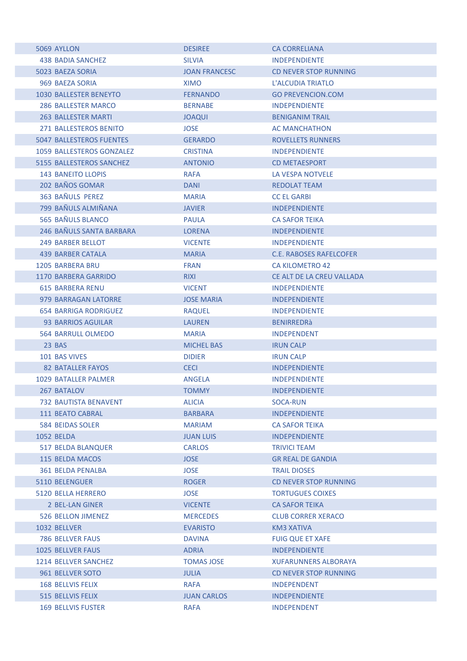| 5069 AYLLON                     | <b>DESIREE</b>       | <b>CA CORRELIANA</b>        |
|---------------------------------|----------------------|-----------------------------|
| <b>438 BADIA SANCHEZ</b>        | <b>SILVIA</b>        | <b>INDEPENDIENTE</b>        |
| 5023 BAEZA SORIA                | <b>JOAN FRANCESC</b> | CD NEVER STOP RUNNING       |
| 969 BAEZA SORIA                 | <b>XIMO</b>          | L'ALCUDIA TRIATLO           |
| 1030 BALLESTER BENEYTO          | <b>FERNANDO</b>      | <b>GO PREVENCION.COM</b>    |
| 286 BALLESTER MARCO             | <b>BERNABE</b>       | <b>INDEPENDIENTE</b>        |
| <b>263 BALLESTER MARTI</b>      | <b>JOAQUI</b>        | <b>BENIGANIM TRAIL</b>      |
| 271 BALLESTEROS BENITO          | JOSE                 | <b>AC MANCHATHON</b>        |
| <b>5047 BALLESTEROS FUENTES</b> | <b>GERARDO</b>       | ROVELLETS RUNNERS           |
| 1059 BALLESTEROS GONZALEZ       | <b>CRISTINA</b>      | <b>INDEPENDIENTE</b>        |
| 5155 BALLESTEROS SANCHEZ        | <b>ANTONIO</b>       | <b>CD METAESPORT</b>        |
| <b>143 BANEITO LLOPIS</b>       | <b>RAFA</b>          | LA VESPA NOTVELE            |
| 202 BAÑOS GOMAR                 | DANI                 | REDOLAT TEAM                |
| 363 BAÑULS PEREZ                | <b>MARIA</b>         | <b>CC EL GARBI</b>          |
| 799 BAÑULS ALMIÑANA             | <b>JAVIER</b>        | <b>INDEPENDIENTE</b>        |
| 565 BAÑULS BLANCO               | <b>PAULA</b>         | <b>CA SAFOR TEIKA</b>       |
| 246 BAÑULS SANTA BARBARA        | LORENA               | <b>INDEPENDIENTE</b>        |
| <b>249 BARBER BELLOT</b>        | <b>VICENTE</b>       | <b>INDEPENDIENTE</b>        |
| <b>439 BARBER CATALA</b>        | <b>MARIA</b>         | C.E. RABOSES RAFELCOFER     |
| 1205 BARBERA BRU                | <b>FRAN</b>          | CA KILOMETRO 42             |
| 1170 BARBERA GARRIDO            | <b>RIXI</b>          | CE ALT DE LA CREU VALLADA   |
| <b>615 BARBERA RENU</b>         | <b>VICENT</b>        | <b>INDEPENDIENTE</b>        |
| 979 BARRAGAN LATORRE            | <b>JOSE MARIA</b>    | <b>INDEPENDIENTE</b>        |
| 654 BARRIGA RODRIGUEZ           | RAQUEL               | <b>INDEPENDIENTE</b>        |
| <b>93 BARRIOS AGUILAR</b>       | LAUREN               | BENIRREDRà                  |
| 564 BARRULL OLMEDO              | <b>MARIA</b>         | <b>INDEPENDENT</b>          |
| 23 BAS                          | <b>MICHEL BAS</b>    | <b>IRUN CALP</b>            |
| 101 BAS VIVES                   | <b>DIDIER</b>        | <b>IRUN CALP</b>            |
| <b>82 BATALLER FAYOS</b>        | <b>CECI</b>          | <b>INDEPENDIENTE</b>        |
| 1029 BATALLER PALMER            | ANGELA               | <b>INDEPENDIENTE</b>        |
| 267 BATALOV                     | TOMMY                | <b>INDEPENDIENTE</b>        |
| <b>732 BAUTISTA BENAVENT</b>    | ALICIA               | SOCA-RUN                    |
| 111 BEATO CABRAL                | BARBARA              | <b>INDEPENDIENTE</b>        |
| 584 BEIDAS SOLER                | <b>MARIAM</b>        | <b>CA SAFOR TEIKA</b>       |
| 1052 BELDA                      | <b>JUAN LUIS</b>     | <b>INDEPENDIENTE</b>        |
| 517 BELDA BLANQUER              | <b>CARLOS</b>        | <b>TRIVICI TEAM</b>         |
| 115 BELDA MACOS                 | <b>JOSE</b>          | <b>GR REAL DE GANDIA</b>    |
| <b>361 BELDA PENALBA</b>        | <b>JOSE</b>          | <b>TRAIL DIOSES</b>         |
| 5110 BELENGUER                  | <b>ROGER</b>         | CD NEVER STOP RUNNING       |
| <b>5120 BELLA HERRERO</b>       | <b>JOSE</b>          | <b>TORTUGUES COIXES</b>     |
| 2 BEL-LAN GINER                 | <b>VICENTE</b>       | <b>CA SAFOR TEIKA</b>       |
| 526 BELLON JIMENEZ              | <b>MERCEDES</b>      | <b>CLUB CORRER XERACO</b>   |
| 1032 BELLVER                    | <b>EVARISTO</b>      | KM3 XATIVA                  |
| 786 BELLVER FAUS                | DAVINA               | <b>FUIG QUE ET XAFE</b>     |
| <b>1025 BELLVER FAUS</b>        | <b>ADRIA</b>         | <b>INDEPENDIENTE</b>        |
| <b>1214 BELLVER SANCHEZ</b>     | <b>TOMAS JOSE</b>    | <b>XUFARUNNERS ALBORAYA</b> |
| 961 BELLVER SOTO                | <b>JULIA</b>         | CD NEVER STOP RUNNING       |
| 168 BELLVIS FELIX               | <b>RAFA</b>          | <b>INDEPENDENT</b>          |
| 515 BELLVIS FELIX               | <b>JUAN CARLOS</b>   | <b>INDEPENDIENTE</b>        |
| <b>169 BELLVIS FUSTER</b>       | RAFA                 | <b>INDEPENDENT</b>          |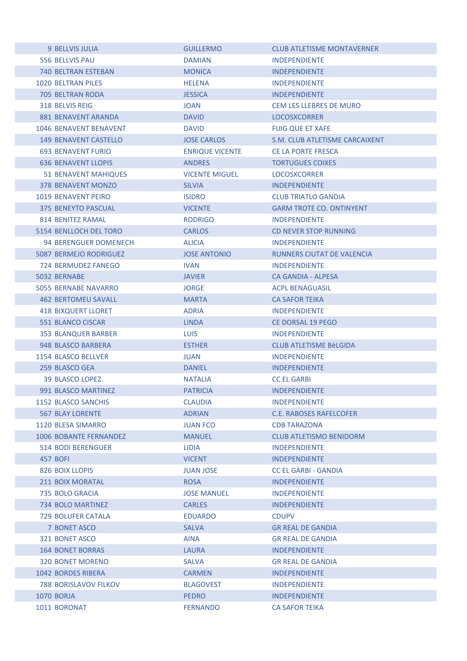| 9 BELLVIS JULIA              | <b>GUILLERMO</b>       | <b>CLUB ATLETISME MONTAVERNER</b> |  |
|------------------------------|------------------------|-----------------------------------|--|
| 556 BELLVIS PAU              | <b>DAMIAN</b>          | <b>INDEPENDIENTE</b>              |  |
| <b>740 BELTRAN ESTEBAN</b>   | <b>MONICA</b>          | <b>INDEPENDIENTE</b>              |  |
| <b>1020 BELTRAN PILES</b>    | <b>HELENA</b>          | <b>INDEPENDIENTE</b>              |  |
| 705 BELTRAN RODA             | <b>JESSICA</b>         | <b>INDEPENDIENTE</b>              |  |
| 318 BELVIS REIG              | JOAN                   | <b>CEM LES LLEBRES DE MURO</b>    |  |
| 881 BENAVENT ARANDA          | <b>DAVID</b>           | LOCOSXCORRER                      |  |
| 1046 BENAVENT BENAVENT       | <b>DAVID</b>           | <b>FUIG QUE ET XAFE</b>           |  |
| 149 BENAVENT CASTELLO        | <b>JOSE CARLOS</b>     | S.M. CLUB ATLETISME CARCAIXENT    |  |
| <b>693 BENAVENT FURIO</b>    | <b>ENRIQUE VICENTE</b> | CE LA PORTE FRESCA                |  |
| <b>636 BENAVENT LLOPIS</b>   | <b>ANDRES</b>          | <b>TORTUGUES COIXES</b>           |  |
| 51 BENAVENT MAHIQUES         | <b>VICENTE MIGUEL</b>  | <b>LOCOSXCORRER</b>               |  |
| 378 BENAVENT MONZO           | <b>SILVIA</b>          | <b>INDEPENDIENTE</b>              |  |
| 1019 BENAVENT PEIRO          | <b>ISIDRO</b>          | <b>CLUB TRIATLO GANDIA</b>        |  |
| 375 BENEYTO PASCUAL          | <b>VICENTE</b>         | <b>GARM TROTE CO. ONTINYENT</b>   |  |
| 814 BENITEZ RAMAL            | <b>RODRIGO</b>         | <b>INDEPENDIENTE</b>              |  |
| 5154 BENLLOCH DEL TORO       | <b>CARLOS</b>          | CD NEVER STOP RUNNING             |  |
| <b>94 BERENGUER DOMENECH</b> | <b>ALICIA</b>          | <b>INDEPENDIENTE</b>              |  |
| 5087 BERMEJO RODRIGUEZ       | <b>JOSE ANTONIO</b>    | RUNNERS CIUTAT DE VALENCIA        |  |
| 724 BERMUDEZ FANEGO          | <b>IVAN</b>            | <b>INDEPENDIENTE</b>              |  |
| 5032 BERNABE                 | <b>JAVIER</b>          | CA GANDIA - ALPESA                |  |
| 5055 BERNABE NAVARRO         | <b>JORGE</b>           | <b>ACPL BENAGUASIL</b>            |  |
| <b>462 BERTOMEU SAVALL</b>   | <b>MARTA</b>           | <b>CA SAFOR TEIKA</b>             |  |
| 418 BIXQUERT LLORET          | ADRIA                  | <b>INDEPENDIENTE</b>              |  |
| 551 BLANCO CISCAR            | <b>LINDA</b>           | CE DORSAL 19 PEGO                 |  |
| <b>353 BLANQUER BARBER</b>   | <b>LUIS</b>            | <b>INDEPENDIENTE</b>              |  |
| 948 BLASCO BARBERA           | <b>ESTHER</b>          | <b>CLUB ATLETISME BèLGIDA</b>     |  |
| 1154 BLASCO BELLVER          | JUAN                   | <b>INDEPENDIENTE</b>              |  |
| 259 BLASCO GEA               | <b>DANIEL</b>          | <b>INDEPENDIENTE</b>              |  |
| <b>39 BLASCO LOPEZ</b>       | <b>NATALIA</b>         | <b>CC EL GARBI</b>                |  |
| 991 BLASCO MARTINEZ          | <b>PATRICIA</b>        | <b>INDEPENDIENTE</b>              |  |
| <b>1152 BLASCO SANCHIS</b>   | <b>CLAUDIA</b>         | <b>INDEPENDIENTE</b>              |  |
| 567 BLAY LORENTE             | <b>ADRIAN</b>          | C.E. RABOSES RAFELCOFER           |  |
| 1120 BLESA SIMARRO           | <b>JUAN FCO</b>        | <b>CDB TARAZONA</b>               |  |
| 1006 BOBANTE FERNANDEZ       | <b>MANUEL</b>          | CLUB ATLETISMO BENIDORM           |  |
| 514 BODI BERENGUER           | LIDIA                  | <b>INDEPENDIENTE</b>              |  |
| 457 BOFI                     | <b>VICENT</b>          | <b>INDEPENDIENTE</b>              |  |
| 826 BOIX LLOPIS              | <b>JUAN JOSE</b>       | <b>CC EL GARBI - GANDIA</b>       |  |
| 211 BOIX MORATAL             | ROSA                   | <b>INDEPENDIENTE</b>              |  |
| 735 BOLO GRACIA              | <b>JOSE MANUEL</b>     | <b>INDEPENDIENTE</b>              |  |
| 734 BOLO MARTINEZ            | <b>CARLES</b>          | <b>INDEPENDIENTE</b>              |  |
| <b>729 BOLUFER CATALA</b>    | <b>EDUARDO</b>         | <b>CDUPV</b>                      |  |
| 7 BONET ASCO                 | <b>SALVA</b>           | <b>GR REAL DE GANDIA</b>          |  |
| 321 BONET ASCO               | AINA                   | <b>GR REAL DE GANDIA</b>          |  |
| <b>164 BONET BORRAS</b>      | <b>LAURA</b>           | <b>INDEPENDIENTE</b>              |  |
| <b>320 BONET MORENO</b>      | <b>SALVA</b>           | <b>GR REAL DE GANDIA</b>          |  |
| 1042 BORDES RIBERA           | <b>CARMEN</b>          | <b>INDEPENDIENTE</b>              |  |
| 788 BORISLAVOV FILKOV        | <b>BLAGOVEST</b>       | <b>INDEPENDIENTE</b>              |  |
| 1070 BORJA                   | <b>PEDRO</b>           | <b>INDEPENDIENTE</b>              |  |
| 1011 BORONAT                 | <b>FERNANDO</b>        | CA SAFOR TEIKA                    |  |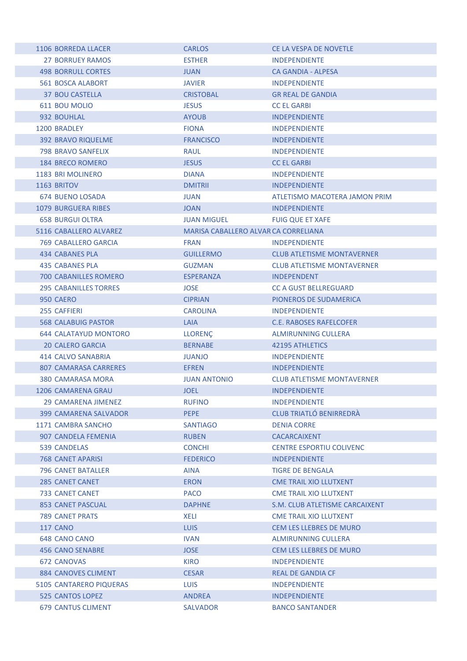| 1106 BORREDA LLACER          | <b>CARLOS</b>                        | CE LA VESPA DE NOVETLE            |
|------------------------------|--------------------------------------|-----------------------------------|
| <b>27 BORRUEY RAMOS</b>      | <b>ESTHER</b>                        | <b>INDEPENDIENTE</b>              |
| <b>498 BORRULL CORTES</b>    | JUAN                                 | CA GANDIA - ALPESA                |
| <b>561 BOSCA ALABORT</b>     | <b>JAVIER</b>                        | <b>INDEPENDIENTE</b>              |
| 37 BOU CASTELLA              | <b>CRISTOBAL</b>                     | <b>GR REAL DE GANDIA</b>          |
| 611 BOU MOLIO                | <b>JESUS</b>                         | <b>CC EL GARBI</b>                |
| 932 BOUHLAL                  | <b>AYOUB</b>                         | <b>INDEPENDIENTE</b>              |
| 1200 BRADLEY                 | <b>FIONA</b>                         | <b>INDEPENDIENTE</b>              |
| <b>392 BRAVO RIQUELME</b>    | <b>FRANCISCO</b>                     | <b>INDEPENDIENTE</b>              |
| 798 BRAVO SANFELIX           | RAUL                                 | <b>INDEPENDIENTE</b>              |
| <b>184 BRECO ROMERO</b>      | <b>JESUS</b>                         | <b>CC EL GARBI</b>                |
| 1183 BRI MOLINERO            | <b>DIANA</b>                         | <b>INDEPENDIENTE</b>              |
| 1163 BRITOV                  | <b>DMITRII</b>                       | <b>INDEPENDIENTE</b>              |
| 674 BUENO LOSADA             | <b>JUAN</b>                          | ATLETISMO MACOTERA JAMON PRIM     |
| <b>1079 BURGUERA RIBES</b>   | <b>JOAN</b>                          | <b>INDEPENDIENTE</b>              |
| <b>658 BURGUI OLTRA</b>      | <b>JUAN MIGUEL</b>                   | <b>FUIG QUE ET XAFE</b>           |
| 5116 CABALLERO ALVAREZ       | MARISA CABALLERO ALVAR CA CORRELIANA |                                   |
| 769 CABALLERO GARCIA         | <b>FRAN</b>                          | <b>INDEPENDIENTE</b>              |
| 434 CABANES PLA              | <b>GUILLERMO</b>                     | <b>CLUB ATLETISME MONTAVERNER</b> |
| 435 CABANES PLA              | <b>GUZMAN</b>                        | <b>CLUB ATLETISME MONTAVERNER</b> |
| 700 CABANILLES ROMERO        | ESPERANZA                            | <b>INDEPENDENT</b>                |
| <b>295 CABANILLES TORRES</b> | JOSE                                 | CC A GUST BELLREGUARD             |
| 950 CAERO                    | <b>CIPRIAN</b>                       | PIONEROS DE SUDAMERICA            |
| 255 CAFFIERI                 | <b>CAROLINA</b>                      | <b>INDEPENDIENTE</b>              |
| <b>568 CALABUIG PASTOR</b>   | LAIA                                 | C.E. RABOSES RAFELCOFER           |
| <b>644 CALATAYUD MONTORO</b> | <b>LLORENC</b>                       | <b>ALMIRUNNING CULLERA</b>        |
| <b>20 CALERO GARCIA</b>      | <b>BERNABE</b>                       | <b>42195 ATHLETICS</b>            |
| 414 CALVO SANABRIA           | <b>JUANJO</b>                        | <b>INDEPENDIENTE</b>              |
| 807 CAMARASA CARRERES        | <b>EFREN</b>                         | <b>INDEPENDIENTE</b>              |
| 380 CAMARASA MORA            | <b>JUAN ANTONIO</b>                  | <b>CLUB ATLETISME MONTAVERNER</b> |
| 1206 CAMARENA GRAU           | <b>JOEL</b>                          | <b>INDEPENDIENTE</b>              |
| <b>29 CAMARENA JIMENEZ</b>   | <b>RUFINO</b>                        | <b>INDEPENDIENTE</b>              |
| 399 CAMARENA SALVADOR        | <b>PEPE</b>                          | <b>CLUB TRIATLÓ BENIRREDRÀ</b>    |
| 1171 CAMBRA SANCHO           | <b>SANTIAGO</b>                      | <b>DENIA CORRE</b>                |
| 907 CANDELA FEMENIA          | <b>RUBEN</b>                         | <b>CACARCAIXENT</b>               |
| 539 CANDELAS                 | <b>CONCHI</b>                        | <b>CENTRE ESPORTIU COLIVENC</b>   |
| <b>768 CANET APARISI</b>     | <b>FEDERICO</b>                      | <b>INDEPENDIENTE</b>              |
| 796 CANET BATALLER           | <b>AINA</b>                          | <b>TIGRE DE BENGALA</b>           |
| 285 CANET CANET              | <b>ERON</b>                          | <b>CME TRAIL XIO LLUTXENT</b>     |
| <b>733 CANET CANET</b>       | <b>PACO</b>                          | <b>CME TRAIL XIO LLUTXENT</b>     |
| <b>853 CANET PASCUAL</b>     | <b>DAPHNE</b>                        | S.M. CLUB ATLETISME CARCAIXENT    |
| <b>789 CANET PRATS</b>       | <b>XELI</b>                          | <b>CME TRAIL XIO LLUTXENT</b>     |
| <b>117 CANO</b>              | LUIS.                                | <b>CEM LES LLEBRES DE MURO</b>    |
| 648 CANO CANO                | <b>IVAN</b>                          | <b>ALMIRUNNING CULLERA</b>        |
| 456 CANO SENABRE             | <b>JOSE</b>                          | <b>CEM LES LLEBRES DE MURO</b>    |
| 672 CANOVAS                  | <b>KIRO</b>                          | <b>INDEPENDIENTE</b>              |
| 884 CANOVES CLIMENT          | <b>CESAR</b>                         | REAL DE GANDIA CF                 |
| 5105 CANTARERO PIQUERAS      | LUIS.                                | <b>INDEPENDIENTE</b>              |
| <b>525 CANTOS LOPEZ</b>      | <b>ANDREA</b>                        | <b>INDEPENDIENTE</b>              |
| 679 CANTUS CLIMENT           | SALVADOR                             | <b>BANCO SANTANDER</b>            |
|                              |                                      |                                   |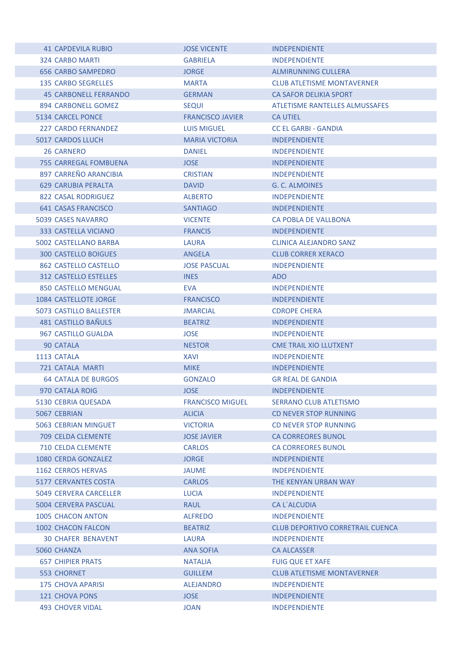| <b>GABRIELA</b><br>324 CARBO MARTI<br><b>INDEPENDIENTE</b><br><b>656 CARBO SAMPEDRO</b><br><b>JORGE</b><br>ALMIRUNNING CULLERA<br><b>135 CARBO SEGRELLES</b><br><b>CLUB ATLETISME MONTAVERNER</b><br><b>MARTA</b><br>45 CARBONELL FERRANDO<br><b>GERMAN</b><br>CA SAFOR DELIKIA SPORT<br>894 CARBONELL GOMEZ<br><b>SEQUI</b><br>ATLETISME RANTELLES ALMUSSAFES<br>5134 CARCEL PONCE<br><b>FRANCISCO JAVIER</b><br>CA UTIEL<br>227 CARDO FERNANDEZ<br>LUIS MIGUEL<br>CC EL GARBI - GANDIA<br><b>5017 CARDOS LLUCH</b><br><b>MARIA VICTORIA</b><br><b>INDEPENDIENTE</b><br>26 CARNERO<br><b>DANIEL</b><br><b>INDEPENDIENTE</b><br>755 CARREGAL FOMBUENA<br>JOSE<br><b>INDEPENDIENTE</b><br>897 CARREÑO ARANCIBIA<br><b>CRISTIAN</b><br><b>INDEPENDIENTE</b><br>629 CARUBIA PERALTA<br><b>DAVID</b><br>G. C. ALMOINES<br><b>822 CASAL RODRIGUEZ</b><br><b>ALBERTO</b><br><b>INDEPENDIENTE</b><br><b>641 CASAS FRANCISCO</b><br><b>SANTIAGO</b><br><b>INDEPENDIENTE</b><br>5039 CASES NAVARRO<br><b>VICENTE</b><br>CA POBLA DE VALLBONA<br>333 CASTELLA VICIANO<br><b>FRANCIS</b><br><b>INDEPENDIENTE</b><br><b>5002 CASTELLANO BARBA</b><br>LAURA<br>CLINICA ALEJANDRO SANZ<br><b>300 CASTELLO BOIGUES</b><br>ANGELA<br><b>CLUB CORRER XERACO</b><br><b>INDEPENDIENTE</b><br>862 CASTELLO CASTELLO<br><b>JOSE PASCUAL</b><br><b>INES</b><br>312 CASTELLO ESTELLES<br>ADO<br><b>850 CASTELLO MENGUAL</b><br>EVA<br><b>INDEPENDIENTE</b><br>1084 CASTELLOTE JORGE<br><b>FRANCISCO</b><br><b>INDEPENDIENTE</b><br>5073 CASTILLO BALLESTER<br><b>JMARCIAL</b><br><b>CDROPE CHERA</b><br><b>481 CASTILLO BAÑULS</b><br><b>BEATRIZ</b><br><b>INDEPENDIENTE</b><br>967 CASTILLO GUALDA<br>JOSE<br><b>INDEPENDIENTE</b><br>90 CATALA<br><b>NESTOR</b><br><b>CME TRAIL XIO LLUTXENT</b><br>1113 CATALA<br><b>INDEPENDIENTE</b><br>XAVI<br>721 CATALA MARTI<br><b>MIKE</b><br><b>INDEPENDIENTE</b><br><b>64 CATALA DE BURGOS</b><br><b>GONZALO</b><br><b>GR REAL DE GANDIA</b><br><b>JOSE</b><br>970 CATALA ROIG<br><b>INDEPENDIENTE</b><br>5130 CEBRIA QUESADA<br><b>FRANCISCO MIGUEL</b><br>SERRANO CLUB ATLETISMO<br><b>ALICIA</b><br>5067 CEBRIAN<br>CD NEVER STOP RUNNING<br><b>5063 CEBRIAN MINGUET</b><br><b>VICTORIA</b><br>CD NEVER STOP RUNNING<br>709 CELDA CLEMENTE<br><b>JOSE JAVIER</b><br><b>CA CORREORES BUNOL</b><br>710 CELDA CLEMENTE<br><b>CARLOS</b><br><b>CA CORREORES BUNOL</b><br>1080 CERDA GONZALEZ<br><b>JORGE</b><br><b>INDEPENDIENTE</b><br>1162 CERROS HERVAS<br><b>JAUME</b><br><b>INDEPENDIENTE</b><br>5177 CERVANTES COSTA<br><b>CARLOS</b><br>THE KENYAN URBAN WAY<br>5049 CERVERA CARCELLER<br><b>LUCIA</b><br><b>INDEPENDIENTE</b><br>5004 CERVERA PASCUAL<br>RAUL<br><b>CA L'ALCUDIA</b><br>1005 CHACON ANTON<br><b>ALFREDO</b><br><b>INDEPENDIENTE</b><br>1002 CHACON FALCON<br><b>BEATRIZ</b><br>CLUB DEPORTIVO CORRETRAIL CUENCA<br><b>30 CHAFER BENAVENT</b><br>LAURA<br><b>INDEPENDIENTE</b><br>5060 CHANZA<br><b>ANA SOFIA</b><br><b>CA ALCASSER</b><br><b>657 CHIPIER PRATS</b><br><b>NATALIA</b><br><b>FUIG QUE ET XAFE</b> | 41 CAPDEVILA RUBIO | <b>JOSE VICENTE</b> | <b>INDEPENDIENTE</b> |
|-------------------------------------------------------------------------------------------------------------------------------------------------------------------------------------------------------------------------------------------------------------------------------------------------------------------------------------------------------------------------------------------------------------------------------------------------------------------------------------------------------------------------------------------------------------------------------------------------------------------------------------------------------------------------------------------------------------------------------------------------------------------------------------------------------------------------------------------------------------------------------------------------------------------------------------------------------------------------------------------------------------------------------------------------------------------------------------------------------------------------------------------------------------------------------------------------------------------------------------------------------------------------------------------------------------------------------------------------------------------------------------------------------------------------------------------------------------------------------------------------------------------------------------------------------------------------------------------------------------------------------------------------------------------------------------------------------------------------------------------------------------------------------------------------------------------------------------------------------------------------------------------------------------------------------------------------------------------------------------------------------------------------------------------------------------------------------------------------------------------------------------------------------------------------------------------------------------------------------------------------------------------------------------------------------------------------------------------------------------------------------------------------------------------------------------------------------------------------------------------------------------------------------------------------------------------------------------------------------------------------------------------------------------------------------------------------------------------------------------------------------------------------------------------------------------------------------------------------------------------------------------------------------------------------------------------------------------------------------------------------------------------------------------------------------------|--------------------|---------------------|----------------------|
|                                                                                                                                                                                                                                                                                                                                                                                                                                                                                                                                                                                                                                                                                                                                                                                                                                                                                                                                                                                                                                                                                                                                                                                                                                                                                                                                                                                                                                                                                                                                                                                                                                                                                                                                                                                                                                                                                                                                                                                                                                                                                                                                                                                                                                                                                                                                                                                                                                                                                                                                                                                                                                                                                                                                                                                                                                                                                                                                                                                                                                                             |                    |                     |                      |
|                                                                                                                                                                                                                                                                                                                                                                                                                                                                                                                                                                                                                                                                                                                                                                                                                                                                                                                                                                                                                                                                                                                                                                                                                                                                                                                                                                                                                                                                                                                                                                                                                                                                                                                                                                                                                                                                                                                                                                                                                                                                                                                                                                                                                                                                                                                                                                                                                                                                                                                                                                                                                                                                                                                                                                                                                                                                                                                                                                                                                                                             |                    |                     |                      |
|                                                                                                                                                                                                                                                                                                                                                                                                                                                                                                                                                                                                                                                                                                                                                                                                                                                                                                                                                                                                                                                                                                                                                                                                                                                                                                                                                                                                                                                                                                                                                                                                                                                                                                                                                                                                                                                                                                                                                                                                                                                                                                                                                                                                                                                                                                                                                                                                                                                                                                                                                                                                                                                                                                                                                                                                                                                                                                                                                                                                                                                             |                    |                     |                      |
|                                                                                                                                                                                                                                                                                                                                                                                                                                                                                                                                                                                                                                                                                                                                                                                                                                                                                                                                                                                                                                                                                                                                                                                                                                                                                                                                                                                                                                                                                                                                                                                                                                                                                                                                                                                                                                                                                                                                                                                                                                                                                                                                                                                                                                                                                                                                                                                                                                                                                                                                                                                                                                                                                                                                                                                                                                                                                                                                                                                                                                                             |                    |                     |                      |
|                                                                                                                                                                                                                                                                                                                                                                                                                                                                                                                                                                                                                                                                                                                                                                                                                                                                                                                                                                                                                                                                                                                                                                                                                                                                                                                                                                                                                                                                                                                                                                                                                                                                                                                                                                                                                                                                                                                                                                                                                                                                                                                                                                                                                                                                                                                                                                                                                                                                                                                                                                                                                                                                                                                                                                                                                                                                                                                                                                                                                                                             |                    |                     |                      |
|                                                                                                                                                                                                                                                                                                                                                                                                                                                                                                                                                                                                                                                                                                                                                                                                                                                                                                                                                                                                                                                                                                                                                                                                                                                                                                                                                                                                                                                                                                                                                                                                                                                                                                                                                                                                                                                                                                                                                                                                                                                                                                                                                                                                                                                                                                                                                                                                                                                                                                                                                                                                                                                                                                                                                                                                                                                                                                                                                                                                                                                             |                    |                     |                      |
|                                                                                                                                                                                                                                                                                                                                                                                                                                                                                                                                                                                                                                                                                                                                                                                                                                                                                                                                                                                                                                                                                                                                                                                                                                                                                                                                                                                                                                                                                                                                                                                                                                                                                                                                                                                                                                                                                                                                                                                                                                                                                                                                                                                                                                                                                                                                                                                                                                                                                                                                                                                                                                                                                                                                                                                                                                                                                                                                                                                                                                                             |                    |                     |                      |
|                                                                                                                                                                                                                                                                                                                                                                                                                                                                                                                                                                                                                                                                                                                                                                                                                                                                                                                                                                                                                                                                                                                                                                                                                                                                                                                                                                                                                                                                                                                                                                                                                                                                                                                                                                                                                                                                                                                                                                                                                                                                                                                                                                                                                                                                                                                                                                                                                                                                                                                                                                                                                                                                                                                                                                                                                                                                                                                                                                                                                                                             |                    |                     |                      |
|                                                                                                                                                                                                                                                                                                                                                                                                                                                                                                                                                                                                                                                                                                                                                                                                                                                                                                                                                                                                                                                                                                                                                                                                                                                                                                                                                                                                                                                                                                                                                                                                                                                                                                                                                                                                                                                                                                                                                                                                                                                                                                                                                                                                                                                                                                                                                                                                                                                                                                                                                                                                                                                                                                                                                                                                                                                                                                                                                                                                                                                             |                    |                     |                      |
|                                                                                                                                                                                                                                                                                                                                                                                                                                                                                                                                                                                                                                                                                                                                                                                                                                                                                                                                                                                                                                                                                                                                                                                                                                                                                                                                                                                                                                                                                                                                                                                                                                                                                                                                                                                                                                                                                                                                                                                                                                                                                                                                                                                                                                                                                                                                                                                                                                                                                                                                                                                                                                                                                                                                                                                                                                                                                                                                                                                                                                                             |                    |                     |                      |
|                                                                                                                                                                                                                                                                                                                                                                                                                                                                                                                                                                                                                                                                                                                                                                                                                                                                                                                                                                                                                                                                                                                                                                                                                                                                                                                                                                                                                                                                                                                                                                                                                                                                                                                                                                                                                                                                                                                                                                                                                                                                                                                                                                                                                                                                                                                                                                                                                                                                                                                                                                                                                                                                                                                                                                                                                                                                                                                                                                                                                                                             |                    |                     |                      |
|                                                                                                                                                                                                                                                                                                                                                                                                                                                                                                                                                                                                                                                                                                                                                                                                                                                                                                                                                                                                                                                                                                                                                                                                                                                                                                                                                                                                                                                                                                                                                                                                                                                                                                                                                                                                                                                                                                                                                                                                                                                                                                                                                                                                                                                                                                                                                                                                                                                                                                                                                                                                                                                                                                                                                                                                                                                                                                                                                                                                                                                             |                    |                     |                      |
|                                                                                                                                                                                                                                                                                                                                                                                                                                                                                                                                                                                                                                                                                                                                                                                                                                                                                                                                                                                                                                                                                                                                                                                                                                                                                                                                                                                                                                                                                                                                                                                                                                                                                                                                                                                                                                                                                                                                                                                                                                                                                                                                                                                                                                                                                                                                                                                                                                                                                                                                                                                                                                                                                                                                                                                                                                                                                                                                                                                                                                                             |                    |                     |                      |
|                                                                                                                                                                                                                                                                                                                                                                                                                                                                                                                                                                                                                                                                                                                                                                                                                                                                                                                                                                                                                                                                                                                                                                                                                                                                                                                                                                                                                                                                                                                                                                                                                                                                                                                                                                                                                                                                                                                                                                                                                                                                                                                                                                                                                                                                                                                                                                                                                                                                                                                                                                                                                                                                                                                                                                                                                                                                                                                                                                                                                                                             |                    |                     |                      |
|                                                                                                                                                                                                                                                                                                                                                                                                                                                                                                                                                                                                                                                                                                                                                                                                                                                                                                                                                                                                                                                                                                                                                                                                                                                                                                                                                                                                                                                                                                                                                                                                                                                                                                                                                                                                                                                                                                                                                                                                                                                                                                                                                                                                                                                                                                                                                                                                                                                                                                                                                                                                                                                                                                                                                                                                                                                                                                                                                                                                                                                             |                    |                     |                      |
|                                                                                                                                                                                                                                                                                                                                                                                                                                                                                                                                                                                                                                                                                                                                                                                                                                                                                                                                                                                                                                                                                                                                                                                                                                                                                                                                                                                                                                                                                                                                                                                                                                                                                                                                                                                                                                                                                                                                                                                                                                                                                                                                                                                                                                                                                                                                                                                                                                                                                                                                                                                                                                                                                                                                                                                                                                                                                                                                                                                                                                                             |                    |                     |                      |
|                                                                                                                                                                                                                                                                                                                                                                                                                                                                                                                                                                                                                                                                                                                                                                                                                                                                                                                                                                                                                                                                                                                                                                                                                                                                                                                                                                                                                                                                                                                                                                                                                                                                                                                                                                                                                                                                                                                                                                                                                                                                                                                                                                                                                                                                                                                                                                                                                                                                                                                                                                                                                                                                                                                                                                                                                                                                                                                                                                                                                                                             |                    |                     |                      |
|                                                                                                                                                                                                                                                                                                                                                                                                                                                                                                                                                                                                                                                                                                                                                                                                                                                                                                                                                                                                                                                                                                                                                                                                                                                                                                                                                                                                                                                                                                                                                                                                                                                                                                                                                                                                                                                                                                                                                                                                                                                                                                                                                                                                                                                                                                                                                                                                                                                                                                                                                                                                                                                                                                                                                                                                                                                                                                                                                                                                                                                             |                    |                     |                      |
|                                                                                                                                                                                                                                                                                                                                                                                                                                                                                                                                                                                                                                                                                                                                                                                                                                                                                                                                                                                                                                                                                                                                                                                                                                                                                                                                                                                                                                                                                                                                                                                                                                                                                                                                                                                                                                                                                                                                                                                                                                                                                                                                                                                                                                                                                                                                                                                                                                                                                                                                                                                                                                                                                                                                                                                                                                                                                                                                                                                                                                                             |                    |                     |                      |
|                                                                                                                                                                                                                                                                                                                                                                                                                                                                                                                                                                                                                                                                                                                                                                                                                                                                                                                                                                                                                                                                                                                                                                                                                                                                                                                                                                                                                                                                                                                                                                                                                                                                                                                                                                                                                                                                                                                                                                                                                                                                                                                                                                                                                                                                                                                                                                                                                                                                                                                                                                                                                                                                                                                                                                                                                                                                                                                                                                                                                                                             |                    |                     |                      |
|                                                                                                                                                                                                                                                                                                                                                                                                                                                                                                                                                                                                                                                                                                                                                                                                                                                                                                                                                                                                                                                                                                                                                                                                                                                                                                                                                                                                                                                                                                                                                                                                                                                                                                                                                                                                                                                                                                                                                                                                                                                                                                                                                                                                                                                                                                                                                                                                                                                                                                                                                                                                                                                                                                                                                                                                                                                                                                                                                                                                                                                             |                    |                     |                      |
|                                                                                                                                                                                                                                                                                                                                                                                                                                                                                                                                                                                                                                                                                                                                                                                                                                                                                                                                                                                                                                                                                                                                                                                                                                                                                                                                                                                                                                                                                                                                                                                                                                                                                                                                                                                                                                                                                                                                                                                                                                                                                                                                                                                                                                                                                                                                                                                                                                                                                                                                                                                                                                                                                                                                                                                                                                                                                                                                                                                                                                                             |                    |                     |                      |
|                                                                                                                                                                                                                                                                                                                                                                                                                                                                                                                                                                                                                                                                                                                                                                                                                                                                                                                                                                                                                                                                                                                                                                                                                                                                                                                                                                                                                                                                                                                                                                                                                                                                                                                                                                                                                                                                                                                                                                                                                                                                                                                                                                                                                                                                                                                                                                                                                                                                                                                                                                                                                                                                                                                                                                                                                                                                                                                                                                                                                                                             |                    |                     |                      |
|                                                                                                                                                                                                                                                                                                                                                                                                                                                                                                                                                                                                                                                                                                                                                                                                                                                                                                                                                                                                                                                                                                                                                                                                                                                                                                                                                                                                                                                                                                                                                                                                                                                                                                                                                                                                                                                                                                                                                                                                                                                                                                                                                                                                                                                                                                                                                                                                                                                                                                                                                                                                                                                                                                                                                                                                                                                                                                                                                                                                                                                             |                    |                     |                      |
|                                                                                                                                                                                                                                                                                                                                                                                                                                                                                                                                                                                                                                                                                                                                                                                                                                                                                                                                                                                                                                                                                                                                                                                                                                                                                                                                                                                                                                                                                                                                                                                                                                                                                                                                                                                                                                                                                                                                                                                                                                                                                                                                                                                                                                                                                                                                                                                                                                                                                                                                                                                                                                                                                                                                                                                                                                                                                                                                                                                                                                                             |                    |                     |                      |
|                                                                                                                                                                                                                                                                                                                                                                                                                                                                                                                                                                                                                                                                                                                                                                                                                                                                                                                                                                                                                                                                                                                                                                                                                                                                                                                                                                                                                                                                                                                                                                                                                                                                                                                                                                                                                                                                                                                                                                                                                                                                                                                                                                                                                                                                                                                                                                                                                                                                                                                                                                                                                                                                                                                                                                                                                                                                                                                                                                                                                                                             |                    |                     |                      |
|                                                                                                                                                                                                                                                                                                                                                                                                                                                                                                                                                                                                                                                                                                                                                                                                                                                                                                                                                                                                                                                                                                                                                                                                                                                                                                                                                                                                                                                                                                                                                                                                                                                                                                                                                                                                                                                                                                                                                                                                                                                                                                                                                                                                                                                                                                                                                                                                                                                                                                                                                                                                                                                                                                                                                                                                                                                                                                                                                                                                                                                             |                    |                     |                      |
|                                                                                                                                                                                                                                                                                                                                                                                                                                                                                                                                                                                                                                                                                                                                                                                                                                                                                                                                                                                                                                                                                                                                                                                                                                                                                                                                                                                                                                                                                                                                                                                                                                                                                                                                                                                                                                                                                                                                                                                                                                                                                                                                                                                                                                                                                                                                                                                                                                                                                                                                                                                                                                                                                                                                                                                                                                                                                                                                                                                                                                                             |                    |                     |                      |
|                                                                                                                                                                                                                                                                                                                                                                                                                                                                                                                                                                                                                                                                                                                                                                                                                                                                                                                                                                                                                                                                                                                                                                                                                                                                                                                                                                                                                                                                                                                                                                                                                                                                                                                                                                                                                                                                                                                                                                                                                                                                                                                                                                                                                                                                                                                                                                                                                                                                                                                                                                                                                                                                                                                                                                                                                                                                                                                                                                                                                                                             |                    |                     |                      |
|                                                                                                                                                                                                                                                                                                                                                                                                                                                                                                                                                                                                                                                                                                                                                                                                                                                                                                                                                                                                                                                                                                                                                                                                                                                                                                                                                                                                                                                                                                                                                                                                                                                                                                                                                                                                                                                                                                                                                                                                                                                                                                                                                                                                                                                                                                                                                                                                                                                                                                                                                                                                                                                                                                                                                                                                                                                                                                                                                                                                                                                             |                    |                     |                      |
|                                                                                                                                                                                                                                                                                                                                                                                                                                                                                                                                                                                                                                                                                                                                                                                                                                                                                                                                                                                                                                                                                                                                                                                                                                                                                                                                                                                                                                                                                                                                                                                                                                                                                                                                                                                                                                                                                                                                                                                                                                                                                                                                                                                                                                                                                                                                                                                                                                                                                                                                                                                                                                                                                                                                                                                                                                                                                                                                                                                                                                                             |                    |                     |                      |
|                                                                                                                                                                                                                                                                                                                                                                                                                                                                                                                                                                                                                                                                                                                                                                                                                                                                                                                                                                                                                                                                                                                                                                                                                                                                                                                                                                                                                                                                                                                                                                                                                                                                                                                                                                                                                                                                                                                                                                                                                                                                                                                                                                                                                                                                                                                                                                                                                                                                                                                                                                                                                                                                                                                                                                                                                                                                                                                                                                                                                                                             |                    |                     |                      |
|                                                                                                                                                                                                                                                                                                                                                                                                                                                                                                                                                                                                                                                                                                                                                                                                                                                                                                                                                                                                                                                                                                                                                                                                                                                                                                                                                                                                                                                                                                                                                                                                                                                                                                                                                                                                                                                                                                                                                                                                                                                                                                                                                                                                                                                                                                                                                                                                                                                                                                                                                                                                                                                                                                                                                                                                                                                                                                                                                                                                                                                             |                    |                     |                      |
|                                                                                                                                                                                                                                                                                                                                                                                                                                                                                                                                                                                                                                                                                                                                                                                                                                                                                                                                                                                                                                                                                                                                                                                                                                                                                                                                                                                                                                                                                                                                                                                                                                                                                                                                                                                                                                                                                                                                                                                                                                                                                                                                                                                                                                                                                                                                                                                                                                                                                                                                                                                                                                                                                                                                                                                                                                                                                                                                                                                                                                                             |                    |                     |                      |
|                                                                                                                                                                                                                                                                                                                                                                                                                                                                                                                                                                                                                                                                                                                                                                                                                                                                                                                                                                                                                                                                                                                                                                                                                                                                                                                                                                                                                                                                                                                                                                                                                                                                                                                                                                                                                                                                                                                                                                                                                                                                                                                                                                                                                                                                                                                                                                                                                                                                                                                                                                                                                                                                                                                                                                                                                                                                                                                                                                                                                                                             |                    |                     |                      |
|                                                                                                                                                                                                                                                                                                                                                                                                                                                                                                                                                                                                                                                                                                                                                                                                                                                                                                                                                                                                                                                                                                                                                                                                                                                                                                                                                                                                                                                                                                                                                                                                                                                                                                                                                                                                                                                                                                                                                                                                                                                                                                                                                                                                                                                                                                                                                                                                                                                                                                                                                                                                                                                                                                                                                                                                                                                                                                                                                                                                                                                             |                    |                     |                      |
|                                                                                                                                                                                                                                                                                                                                                                                                                                                                                                                                                                                                                                                                                                                                                                                                                                                                                                                                                                                                                                                                                                                                                                                                                                                                                                                                                                                                                                                                                                                                                                                                                                                                                                                                                                                                                                                                                                                                                                                                                                                                                                                                                                                                                                                                                                                                                                                                                                                                                                                                                                                                                                                                                                                                                                                                                                                                                                                                                                                                                                                             |                    |                     |                      |
|                                                                                                                                                                                                                                                                                                                                                                                                                                                                                                                                                                                                                                                                                                                                                                                                                                                                                                                                                                                                                                                                                                                                                                                                                                                                                                                                                                                                                                                                                                                                                                                                                                                                                                                                                                                                                                                                                                                                                                                                                                                                                                                                                                                                                                                                                                                                                                                                                                                                                                                                                                                                                                                                                                                                                                                                                                                                                                                                                                                                                                                             |                    |                     |                      |
|                                                                                                                                                                                                                                                                                                                                                                                                                                                                                                                                                                                                                                                                                                                                                                                                                                                                                                                                                                                                                                                                                                                                                                                                                                                                                                                                                                                                                                                                                                                                                                                                                                                                                                                                                                                                                                                                                                                                                                                                                                                                                                                                                                                                                                                                                                                                                                                                                                                                                                                                                                                                                                                                                                                                                                                                                                                                                                                                                                                                                                                             |                    |                     |                      |
|                                                                                                                                                                                                                                                                                                                                                                                                                                                                                                                                                                                                                                                                                                                                                                                                                                                                                                                                                                                                                                                                                                                                                                                                                                                                                                                                                                                                                                                                                                                                                                                                                                                                                                                                                                                                                                                                                                                                                                                                                                                                                                                                                                                                                                                                                                                                                                                                                                                                                                                                                                                                                                                                                                                                                                                                                                                                                                                                                                                                                                                             |                    |                     |                      |
|                                                                                                                                                                                                                                                                                                                                                                                                                                                                                                                                                                                                                                                                                                                                                                                                                                                                                                                                                                                                                                                                                                                                                                                                                                                                                                                                                                                                                                                                                                                                                                                                                                                                                                                                                                                                                                                                                                                                                                                                                                                                                                                                                                                                                                                                                                                                                                                                                                                                                                                                                                                                                                                                                                                                                                                                                                                                                                                                                                                                                                                             |                    |                     |                      |
|                                                                                                                                                                                                                                                                                                                                                                                                                                                                                                                                                                                                                                                                                                                                                                                                                                                                                                                                                                                                                                                                                                                                                                                                                                                                                                                                                                                                                                                                                                                                                                                                                                                                                                                                                                                                                                                                                                                                                                                                                                                                                                                                                                                                                                                                                                                                                                                                                                                                                                                                                                                                                                                                                                                                                                                                                                                                                                                                                                                                                                                             |                    |                     |                      |
|                                                                                                                                                                                                                                                                                                                                                                                                                                                                                                                                                                                                                                                                                                                                                                                                                                                                                                                                                                                                                                                                                                                                                                                                                                                                                                                                                                                                                                                                                                                                                                                                                                                                                                                                                                                                                                                                                                                                                                                                                                                                                                                                                                                                                                                                                                                                                                                                                                                                                                                                                                                                                                                                                                                                                                                                                                                                                                                                                                                                                                                             |                    |                     |                      |
|                                                                                                                                                                                                                                                                                                                                                                                                                                                                                                                                                                                                                                                                                                                                                                                                                                                                                                                                                                                                                                                                                                                                                                                                                                                                                                                                                                                                                                                                                                                                                                                                                                                                                                                                                                                                                                                                                                                                                                                                                                                                                                                                                                                                                                                                                                                                                                                                                                                                                                                                                                                                                                                                                                                                                                                                                                                                                                                                                                                                                                                             |                    |                     |                      |
|                                                                                                                                                                                                                                                                                                                                                                                                                                                                                                                                                                                                                                                                                                                                                                                                                                                                                                                                                                                                                                                                                                                                                                                                                                                                                                                                                                                                                                                                                                                                                                                                                                                                                                                                                                                                                                                                                                                                                                                                                                                                                                                                                                                                                                                                                                                                                                                                                                                                                                                                                                                                                                                                                                                                                                                                                                                                                                                                                                                                                                                             |                    |                     |                      |
| 553 CHORNET<br><b>GUILLEM</b><br><b>CLUB ATLETISME MONTAVERNER</b>                                                                                                                                                                                                                                                                                                                                                                                                                                                                                                                                                                                                                                                                                                                                                                                                                                                                                                                                                                                                                                                                                                                                                                                                                                                                                                                                                                                                                                                                                                                                                                                                                                                                                                                                                                                                                                                                                                                                                                                                                                                                                                                                                                                                                                                                                                                                                                                                                                                                                                                                                                                                                                                                                                                                                                                                                                                                                                                                                                                          |                    |                     |                      |
| 175 CHOVA APARISI<br><b>ALEJANDRO</b><br><b>INDEPENDIENTE</b>                                                                                                                                                                                                                                                                                                                                                                                                                                                                                                                                                                                                                                                                                                                                                                                                                                                                                                                                                                                                                                                                                                                                                                                                                                                                                                                                                                                                                                                                                                                                                                                                                                                                                                                                                                                                                                                                                                                                                                                                                                                                                                                                                                                                                                                                                                                                                                                                                                                                                                                                                                                                                                                                                                                                                                                                                                                                                                                                                                                               |                    |                     |                      |
| <b>121 CHOVA PONS</b><br><b>JOSE</b><br><b>INDEPENDIENTE</b>                                                                                                                                                                                                                                                                                                                                                                                                                                                                                                                                                                                                                                                                                                                                                                                                                                                                                                                                                                                                                                                                                                                                                                                                                                                                                                                                                                                                                                                                                                                                                                                                                                                                                                                                                                                                                                                                                                                                                                                                                                                                                                                                                                                                                                                                                                                                                                                                                                                                                                                                                                                                                                                                                                                                                                                                                                                                                                                                                                                                |                    |                     |                      |
|                                                                                                                                                                                                                                                                                                                                                                                                                                                                                                                                                                                                                                                                                                                                                                                                                                                                                                                                                                                                                                                                                                                                                                                                                                                                                                                                                                                                                                                                                                                                                                                                                                                                                                                                                                                                                                                                                                                                                                                                                                                                                                                                                                                                                                                                                                                                                                                                                                                                                                                                                                                                                                                                                                                                                                                                                                                                                                                                                                                                                                                             | 493 CHOVER VIDAL   | <b>JOAN</b>         | <b>INDEPENDIENTE</b> |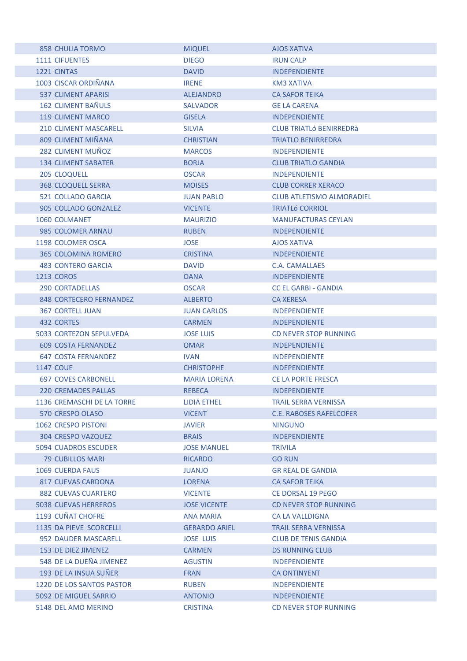| <b>858 CHULIA TORMO</b>      | <b>MIQUEL</b>        | AJOS XATIVA                      |
|------------------------------|----------------------|----------------------------------|
| 1111 CIFUENTES               | <b>DIEGO</b>         | <b>IRUN CALP</b>                 |
| 1221 CINTAS                  | <b>DAVID</b>         | <b>INDEPENDIENTE</b>             |
| 1003 CISCAR ORDIÑANA         | <b>IRENE</b>         | KM3 XATIVA                       |
| <b>537 CLIMENT APARISI</b>   | <b>ALEJANDRO</b>     | <b>CA SAFOR TEIKA</b>            |
| <b>162 CLIMENT BAÑULS</b>    | <b>SALVADOR</b>      | <b>GE LA CARENA</b>              |
| <b>119 CLIMENT MARCO</b>     | <b>GISELA</b>        | <b>INDEPENDIENTE</b>             |
| <b>210 CLIMENT MASCARELL</b> | <b>SILVIA</b>        | <b>CLUB TRIATLÓ BENIRREDRA</b>   |
| 809 CLIMENT MIÑANA           | <b>CHRISTIAN</b>     | <b>TRIATLO BENIRREDRA</b>        |
| 282 CLIMENT MUÑOZ            | <b>MARCOS</b>        | <b>INDEPENDIENTE</b>             |
| <b>134 CLIMENT SABATER</b>   | <b>BORJA</b>         | <b>CLUB TRIATLO GANDIA</b>       |
| 205 CLOQUELL                 | <b>OSCAR</b>         | <b>INDEPENDIENTE</b>             |
| <b>368 CLOQUELL SERRA</b>    | <b>MOISES</b>        | <b>CLUB CORRER XERACO</b>        |
| 521 COLLADO GARCIA           | <b>JUAN PABLO</b>    | <b>CLUB ATLETISMO ALMORADIEL</b> |
| 905 COLLADO GONZALEZ         | <b>VICENTE</b>       | <b>TRIATLÓ CORRIOL</b>           |
| 1060 COLMANET                | <b>MAURIZIO</b>      | <b>MANUFACTURAS CEYLAN</b>       |
| 985 COLOMER ARNAU            | <b>RUBEN</b>         | <b>INDEPENDIENTE</b>             |
| 1198 COLOMER OSCA            | <b>JOSE</b>          | <b>AJOS XATIVA</b>               |
| <b>365 COLOMINA ROMERO</b>   | <b>CRISTINA</b>      | <b>INDEPENDIENTE</b>             |
| <b>483 CONTERO GARCIA</b>    | <b>DAVID</b>         | C.A. CAMALLAES                   |
| 1213 COROS                   | <b>OANA</b>          | <b>INDEPENDIENTE</b>             |
| <b>290 CORTADELLAS</b>       | <b>OSCAR</b>         | CC EL GARBI - GANDIA             |
| 848 CORTECERO FERNANDEZ      | <b>ALBERTO</b>       | <b>CA XERESA</b>                 |
| <b>367 CORTELL JUAN</b>      | <b>JUAN CARLOS</b>   | <b>INDEPENDIENTE</b>             |
| 432 CORTES                   | <b>CARMEN</b>        | <b>INDEPENDIENTE</b>             |
| 5033 CORTEZON SEPULVEDA      | <b>JOSE LUIS</b>     | <b>CD NEVER STOP RUNNING</b>     |
| <b>609 COSTA FERNANDEZ</b>   | <b>OMAR</b>          | <b>INDEPENDIENTE</b>             |
| 647 COSTA FERNANDEZ          | <b>IVAN</b>          | <b>INDEPENDIENTE</b>             |
| <b>1147 COUE</b>             | <b>CHRISTOPHE</b>    | <b>INDEPENDIENTE</b>             |
| <b>697 COVES CARBONELL</b>   | <b>MARIA LORENA</b>  | <b>CE LA PORTE FRESCA</b>        |
| <b>220 CREMADES PALLAS</b>   | <b>REBECA</b>        | <b>INDEPENDIENTE</b>             |
| 1136 CREMASCHI DE LA TORRE   | <b>LIDIA ETHEL</b>   | <b>TRAIL SERRA VERNISSA</b>      |
| 570 CRESPO OLASO             | <b>VICENT</b>        | <b>C.E. RABOSES RAFELCOFER</b>   |
| <b>1062 CRESPO PISTONI</b>   | <b>JAVIER</b>        | <b>NINGUNO</b>                   |
| 304 CRESPO VAZQUEZ           | <b>BRAIS</b>         | <b>INDEPENDIENTE</b>             |
| <b>5094 CUADROS ESCUDER</b>  | <b>JOSE MANUEL</b>   | <b>TRIVILA</b>                   |
| <b>79 CUBILLOS MARI</b>      | <b>RICARDO</b>       | <b>GO RUN</b>                    |
| 1069 CUERDA FAUS             | <b>OLIANJO</b>       | <b>GR REAL DE GANDIA</b>         |
| <b>817 CUEVAS CARDONA</b>    | LORENA               | <b>CA SAFOR TEIKA</b>            |
| 882 CUEVAS CUARTERO          | <b>VICENTE</b>       | CE DORSAL 19 PEGO                |
| <b>5038 CUEVAS HERREROS</b>  | <b>JOSE VICENTE</b>  | CD NEVER STOP RUNNING            |
| 1193 CUÑAT CHOFRE            | ANA MARIA            | CA LA VALLDIGNA                  |
| 1135 DA PIEVE SCORCELLI      | <b>GERARDO ARIEL</b> | <b>TRAIL SERRA VERNISSA</b>      |
| <b>952 DAUDER MASCARELL</b>  | <b>JOSE LUIS</b>     | <b>CLUB DE TENIS GANDÍA</b>      |
| 153 DE DIEZ JIMENEZ          | <b>CARMEN</b>        | <b>DS RUNNING CLUB</b>           |
| 548 DE LA DUEÑA JIMENEZ      | <b>AGUSTIN</b>       | <b>INDEPENDIENTE</b>             |
| 193 DE LA INSUA SUÑER        | <b>FRAN</b>          | <b>CA ONTINYENT</b>              |
| 1220 DE LOS SANTOS PASTOR    | <b>RUBEN</b>         | <b>INDEPENDIENTE</b>             |
| 5092 DE MIGUEL SARRIO        | <b>ANTONIO</b>       | <b>INDEPENDIENTE</b>             |
| 5148 DEL AMO MERINO          | <b>CRISTINA</b>      | <b>CD NEVER STOP RUNNING</b>     |
|                              |                      |                                  |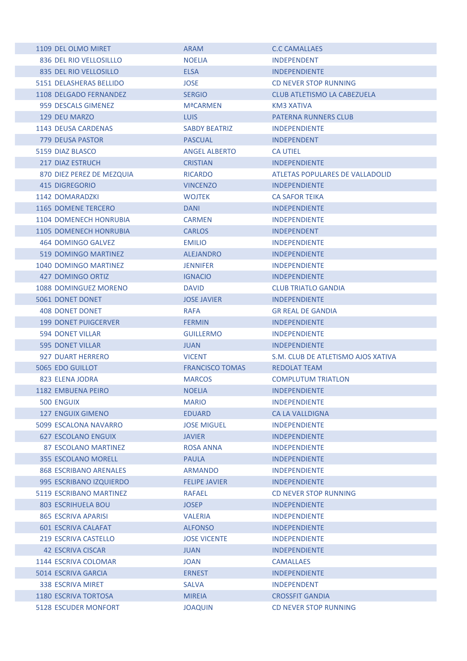| 1109 DEL OLMO MIRET           | <b>ARAM</b>            | <b>C.C CAMALLAES</b>               |
|-------------------------------|------------------------|------------------------------------|
| 836 DEL RIO VELLOSILLLO       | <b>NOELIA</b>          | <b>INDEPENDENT</b>                 |
| 835 DEL RIO VELLOSILLO        | <b>ELSA</b>            | <b>INDEPENDIENTE</b>               |
| 5151 DELASHERAS BELLIDO       | JOSE                   | CD NEVER STOP RUNNING              |
| 1108 DELGADO FERNANDEZ        | <b>SERGIO</b>          | CLUB ATLETISMO LA CABEZUELA        |
| 959 DESCALS GIMENEZ           | <b>MªCARMEN</b>        | KM3 XATIVA                         |
| 129 DEU MARZO                 | <b>LUIS</b>            | <b>PATERNA RUNNERS CLUB</b>        |
| <b>1143 DEUSA CARDENAS</b>    | <b>SABDY BEATRIZ</b>   | <b>INDEPENDIENTE</b>               |
| 779 DEUSA PASTOR              | <b>PASCUAL</b>         | <b>INDEPENDENT</b>                 |
| 5159 DIAZ BLASCO              | <b>ANGEL ALBERTO</b>   | <b>CA UTIEL</b>                    |
| 217 DIAZ ESTRUCH              | <b>CRISTIAN</b>        | <b>INDEPENDIENTE</b>               |
| 870 DIEZ PEREZ DE MEZQUIA     | <b>RICARDO</b>         | ATLETAS POPULARES DE VALLADOLID    |
| <b>415 DIGREGORIO</b>         | <b>VINCENZO</b>        | <b>INDEPENDIENTE</b>               |
| 1142 DOMARADZKI               | <b>WOJTEK</b>          | <b>CA SAFOR TEIKA</b>              |
| <b>1165 DOMENE TERCERO</b>    | <b>DANI</b>            | <b>INDEPENDIENTE</b>               |
| 1104 DOMENECH HONRUBIA        | <b>CARMEN</b>          | <b>INDEPENDIENTE</b>               |
| <b>1105 DOMENECH HONRUBIA</b> | <b>CARLOS</b>          | <b>INDEPENDENT</b>                 |
| 464 DOMINGO GALVEZ            | <b>EMILIO</b>          | <b>INDEPENDIENTE</b>               |
| 519 DOMINGO MARTINEZ          | <b>ALEJANDRO</b>       | <b>INDEPENDIENTE</b>               |
| 1040 DOMINGO MARTINEZ         | <b>JENNIFER</b>        | <b>INDEPENDIENTE</b>               |
| 427 DOMINGO ORTIZ             | <b>IGNACIO</b>         | <b>INDEPENDIENTE</b>               |
| <b>1088 DOMINGUEZ MORENO</b>  | <b>DAVID</b>           | <b>CLUB TRIATLO GANDIA</b>         |
| 5061 DONET DONET              | <b>JOSE JAVIER</b>     | <b>INDEPENDIENTE</b>               |
| 408 DONET DONET               | <b>RAFA</b>            | <b>GR REAL DE GANDIA</b>           |
| <b>199 DONET PUIGCERVER</b>   | <b>FERMIN</b>          | <b>INDEPENDIENTE</b>               |
| <b>594 DONET VILLAR</b>       | <b>GUILLERMO</b>       | <b>INDEPENDIENTE</b>               |
| <b>595 DONET VILLAR</b>       | <b>JUAN</b>            | <b>INDEPENDIENTE</b>               |
| 927 DUART HERRERO             | <b>VICENT</b>          | S.M. CLUB DE ATLETISMO AJOS XATIVA |
| 5065 EDO GUILLOT              | <b>FRANCISCO TOMAS</b> | REDOLAT TEAM                       |
| 823 ELENA JODRA               | <b>MARCOS</b>          | <b>COMPLUTUM TRIATLON</b>          |
| 1182 EMBUENA PEIRO            | <b>NOELIA</b>          | <b>INDEPENDIENTE</b>               |
| <b>500 ENGUIX</b>             | <b>MARIO</b>           | <b>INDEPENDIENTE</b>               |
| <b>127 ENGUIX GIMENO</b>      | <b>EDUARD</b>          | CA LA VALLDIGNA                    |
| 5099 ESCALONA NAVARRO         | <b>JOSE MIGUEL</b>     | <b>INDEPENDIENTE</b>               |
| <b>627 ESCOLANO ENGUIX</b>    | <b>JAVIER</b>          | <b>INDEPENDIENTE</b>               |
| <b>87 ESCOLANO MARTINEZ</b>   | <b>ROSA ANNA</b>       | <b>INDEPENDIENTE</b>               |
| <b>355 ESCOLANO MORELL</b>    | <b>PAULA</b>           | <b>INDEPENDIENTE</b>               |
| 868 ESCRIBANO ARENALES        | <b>ARMANDO</b>         | <b>INDEPENDIENTE</b>               |
| 995 ESCRIBANO IZQUIERDO       | <b>FELIPE JAVIER</b>   | <b>INDEPENDIENTE</b>               |
| 5119 ESCRIBANO MARTINEZ       | <b>RAFAEL</b>          | CD NEVER STOP RUNNING              |
| <b>803 ESCRIHUELA BOU</b>     | <b>JOSEP</b>           | <b>INDEPENDIENTE</b>               |
| 865 ESCRIVA APARISI           | <b>VALERIA</b>         | <b>INDEPENDIENTE</b>               |
| <b>601 ESCRIVA CALAFAT</b>    | <b>ALFONSO</b>         | <b>INDEPENDIENTE</b>               |
| 219 ESCRIVA CASTELLO          | <b>JOSE VICENTE</b>    | <b>INDEPENDIENTE</b>               |
| <b>42 ESCRIVA CISCAR</b>      | <b>JUAN</b>            | <b>INDEPENDIENTE</b>               |
| 1144 ESCRIVA COLOMAR          | <b>JOAN</b>            | <b>CAMALLAES</b>                   |
| 5014 ESCRIVA GARCIA           | <b>ERNEST</b>          | <b>INDEPENDIENTE</b>               |
| <b>338 ESCRIVA MIRET</b>      | <b>SALVA</b>           | <b>INDEPENDENT</b>                 |
| <b>1180 ESCRIVA TORTOSA</b>   | <b>MIREIA</b>          | <b>CROSSFIT GANDIA</b>             |
| 5128 ESCUDER MONFORT          | <b>JOAQUIN</b>         | CD NEVER STOP RUNNING              |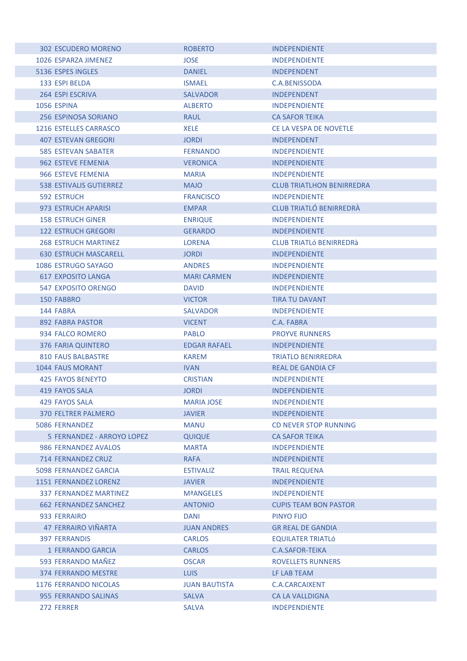|  | <b>302 ESCUDERO MORENO</b>     | <b>ROBERTO</b>       | <b>INDEPENDIENTE</b>             |
|--|--------------------------------|----------------------|----------------------------------|
|  | 1026 ESPARZA JIMENEZ           | <b>JOSE</b>          | <b>INDEPENDIENTE</b>             |
|  | 5136 ESPES INGLES              | <b>DANIEL</b>        | <b>INDEPENDENT</b>               |
|  | 133 ESPI BELDA                 | <b>ISMAEL</b>        | C.A.BENISSODA                    |
|  | 264 ESPI ESCRIVA               | <b>SALVADOR</b>      | <b>INDEPENDENT</b>               |
|  | 1056 ESPINA                    | <b>ALBERTO</b>       | <b>INDEPENDIENTE</b>             |
|  | 256 ESPINOSA SORIANO           | <b>RAUL</b>          | <b>CA SAFOR TEIKA</b>            |
|  | <b>1216 ESTELLES CARRASCO</b>  | <b>XELE</b>          | CE LA VESPA DE NOVETI E          |
|  | 407 ESTEVAN GREGORI            | <b>JORDI</b>         | <b>INDEPENDENT</b>               |
|  | 585 ESTEVAN SABATER            | <b>FERNANDO</b>      | <b>INDEPENDIENTE</b>             |
|  | 962 ESTEVE FEMENIA             | <b>VERONICA</b>      | <b>INDEPENDIENTE</b>             |
|  | 966 ESTEVE FEMENIA             | <b>MARIA</b>         | <b>INDEPENDIENTE</b>             |
|  | <b>538 ESTIVALIS GUTIERREZ</b> | <b>MAJO</b>          | <b>CLUB TRIATLHON BENIRREDRA</b> |
|  | <b>592 ESTRUCH</b>             | <b>FRANCISCO</b>     | <b>INDEPENDIENTE</b>             |
|  | 973 ESTRUCH APARISI            | <b>EMPAR</b>         | <b>CLUB TRIATLÓ BENIRREDRÀ</b>   |
|  | <b>158 ESTRUCH GINER</b>       | <b>ENRIQUE</b>       | <b>INDEPENDIENTE</b>             |
|  | <b>122 ESTRUCH GREGORI</b>     | <b>GERARDO</b>       | <b>INDEPENDIENTE</b>             |
|  | <b>268 ESTRUCH MARTINEZ</b>    | LORENA               | <b>CLUB TRIATLÓ BENIRREDRA</b>   |
|  | <b>630 ESTRUCH MASCARELL</b>   | <b>JORDI</b>         | <b>INDEPENDIENTE</b>             |
|  | 1086 ESTRUGO SAYAGO            | <b>ANDRES</b>        | <b>INDEPENDIENTE</b>             |
|  | 617 EXPOSITO LANGA             | <b>MARI CARMEN</b>   | <b>INDEPENDIENTE</b>             |
|  | 547 EXPOSITO ORENGO            | <b>DAVID</b>         | <b>INDEPENDIENTE</b>             |
|  | 150 FABBRO                     | <b>VICTOR</b>        | TIRA TU DAVANT                   |
|  | 144 FABRA                      | <b>SALVADOR</b>      | <b>INDEPENDIENTE</b>             |
|  | 892 FABRA PASTOR               | <b>VICENT</b>        | C.A. FABRA                       |
|  | 934 FALCO ROMERO               | <b>PABLO</b>         | <b>PROYVE RUNNERS</b>            |
|  | <b>376 FARIA QUINTERO</b>      | <b>EDGAR RAFAEL</b>  | <b>INDEPENDIENTE</b>             |
|  | 810 FAUS BALBASTRE             | <b>KAREM</b>         | <b>TRIATLO BENIRREDRA</b>        |
|  | 1044 FAUS MORANT               | <b>IVAN</b>          | <b>REAL DE GANDIA CF</b>         |
|  | 425 FAYOS BENEYTO              | <b>CRISTIAN</b>      | <b>INDEPENDIENTE</b>             |
|  | 419 FAYOS SALA                 | <b>JORDI</b>         | <b>INDEPENDIENTE</b>             |
|  | 429 FAYOS SALA                 | <b>MARIA JOSE</b>    | <b>INDEPENDIENTE</b>             |
|  | <b>370 FELTRER PALMERO</b>     | <b>JAVIER</b>        | <b>INDEPENDIENTE</b>             |
|  | 5086 FERNANDEZ                 | <b>MANU</b>          | CD NEVER STOP RUNNING            |
|  | 5 FERNANDEZ - ARROYO LOPEZ     | <b>QUIQUE</b>        | <b>CA SAFOR TEIKA</b>            |
|  | 986 FERNANDEZ AVALOS           | MARTA                | <b>INDEPENDIENTE</b>             |
|  | <b>714 FERNANDEZ CRUZ</b>      | <b>RAFA</b>          | <b>INDEPENDIENTE</b>             |
|  | 5098 FERNANDEZ GARCIA          | <b>ESTIVALIZ</b>     | <b>TRAIL REQUENA</b>             |
|  | 1151 FERNANDEZ LORENZ          | <b>JAVIER</b>        | <b>INDEPENDIENTE</b>             |
|  | <b>337 FERNANDEZ MARTINEZ</b>  | <b>MªANGELES</b>     | <b>INDEPENDIENTE</b>             |
|  | <b>662 FERNANDEZ SANCHEZ</b>   | <b>ANTONIO</b>       | <b>CUPIS TEAM BON PASTOR</b>     |
|  | 933 FERRAIRO                   | <b>DANI</b>          | <b>PINYO FIJO</b>                |
|  | <b>47 FERRAIRO VIÑARTA</b>     | <b>JUAN ANDRES</b>   | <b>GR REAL DE GANDIA</b>         |
|  | <b>397 FERRANDIS</b>           | <b>CARLOS</b>        | EQUILATER TRIATLÓ                |
|  | 1 FERRANDO GARCIA              | <b>CARLOS</b>        | <b>C.A.SAFOR-TEIKA</b>           |
|  | 593 FERRANDO MAÑEZ             | <b>OSCAR</b>         | <b>ROVELLETS RUNNERS</b>         |
|  | 374 FERRANDO MESTRE            | LUIS                 | LF LAB TEAM                      |
|  | <b>1176 FERRANDO NICOLAS</b>   | <b>JUAN BAUTISTA</b> | C.A.CARCAIXENT                   |
|  | 955 FERRANDO SALINAS           | <b>SALVA</b>         | <b>CA LA VALLDIGNA</b>           |
|  | 272 FERRER                     | <b>SALVA</b>         | <b>INDEPENDIENTE</b>             |
|  |                                |                      |                                  |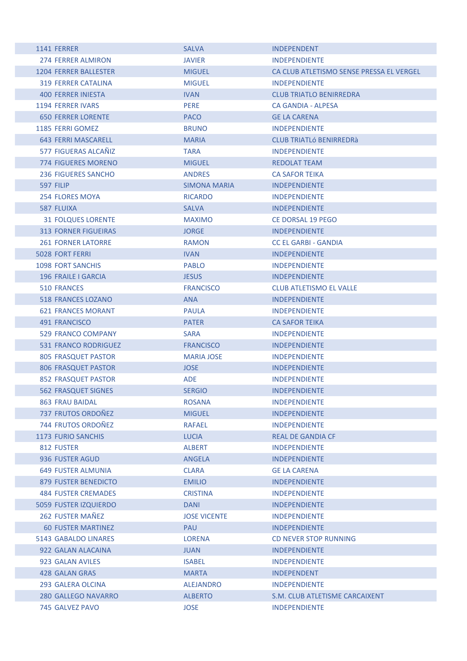| 1141 FERRER                  | <b>SALVA</b>        | <b>INDEPENDENT</b>                       |
|------------------------------|---------------------|------------------------------------------|
| 274 FERRER ALMIRON           | <b>JAVIER</b>       | <b>INDEPENDIENTE</b>                     |
| <b>1204 FERRER BALLESTER</b> | <b>MIGUEL</b>       | CA CLUB ATLETISMO SENSE PRESSA EL VERGEL |
| <b>319 FERRER CATALINA</b>   | <b>MIGUEL</b>       | <b>INDEPENDIENTE</b>                     |
| 400 FERRER INJESTA           | <b>IVAN</b>         | <b>CLUB TRIATLO BENIRREDRA</b>           |
| <b>1194 FERRER IVARS</b>     | <b>PERE</b>         | CA GANDIA - ALPESA                       |
| <b>650 FERRER LORENTE</b>    | <b>PACO</b>         | <b>GE LA CARENA</b>                      |
| 1185 FERRI GOMEZ             | <b>BRUNO</b>        | <b>INDEPENDIENTE</b>                     |
| <b>643 FERRI MASCARELL</b>   | <b>MARIA</b>        | <b>CLUB TRIATLÓ BENIRREDRÀ</b>           |
| 577 FIGUERAS ALCAÑIZ         | <b>TARA</b>         | <b>INDEPENDIENTE</b>                     |
| <b>774 FIGUERES MORENO</b>   | <b>MIGUEL</b>       | <b>REDOLAT TEAM</b>                      |
| <b>236 FIGUERES SANCHO</b>   | <b>ANDRES</b>       | <b>CA SAFOR TEIKA</b>                    |
| 597 FILIP                    | SIMONA MARIA        | <b>INDEPENDIENTE</b>                     |
| 254 FLORES MOYA              | <b>RICARDO</b>      | <b>INDEPENDIENTE</b>                     |
| 587 FLUIXA                   | <b>SALVA</b>        | <b>INDEPENDIENTE</b>                     |
| <b>31 FOLQUES LORENTE</b>    | <b>MAXIMO</b>       | <b>CE DORSAL 19 PEGO</b>                 |
| <b>313 FORNER FIGUEIRAS</b>  | <b>JORGE</b>        | <b>INDEPENDIENTE</b>                     |
| <b>261 FORNER LATORRE</b>    | <b>RAMON</b>        | <b>CC EL GARBI - GANDIA</b>              |
| <b>5028 FORT FERRI</b>       | <b>IVAN</b>         | <b>INDEPENDIENTE</b>                     |
| <b>1098 FORT SANCHIS</b>     | <b>PABLO</b>        | <b>INDEPENDIENTE</b>                     |
| <b>196 FRAILE I GARCIA</b>   | <b>JESUS</b>        | <b>INDEPENDIENTE</b>                     |
| 510 FRANCES                  | <b>FRANCISCO</b>    | <b>CLUB ATLETISMO EL VALLE</b>           |
| 518 FRANCES LOZANO           | <b>ANA</b>          | <b>INDEPENDIENTE</b>                     |
| <b>621 FRANCES MORANT</b>    | <b>PAULA</b>        | <b>INDEPENDIENTE</b>                     |
| 491 FRANCISCO                | <b>PATER</b>        | <b>CA SAFOR TEIKA</b>                    |
| 529 FRANCO COMPANY           | SARA                | <b>INDEPENDIENTE</b>                     |
| 531 FRANCO RODRIGUEZ         | <b>FRANCISCO</b>    | <b>INDEPENDIENTE</b>                     |
| <b>805 FRASQUET PASTOR</b>   | <b>MARIA JOSE</b>   | <b>INDEPENDIENTE</b>                     |
| 806 FRASQUET PASTOR          | <b>JOSE</b>         | <b>INDEPENDIENTE</b>                     |
| <b>852 FRASQUET PASTOR</b>   | <b>ADE</b>          | <b>INDEPENDIENTE</b>                     |
| <b>562 FRASQUET SIGNES</b>   | <b>SERGIO</b>       | <b>INDEPENDIENTE</b>                     |
| <b>863 FRAU BAIDAL</b>       | <b>ROSANA</b>       | <b>INDEPENDIENTE</b>                     |
| 737 FRUTOS ORDOÑEZ           | <b>MIGUEL</b>       | <b>INDEPENDIENTE</b>                     |
| 744 FRUTOS ORDOÑEZ           | <b>RAFAEL</b>       | <b>INDEPENDIENTE</b>                     |
| <b>1173 FURIO SANCHIS</b>    | <b>LUCIA</b>        | <b>REAL DE GANDIA CF</b>                 |
| 812 FUSTER                   | <b>ALBERT</b>       | <b>INDEPENDIENTE</b>                     |
| 936 FUSTER AGUD              | <b>ANGELA</b>       | <b>INDEPENDIENTE</b>                     |
| <b>649 FUSTER ALMUNIA</b>    | <b>CLARA</b>        | <b>GE LA CARENA</b>                      |
| <b>879 FUSTER BENEDICTO</b>  | <b>EMILIO</b>       | <b>INDEPENDIENTE</b>                     |
| <b>484 FUSTER CREMADES</b>   | <b>CRISTINA</b>     | <b>INDEPENDIENTE</b>                     |
| 5059 FUSTER IZQUIERDO        | <b>DANI</b>         | <b>INDEPENDIENTE</b>                     |
| 262 FUSTER MAÑEZ             | <b>JOSE VICENTE</b> | <b>INDEPENDIENTE</b>                     |
| <b>60 FUSTER MARTINEZ</b>    | <b>PAU</b>          | <b>INDEPENDIENTE</b>                     |
| 5143 GABALDO LINARES         | <b>LORENA</b>       | CD NEVER STOP RUNNING                    |
| 922 GALAN ALACAINA           | <b>JUAN</b>         | <b>INDEPENDIENTE</b>                     |
| 923 GALAN AVILES             | <b>ISABEL</b>       | <b>INDEPENDIENTE</b>                     |
| <b>428 GALAN GRAS</b>        | <b>MARTA</b>        | <b>INDEPENDENT</b>                       |
| 293 GALERA OLCINA            | <b>ALEJANDRO</b>    | <b>INDEPENDIENTE</b>                     |
| <b>280 GALLEGO NAVARRO</b>   | <b>ALBERTO</b>      | S.M. CLUB ATLETISME CARCAIXENT           |
| 745 GALVEZ PAVO              | <b>JOSE</b>         | <b>INDEPENDIENTE</b>                     |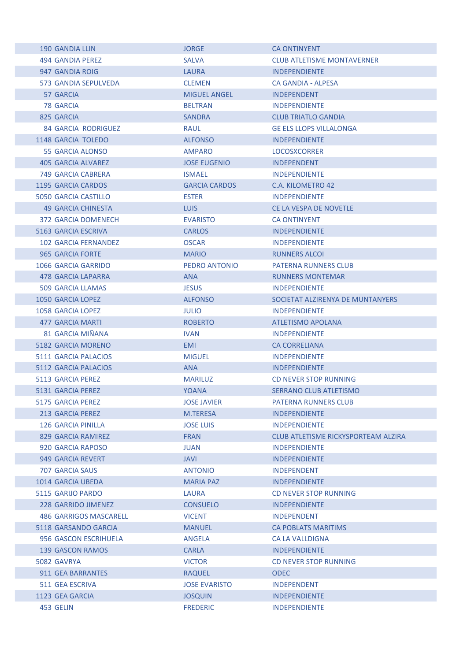| 190 GANDIA LLIN             | <b>JORGE</b>         | <b>CA ONTINYENT</b>                 |
|-----------------------------|----------------------|-------------------------------------|
| 494 GANDIA PEREZ            | <b>SALVA</b>         | <b>CLUB ATLETISME MONTAVERNER</b>   |
| 947 GANDIA ROIG             | LAURA                | <b>INDEPENDIENTE</b>                |
| <b>573 GANDIA SEPULVEDA</b> | <b>CLEMEN</b>        | <b>CA GANDIA - ALPESA</b>           |
| 57 GARCIA                   | <b>MIGUEL ANGEL</b>  | <b>INDEPENDENT</b>                  |
| 78 GARCIA                   | <b>BELTRAN</b>       | <b>INDEPENDIENTE</b>                |
| 825 GARCIA                  | SANDRA               | <b>CLUB TRIATLO GANDIA</b>          |
| <b>84 GARCIA RODRIGUEZ</b>  | RAUL                 | <b>GE ELS LLOPS VILLALONGA</b>      |
| 1148 GARCIA TOLEDO          | <b>ALFONSO</b>       | <b>INDEPENDIENTE</b>                |
| 55 GARCIA ALONSO            | <b>AMPARO</b>        | <b>LOCOSXCORRER</b>                 |
| 405 GARCIA ALVAREZ          | <b>JOSE EUGENIO</b>  | <b>INDEPENDENT</b>                  |
| 749 GARCIA CABRERA          | <b>ISMAEL</b>        | <b>INDEPENDIENTE</b>                |
| 1195 GARCIA CARDOS          | <b>GARCIA CARDOS</b> | C.A. KILOMETRO 42                   |
| <b>5050 GARCIA CASTILLO</b> | <b>ESTER</b>         | <b>INDEPENDIENTE</b>                |
| 49 GARCIA CHINESTA          | LUIS.                | CE LA VESPA DE NOVETLE              |
| <b>372 GARCIA DOMENECH</b>  | <b>EVARISTO</b>      | <b>CA ONTINYENT</b>                 |
| 5163 GARCIA ESCRIVA         | <b>CARLOS</b>        | <b>INDEPENDIENTE</b>                |
| 102 GARCIA FERNANDEZ        | <b>OSCAR</b>         | <b>INDEPENDIENTE</b>                |
| <b>965 GARCIA FORTE</b>     | <b>MARIO</b>         | <b>RUNNERS ALCOL</b>                |
| 1066 GARCIA GARRIDO         | PEDRO ANTONIO        | <b>PATERNA RUNNERS CLUB</b>         |
| 478 GARCIA LAPARRA          | ANA                  | <b>RUNNERS MONTEMAR</b>             |
| 509 GARCIA LLAMAS           | <b>JESUS</b>         | <b>INDEPENDIENTE</b>                |
| <b>1050 GARCIA LOPEZ</b>    | <b>ALFONSO</b>       | SOCIETAT ALZIRENYA DE MUNTANYERS    |
| 1058 GARCIA LOPEZ           | <b>JULIO</b>         | <b>INDEPENDIENTE</b>                |
| <b>477 GARCIA MARTI</b>     | <b>ROBERTO</b>       | ATLETISMO APOLANA                   |
| 81 GARCIA MIÑANA            | <b>IVAN</b>          | <b>INDEPENDIENTE</b>                |
| 5182 GARCIA MORENO          | EMI.                 | <b>CA CORRELIANA</b>                |
| 5111 GARCIA PALACIOS        | <b>MIGUEL</b>        | <b>INDEPENDIENTE</b>                |
| 5112 GARCIA PALACIOS        | ANA                  | <b>INDEPENDIENTE</b>                |
| 5113 GARCIA PEREZ           | <b>MARILUZ</b>       | CD NEVER STOP RUNNING               |
| 5131 GARCIA PEREZ           | <b>YOANA</b>         | SERRANO CLUB ATLETISMO              |
| 5175 GARCIA PEREZ           | <b>JOSE JAVIER</b>   | <b>PATERNA RUNNERS CLUB</b>         |
| 213 GARCIA PEREZ            | M.TERESA             | <b>INDEPENDIENTE</b>                |
| 126 GARCIA PINILLA          | <b>JOSE LUIS</b>     | <b>INDEPENDIENTE</b>                |
| 829 GARCIA RAMIREZ          | <b>FRAN</b>          | CLUB ATLETISME RICKYSPORTEAM ALZIRA |
| 920 GARCIA RAPOSO           | JUAN                 | <b>INDEPENDIENTE</b>                |
| 949 GARCIA REVERT           | <b>JAVI</b>          | <b>INDEPENDIENTE</b>                |
| 707 GARCIA SAUS             | <b>ANTONIO</b>       | <b>INDEPENDENT</b>                  |
| 1014 GARCIA UBEDA           | <b>MARIA PAZ</b>     | <b>INDEPENDIENTE</b>                |
| 5115 GARIJO PARDO           | LAURA                | CD NEVER STOP RUNNING               |
| <b>228 GARRIDO JIMENEZ</b>  | <b>CONSUELO</b>      | <b>INDEPENDIENTE</b>                |
| 486 GARRIGOS MASCARELL      | <b>VICENT</b>        | <b>INDEPENDENT</b>                  |
| 5118 GARSANDO GARCIA        | <b>MANUEL</b>        | <b>CA POBLATS MARITIMS</b>          |
| 956 GASCON ESCRIHUELA       | <b>ANGELA</b>        | CA LA VALLDIGNA                     |
| <b>139 GASCON RAMOS</b>     | <b>CARLA</b>         | <b>INDEPENDIENTE</b>                |
| 5082 GAVRYA                 | <b>VICTOR</b>        | CD NEVER STOP RUNNING               |
| 911 GEA BARRANTES           | <b>RAQUEL</b>        | <b>ODEC</b>                         |
| 511 GEA ESCRIVA             | <b>JOSE EVARISTO</b> | <b>INDEPENDENT</b>                  |
| 1123 GEA GARCIA             | <b>JOSQUIN</b>       | <b>INDEPENDIENTE</b>                |
| 453 GELIN                   | <b>FREDERIC</b>      | <b>INDEPENDIENTE</b>                |
|                             |                      |                                     |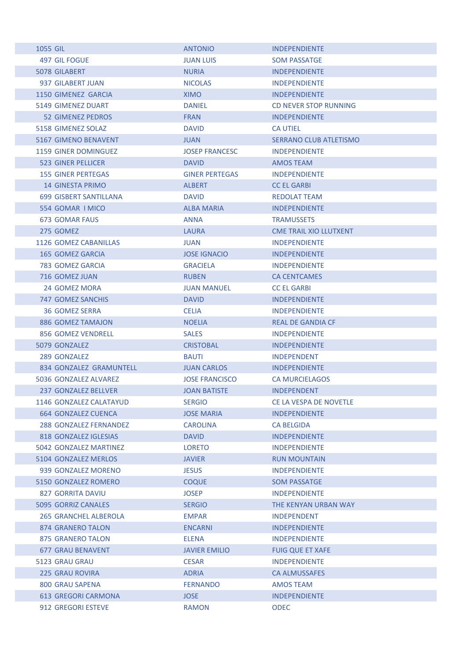| 1055 GIL                     | <b>ANTONIO</b>        | <b>INDEPENDIENTE</b>          |  |
|------------------------------|-----------------------|-------------------------------|--|
| 497 GIL FOGUE                | <b>JUAN LUIS</b>      | <b>SOM PASSATGE</b>           |  |
| 5078 GILABERT                | <b>NURIA</b>          | <b>INDEPENDIENTE</b>          |  |
| 937 GILABERT JUAN            | <b>NICOLAS</b>        | <b>INDEPENDIENTE</b>          |  |
| 1150 GIMENEZ GARCIA          | XIMO                  | <b>INDEPENDIENTE</b>          |  |
| 5149 GIMENEZ DUART           | <b>DANIEL</b>         | CD NEVER STOP RUNNING         |  |
| 52 GIMENEZ PEDROS            | <b>FRAN</b>           | <b>INDEPENDIENTE</b>          |  |
| 5158 GIMENEZ SOLAZ           | <b>DAVID</b>          | CA UTIEL                      |  |
| 5167 GIMENO BENAVENT         | JUAN                  | <b>SERRANO CLUB ATLETISMO</b> |  |
| 1159 GINER DOMINGUEZ         | <b>JOSEP FRANCESC</b> | <b>INDEPENDIENTE</b>          |  |
| 523 GINER PELLICER           | <b>DAVID</b>          | <b>AMOS TEAM</b>              |  |
| <b>155 GINER PERTEGAS</b>    | <b>GINER PERTEGAS</b> | <b>INDEPENDIENTE</b>          |  |
| 14 GINESTA PRIMO             | <b>ALBERT</b>         | <b>CC EL GARBI</b>            |  |
| 699 GISBERT SANTILLANA       | <b>DAVID</b>          | REDOLAT TEAM                  |  |
| 554 GOMAR   MICO             | <b>ALBA MARIA</b>     | <b>INDEPENDIENTE</b>          |  |
| 673 GOMAR FAUS               | <b>ANNA</b>           | <b>TRAMUSSETS</b>             |  |
| 275 GOMEZ                    | LAURA                 | <b>CME TRAIL XIO LLUTXENT</b> |  |
| 1126 GOMEZ CABANILLAS        | <b>JUAN</b>           | <b>INDEPENDIENTE</b>          |  |
| 165 GOMEZ GARCIA             | <b>JOSE IGNACIO</b>   | <b>INDEPENDIENTE</b>          |  |
| 783 GOMEZ GARCIA             | <b>GRACIELA</b>       | <b>INDEPENDIENTE</b>          |  |
| 716 GOMEZ JUAN               | <b>RUBEN</b>          | <b>CA CENTCAMES</b>           |  |
| 24 GOMEZ MORA                | <b>JUAN MANUEL</b>    | <b>CC EL GARBI</b>            |  |
| 747 GOMEZ SANCHIS            | <b>DAVID</b>          | <b>INDEPENDIENTE</b>          |  |
| 36 GOMEZ SERRA               | <b>CELIA</b>          | <b>INDEPENDIENTE</b>          |  |
| 886 GOMEZ TAMAJON            | <b>NOELIA</b>         | REAL DE GANDIA CF             |  |
| 856 GOMEZ VENDRELL           | <b>SALES</b>          | <b>INDEPENDIENTE</b>          |  |
| 5079 GONZALEZ                | <b>CRISTOBAL</b>      | <b>INDEPENDIENTE</b>          |  |
| 289 GONZALEZ                 | <b>BAUTI</b>          | <b>INDEPENDENT</b>            |  |
| 834 GONZALEZ GRAMUNTELL      | <b>JUAN CARLOS</b>    | <b>INDEPENDIENTE</b>          |  |
| 5036 GONZALEZ ALVAREZ        | <b>JOSE FRANCISCO</b> | <b>CA MURCIELAGOS</b>         |  |
| 237 GONZALEZ BELLVER         | <b>JOAN BATISTE</b>   | <b>INDEPENDENT</b>            |  |
| 1146 GONZALEZ CALATAYUD      | <b>SERGIO</b>         | CE LA VESPA DE NOVETLE        |  |
| 664 GONZALEZ CUENCA          | <b>JOSE MARIA</b>     | <b>INDEPENDIENTE</b>          |  |
| 288 GONZALEZ FERNANDEZ       | <b>CAROLINA</b>       | <b>CA BELGIDA</b>             |  |
| 818 GONZALEZ IGLESIAS        | <b>DAVID</b>          | <b>INDEPENDIENTE</b>          |  |
| 5042 GONZALEZ MARTINEZ       | <b>LORETO</b>         | <b>INDEPENDIENTE</b>          |  |
| 5104 GONZALEZ MERLOS         | <b>JAVIER</b>         | <b>RUN MOUNTAIN</b>           |  |
| 939 GONZALEZ MORENO          | <b>JESUS</b>          | <b>INDEPENDIENTE</b>          |  |
| 5150 GONZALEZ ROMERO         | <b>COQUE</b>          | <b>SOM PASSATGE</b>           |  |
| 827 GORRITA DAVIU            | <b>JOSEP</b>          | <b>INDEPENDIENTE</b>          |  |
| 5095 GORRIZ CANALES          | <b>SERGIO</b>         | THE KENYAN URBAN WAY          |  |
| <b>265 GRANCHEL ALBEROLA</b> | <b>EMPAR</b>          | <b>INDEPENDENT</b>            |  |
| 874 GRANERO TALON            | <b>ENCARNI</b>        | <b>INDEPENDIENTE</b>          |  |
| 875 GRANERO TALON            | <b>ELENA</b>          | <b>INDEPENDIENTE</b>          |  |
| 677 GRAU BENAVENT            | <b>JAVIER EMILIO</b>  | <b>FUIG QUE ET XAFE</b>       |  |
| 5123 GRAU GRAU               | <b>CESAR</b>          | <b>INDEPENDIENTE</b>          |  |
| 225 GRAU ROVIRA              | <b>ADRIA</b>          | <b>CA ALMUSSAFES</b>          |  |
| <b>800 GRAU SAPENA</b>       | <b>FERNANDO</b>       | AMOS TEAM                     |  |
| <b>613 GREGORI CARMONA</b>   | <b>JOSE</b>           | <b>INDEPENDIENTE</b>          |  |
| 912 GREGORI ESTEVE           | <b>RAMON</b>          | <b>ODEC</b>                   |  |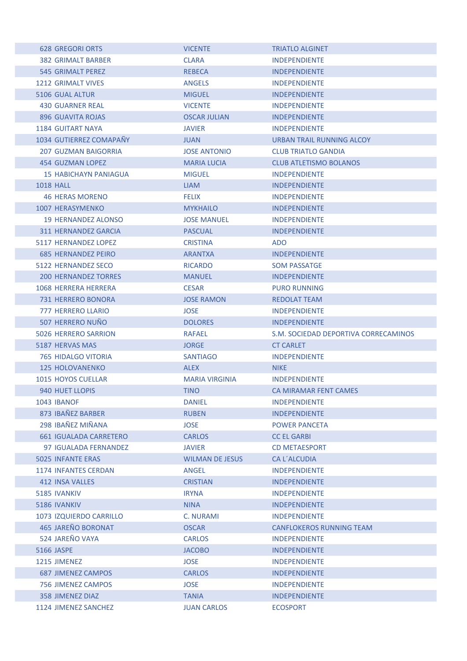| <b>628 GREGORI ORTS</b>       | <b>VICENTE</b>         | <b>TRIATLO ALGINET</b>               |
|-------------------------------|------------------------|--------------------------------------|
| 382 GRIMALT BARBER            | <b>CLARA</b>           | <b>INDEPENDIENTE</b>                 |
| 545 GRIMALT PEREZ             | <b>REBECA</b>          | <b>INDEPENDIENTE</b>                 |
| <b>1212 GRIMALT VIVES</b>     | <b>ANGELS</b>          | <b>INDEPENDIENTE</b>                 |
| 5106 GUAL ALTUR               | <b>MIGUEL</b>          | <b>INDEPENDIENTE</b>                 |
| 430 GUARNER REAL              | <b>VICENTE</b>         | <b>INDEPENDIENTE</b>                 |
| <b>896 GUAVITA ROJAS</b>      | <b>OSCAR JULIAN</b>    | <b>INDEPENDIENTE</b>                 |
| <b>1184 GUITART NAYA</b>      | <b>JAVIER</b>          | <b>INDEPENDIENTE</b>                 |
| 1034 GUTIERREZ COMAPANY       | JUAN                   | URBAN TRAIL RUNNING ALCOY            |
| 207 GUZMAN BAIGORRIA          | <b>JOSE ANTONIO</b>    | <b>CLUB TRIATLO GANDIA</b>           |
| 454 GUZMAN LOPEZ              | <b>MARIA LUCIA</b>     | <b>CLUB ATLETISMO BOLANOS</b>        |
| 15 HABICHAYN PANIAGUA         | <b>MIGUEL</b>          | <b>INDEPENDIENTE</b>                 |
| <b>1018 HALL</b>              | <b>LIAM</b>            | <b>INDEPENDIENTE</b>                 |
| <b>46 HERAS MORENO</b>        | <b>FELIX</b>           | <b>INDEPENDIENTE</b>                 |
| 1007 HERASYMENKO              | <b>MYKHAILO</b>        | <b>INDEPENDIENTE</b>                 |
| <b>19 HERNANDEZ ALONSO</b>    | <b>JOSE MANUEL</b>     | <b>INDEPENDIENTE</b>                 |
| 311 HERNANDEZ GARCIA          | <b>PASCUAL</b>         | <b>INDEPENDIENTE</b>                 |
| 5117 HERNANDEZ LOPEZ          | <b>CRISTINA</b>        | ADO.                                 |
| <b>685 HERNANDEZ PEIRO</b>    | ARANTXA                | <b>INDEPENDIENTE</b>                 |
| 5122 HERNANDEZ SECO           | <b>RICARDO</b>         | <b>SOM PASSATGE</b>                  |
| <b>200 HERNANDEZ TORRES</b>   | <b>MANUEL</b>          | <b>INDEPENDIENTE</b>                 |
| 1068 HERRERA HERRERA          | <b>CESAR</b>           | <b>PURO RUNNING</b>                  |
| 731 HERRERO BONORA            | <b>JOSE RAMON</b>      | REDOLAT TEAM                         |
| 777 HERRERO LLARIO            | <b>JOSE</b>            | <b>INDEPENDIENTE</b>                 |
| 507 HERRERO NUÑO              | <b>DOLORES</b>         | <b>INDEPENDIENTE</b>                 |
| 5026 HERRERO SARRION          | <b>RAFAEL</b>          | S.M. SOCIEDAD DEPORTIVA CORRECAMINOS |
| 5187 HERVAS MAS               | <b>JORGE</b>           | <b>CT CARLET</b>                     |
| <b>765 HIDALGO VITORIA</b>    | <b>SANTIAGO</b>        | <b>INDEPENDIENTE</b>                 |
| 125 HOLOVANENKO               | ALEX                   | <b>NIKE</b>                          |
| <b>1015 HOYOS CUELLAR</b>     | <b>MARIA VIRGINIA</b>  | <b>INDEPENDIENTE</b>                 |
| 940 HUET LLOPIS               | <b>TINO</b>            | CA MIRAMAR FENT CAMES                |
| 1043 IBANOF                   | <b>DANIEL</b>          | <b>INDEPENDIENTE</b>                 |
| 873 IBAÑEZ BARBER             | <b>RUBEN</b>           | <b>INDEPENDIENTE</b>                 |
| 298 IBAÑEZ MIÑANA             | <b>JOSE</b>            | <b>POWER PANCETA</b>                 |
| <b>661 IGUALADA CARRETERO</b> | <b>CARLOS</b>          | <b>CC EL GARBI</b>                   |
| 97 IGUALADA FERNANDEZ         | <b>JAVIER</b>          | <b>CD METAESPORT</b>                 |
| <b>5025 INFANTE ERAS</b>      | <b>WILMAN DE JESUS</b> | CA L'ALCUDIA                         |
| <b>1174 INFANTES CERDAN</b>   | ANGEL                  | <b>INDEPENDIENTE</b>                 |
| <b>412 INSA VALLES</b>        | <b>CRISTIAN</b>        | <b>INDEPENDIENTE</b>                 |
| <b>5185 IVANKIV</b>           | <b>IRYNA</b>           | <b>INDEPENDIENTE</b>                 |
| <b>5186 IVANKIV</b>           | <b>NINA</b>            | <b>INDEPENDIENTE</b>                 |
| 1073 IZQUIERDO CARRILLO       | <b>C. NURAMI</b>       | <b>INDEPENDIENTE</b>                 |
| <b>465 JAREÑO BORONAT</b>     | <b>OSCAR</b>           | CANFLOKEROS RUNNING TEAM             |
| 524 JAREÑO VAYA               | <b>CARLOS</b>          | <b>INDEPENDIENTE</b>                 |
| <b>5166 JASPE</b>             | <b>JACOBO</b>          | <b>INDEPENDIENTE</b>                 |
|                               |                        |                                      |
| 1215 JIMENEZ                  | <b>JOSE</b>            | <b>INDEPENDIENTE</b>                 |
| <b>687 JIMENEZ CAMPOS</b>     | <b>CARLOS</b>          | <b>INDEPENDIENTE</b>                 |
| 756 JIMENEZ CAMPOS            | <b>JOSE</b>            | <b>INDEPENDIENTE</b>                 |
| <b>358 JIMENEZ DIAZ</b>       | <b>TANIA</b>           | <b>INDEPENDIENTE</b>                 |
| 1124 JIMENEZ SANCHEZ          | <b>JUAN CARLOS</b>     | <b>ECOSPORT</b>                      |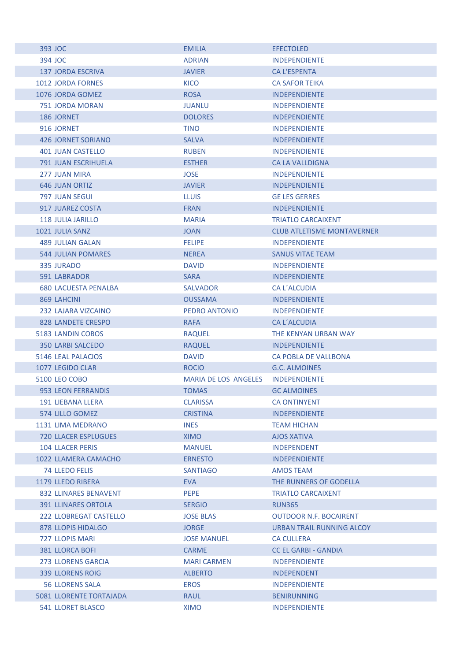| 393 JOC                        | <b>EMILIA</b>        | <b>EFECTOLED</b>                  |
|--------------------------------|----------------------|-----------------------------------|
| 394 JOC                        | <b>ADRIAN</b>        | <b>INDEPENDIENTE</b>              |
| 137 JORDA ESCRIVA              | <b>JAVIER</b>        | CA L'ESPENTA                      |
| <b>1012 JORDA FORNES</b>       | <b>KICO</b>          | <b>CA SAFOR TEIKA</b>             |
| 1076 JORDA GOMEZ               | <b>ROSA</b>          | <b>INDEPENDIENTE</b>              |
| <b>751 JORDA MORAN</b>         | <b>JUANLU</b>        | <b>INDEPENDIENTE</b>              |
| 186 JORNET                     | <b>DOLORES</b>       | <b>INDEPENDIENTE</b>              |
| 916 JORNET                     | <b>TINO</b>          | <b>INDEPENDIENTE</b>              |
| 426 JORNET SORIANO             | <b>SALVA</b>         | <b>INDEPENDIENTE</b>              |
| 401 JUAN CASTELLO              | <b>RUBEN</b>         | <b>INDEPENDIENTE</b>              |
| <b>791 JUAN ESCRIHUELA</b>     | <b>ESTHER</b>        | CA LA VALLDIGNA                   |
| 277 JUAN MIRA                  | <b>JOSE</b>          | <b>INDEPENDIENTE</b>              |
| <b>646 JUAN ORTIZ</b>          | <b>JAVIER</b>        | <b>INDEPENDIENTE</b>              |
| 797 JUAN SEGUI                 | <b>LLUIS</b>         | <b>GE LES GERRES</b>              |
| 917 JUAREZ COSTA               | <b>FRAN</b>          | <b>INDEPENDIENTE</b>              |
| 118 JULIA JARILLO              | <b>MARIA</b>         | <b>TRIATLO CARCAIXENT</b>         |
| 1021 JULIA SANZ                | <b>JOAN</b>          | <b>CLUB ATLETISME MONTAVERNER</b> |
| <b>489 JULIAN GALAN</b>        | <b>FELIPE</b>        | <b>INDEPENDIENTE</b>              |
| 544 JULIAN POMARES             | <b>NEREA</b>         | <b>SANUS VITAE TEAM</b>           |
| 335 JURADO                     | <b>DAVID</b>         | <b>INDEPENDIENTE</b>              |
| 591 LABRADOR                   | <b>SARA</b>          | <b>INDEPENDIENTE</b>              |
| <b>680 LACUESTA PENALBA</b>    | <b>SALVADOR</b>      | CA L'ALCUDIA                      |
| 869 LAHCINI                    | OUSSAMA              | <b>INDEPENDIENTE</b>              |
| 232 LAJARA VIZCAINO            | PEDRO ANTONIO        | <b>INDEPENDIENTE</b>              |
| 828 LANDETE CRESPO             | <b>RAFA</b>          | CA L'ALCUDIA                      |
| 5183 LANDIN COBOS              | <b>RAQUEL</b>        | THE KENYAN URBAN WAY              |
| <b>350 LARBI SALCEDO</b>       | <b>RAQUEL</b>        | <b>INDEPENDIENTE</b>              |
| 5146 LEAL PALACIOS             | <b>DAVID</b>         | CA POBLA DE VALLBONA              |
| 1077 LEGIDO CLAR               | <b>ROCIO</b>         | G.C. ALMOINES                     |
| <b>5100 LEO COBO</b>           | MARIA DE LOS ANGELES | <b>INDEPENDIENTE</b>              |
| 953 LEON FERRANDIS             | <b>TOMAS</b>         | <b>GC ALMOINES</b>                |
| 191 LIEBANA LLERA              | <b>CLARISSA</b>      | <b>CA ONTINYENT</b>               |
| 574 LILLO GOMEZ                | <b>CRISTINA</b>      | <b>INDEPENDIENTE</b>              |
| 1131 LIMA MEDRANO              | <b>INES</b>          | <b>TEAM HICHAN</b>                |
| <b>720 LLACER ESPLUGUES</b>    | <b>XIMO</b>          | AJOS XATIVA                       |
| <b>104 LLACER PERIS</b>        | <b>MANUEL</b>        | <b>INDEPENDENT</b>                |
| 1022 LLAMERA CAMACHO           | <b>ERNESTO</b>       | <b>INDEPENDIENTE</b>              |
| <b>74 LLEDO FELIS</b>          | <b>SANTIAGO</b>      | AMOS TEAM                         |
| 1179 LLEDO RIBERA              | <b>EVA</b>           | THE RUNNERS OF GODELLA            |
| 832 LLINARES BENAVENT          | <b>PEPE</b>          | TRIATLO CARCAIXENT                |
| 391 LLINARES ORTOLA            | <b>SERGIO</b>        | <b>RUN365</b>                     |
| 222 LLOBREGAT CASTELLO         | <b>JOSE BLAS</b>     | <b>OUTDOOR N.F. BOCAIRENT</b>     |
| 878 LLOPIS HIDALGO             | <b>JORGE</b>         | URBAN TRAIL RUNNING ALCOY         |
| 727 LLOPIS MARI                | <b>JOSE MANUEL</b>   | <b>CA CULLERA</b>                 |
| <b>381 LLORCA BOFI</b>         | <b>CARME</b>         | <b>CC EL GARBI - GANDIA</b>       |
| 273 LLORENS GARCIA             | <b>MARI CARMEN</b>   | <b>INDEPENDIENTE</b>              |
| 339 LLORENS ROIG               | <b>ALBERTO</b>       | <b>INDEPENDENT</b>                |
| <b>56 LLORENS SALA</b>         | <b>EROS</b>          | <b>INDEPENDIENTE</b>              |
| <b>5081 LLORENTE TORTAJADA</b> | <b>RAUL</b>          | <b>BENIRUNNING</b>                |
| <b>541 LLORET BLASCO</b>       | <b>XIMO</b>          | <b>INDEPENDIENTE</b>              |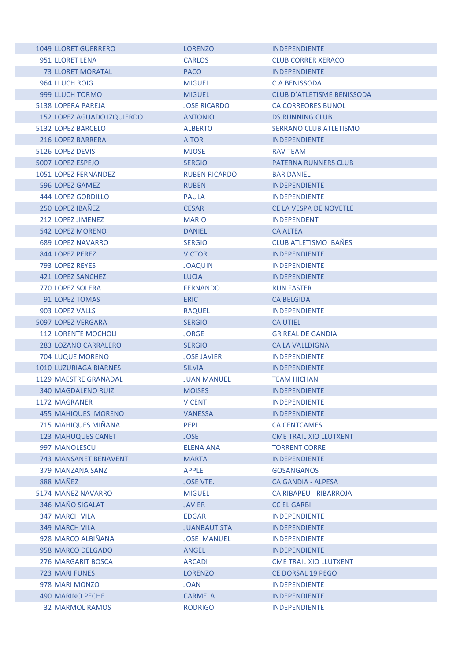|  | 1049 LLORET GUERRERO              | <b>LORENZO</b>       | <b>INDEPENDIENTE</b>              |
|--|-----------------------------------|----------------------|-----------------------------------|
|  | 951 LLORET LENA                   | <b>CARLOS</b>        | <b>CLUB CORRER XERACO</b>         |
|  | <b>73 LLORET MORATAL</b>          | <b>PACO</b>          | <b>INDEPENDIENTE</b>              |
|  | 964 LLUCH ROIG                    | <b>MIGUEL</b>        | C.A.BENISSODA                     |
|  | 999 LLUCH TORMO                   | <b>MIGUEL</b>        | <b>CLUB D'ATLETISME BENISSODA</b> |
|  | <b>5138 LOPERA PAREJA</b>         | <b>JOSE RICARDO</b>  | <b>CA CORREORES BUNOL</b>         |
|  | <b>152 LOPEZ AGUADO IZQUIERDO</b> | <b>ANTONIO</b>       | <b>DS RUNNING CLUB</b>            |
|  | <b>5132 LOPEZ BARCELO</b>         | <b>ALBERTO</b>       | <b>SERRANO CLUB ATLETISMO</b>     |
|  | 216 LOPEZ BARRERA                 | <b>AITOR</b>         | <b>INDEPENDIENTE</b>              |
|  | 5126 LOPEZ DEVIS                  | <b>MJOSE</b>         | <b>RAV TEAM</b>                   |
|  | 5007 LOPEZ ESPEJO                 | <b>SERGIO</b>        | <b>PATERNA RUNNERS CLUB</b>       |
|  | <b>1051 LOPEZ FERNANDEZ</b>       | <b>RUBEN RICARDO</b> | <b>BAR DANIEL</b>                 |
|  | 596 LOPEZ GAMEZ                   | <b>RUBEN</b>         | <b>INDEPENDIENTE</b>              |
|  | <b>444 LOPEZ GORDILLO</b>         | <b>PAULA</b>         | <b>INDEPENDIENTE</b>              |
|  | 250 LOPEZ IBAÑEZ                  | <b>CESAR</b>         | CE LA VESPA DE NOVETLE            |
|  | 212 LOPEZ JIMENEZ                 | <b>MARIO</b>         | <b>INDEPENDENT</b>                |
|  | <b>542 LOPEZ MORENO</b>           | <b>DANIEL</b>        | CA ALTEA                          |
|  | <b>689 LOPEZ NAVARRO</b>          | <b>SERGIO</b>        | <b>CLUB ATLETISMO IBAÑES</b>      |
|  | 844 LOPEZ PEREZ                   | <b>VICTOR</b>        | <b>INDEPENDIENTE</b>              |
|  | <b>793 LOPEZ REYES</b>            | <b>JOAQUIN</b>       | <b>INDEPENDIENTE</b>              |
|  | 421 LOPEZ SANCHEZ                 | <b>LUCIA</b>         | <b>INDEPENDIENTE</b>              |
|  | <b>770 LOPEZ SOLERA</b>           | <b>FERNANDO</b>      | <b>RUN FASTER</b>                 |
|  | 91 LOPEZ TOMAS                    | <b>ERIC</b>          | CA BELGIDA                        |
|  | 903 LOPEZ VALLS                   | <b>RAQUEL</b>        | <b>INDEPENDIENTE</b>              |
|  | 5097 LOPEZ VERGARA                | <b>SERGIO</b>        | CA UTIEL                          |
|  | <b>112 LORENTE MOCHOLI</b>        | <b>JORGE</b>         | <b>GR REAL DE GANDIA</b>          |
|  | 283 LOZANO CARRALERO              | <b>SERGIO</b>        | <b>CA LA VALLDIGNA</b>            |
|  | <b>704 LUQUE MORENO</b>           | <b>JOSE JAVIER</b>   | <b>INDEPENDIENTE</b>              |
|  | 1010 LUZURIAGA BIARNES            | <b>SILVIA</b>        | <b>INDEPENDIENTE</b>              |
|  | <b>1129 MAESTRE GRANADAL</b>      | <b>JUAN MANUEL</b>   | <b>TEAM HICHAN</b>                |
|  | <b>340 MAGDALENO RUIZ</b>         | <b>MOISES</b>        | <b>INDEPENDIENTE</b>              |
|  | 1172 MAGRANER                     | <b>VICENT</b>        | <b>INDEPENDIENTE</b>              |
|  | <b>455 MAHIQUES MORENO</b>        | <b>VANESSA</b>       | <b>INDEPENDIENTE</b>              |
|  | 715 MAHIQUES MIÑANA               | <b>PEPI</b>          | <b>CA CENTCAMES</b>               |
|  | <b>123 MAHUQUES CANET</b>         | <b>JOSE</b>          | <b>CME TRAIL XIO LLUTXENT</b>     |
|  | 997 MANOLESCU                     | ELENA ANA            | <b>TORRENT CORRE</b>              |
|  | <b>743 MANSANET BENAVENT</b>      | <b>MARTA</b>         | <b>INDEPENDIENTE</b>              |
|  | 379 MANZANA SANZ                  | <b>APPLE</b>         | <b>GOSANGANOS</b>                 |
|  | 888 MAÑEZ                         | JOSE VTE.            | CA GANDIA - ALPESA                |
|  | 5174 MAÑEZ NAVARRO                | <b>MIGUEL</b>        | CA RIBAPEU - RIBARROJA            |
|  | 346 MAÑO SIGALAT                  | <b>JAVIER</b>        | <b>CC EL GARBI</b>                |
|  | <b>347 MARCH VILA</b>             | EDGAR                | <b>INDEPENDIENTE</b>              |
|  | <b>349 MARCH VILA</b>             | <b>JUANBAUTISTA</b>  | <b>INDEPENDIENTE</b>              |
|  | 928 MARCO ALBIÑANA                | <b>JOSE MANUEL</b>   | <b>INDEPENDIENTE</b>              |
|  | 958 MARCO DELGADO                 | ANGEL                | <b>INDEPENDIENTE</b>              |
|  | 276 MARGARIT BOSCA                | <b>ARCADI</b>        | <b>CME TRAIL XIO LLUTXENT</b>     |
|  | 723 MARI FUNES                    | <b>LORENZO</b>       | CE DORSAL 19 PEGO                 |
|  | 978 MARI MONZO                    | JOAN                 | <b>INDEPENDIENTE</b>              |
|  | <b>490 MARINO PECHE</b>           | <b>CARMELA</b>       | <b>INDEPENDIENTE</b>              |
|  | <b>32 MARMOL RAMOS</b>            | <b>RODRIGO</b>       | <b>INDEPENDIENTE</b>              |
|  |                                   |                      |                                   |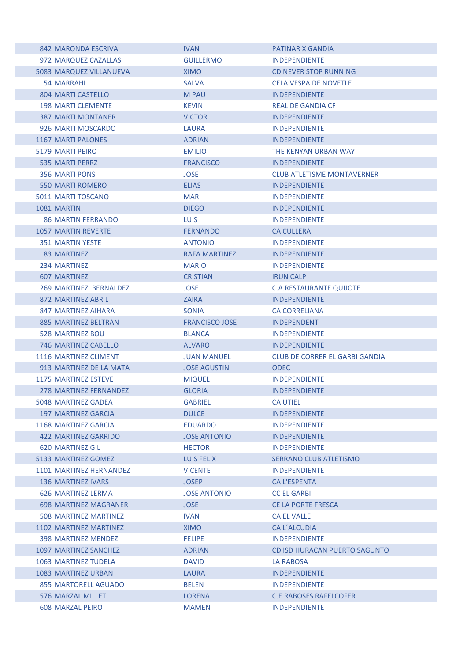| 842 MARONDA ESCRIVA          | <b>IVAN</b>           | PATINAR X GANDIA                      |
|------------------------------|-----------------------|---------------------------------------|
| 972 MARQUEZ CAZALLAS         | <b>GUILLERMO</b>      | <b>INDEPENDIENTE</b>                  |
| 5083 MARQUEZ VILLANUEVA      | <b>XIMO</b>           | CD NEVER STOP RUNNING                 |
| 54 MARRAHI                   | <b>SALVA</b>          | <b>CELA VESPA DE NOVETLE</b>          |
| 804 MARTI CASTELLO           | <b>M PAU</b>          | <b>INDEPENDIENTE</b>                  |
| <b>198 MARTI CLEMENTE</b>    | <b>KEVIN</b>          | REAL DE GANDIA CF                     |
| <b>387 MARTI MONTANER</b>    | <b>VICTOR</b>         | <b>INDEPENDIENTE</b>                  |
| 926 MARTI MOSCARDO           | LAURA                 | <b>INDEPENDIENTE</b>                  |
| 1167 MARTI PALONES           | <b>ADRIAN</b>         | <b>INDEPENDIENTE</b>                  |
| 5179 MARTI PEIRO             | <b>EMILIO</b>         | THE KENYAN URBAN WAY                  |
| 535 MARTI PERRZ              | <b>FRANCISCO</b>      | <b>INDEPENDIENTE</b>                  |
| 356 MARTI PONS               | <b>JOSE</b>           | <b>CLUB ATLETISME MONTAVERNER</b>     |
| <b>550 MARTI ROMERO</b>      | <b>ELIAS</b>          | <b>INDEPENDIENTE</b>                  |
| 5011 MARTI TOSCANO           | <b>MARI</b>           | <b>INDEPENDIENTE</b>                  |
| 1081 MARTIN                  | <b>DIEGO</b>          | <b>INDEPENDIENTE</b>                  |
| <b>86 MARTIN FERRANDO</b>    | <b>LUIS</b>           | <b>INDEPENDIENTE</b>                  |
| 1057 MARTIN REVERTE          | <b>FERNANDO</b>       | <b>CA CULLERA</b>                     |
| <b>351 MARTIN YESTE</b>      | <b>ANTONIO</b>        | <b>INDEPENDIENTE</b>                  |
| 83 MARTINEZ                  | <b>RAFA MARTINEZ</b>  | <b>INDEPENDIENTE</b>                  |
| 234 MARTINEZ                 | <b>MARIO</b>          | <b>INDEPENDIENTE</b>                  |
| 607 MARTINEZ                 | <b>CRISTIAN</b>       | <b>IRUN CALP</b>                      |
| 269 MARTINEZ BERNALDEZ       | <b>JOSE</b>           | <b>C.A.RESTAURANTE QUIJOTE</b>        |
| 872 MARTINEZ ABRIL           | <b>ZAIRA</b>          | <b>INDEPENDIENTE</b>                  |
| 847 MARTINEZ AIHARA          | <b>SONIA</b>          | CA CORRELIANA                         |
| 885 MARTINEZ BELTRAN         | <b>FRANCISCO JOSE</b> | <b>INDEPENDENT</b>                    |
| 528 MARTINEZ BOU             | <b>BLANCA</b>         | <b>INDEPENDIENTE</b>                  |
| 746 MARTINEZ CABELLO         | <b>ALVARO</b>         | <b>INDEPENDIENTE</b>                  |
| 1116 MARTINEZ CLIMENT        | <b>JUAN MANUEL</b>    | <b>CLUB DE CORRER EL GARBI GANDIA</b> |
| 913 MARTINEZ DE LA MATA      | <b>JOSE AGUSTIN</b>   | <b>ODEC</b>                           |
| <b>1175 MARTINEZ ESTEVE</b>  | <b>MIQUEL</b>         | <b>INDEPENDIENTE</b>                  |
| 278 MARTINEZ FERNANDEZ       | <b>GLORIA</b>         | <b>INDEPENDIENTE</b>                  |
| 5048 MARTINEZ GADEA          | <b>GABRIEL</b>        | <b>CA UTIEL</b>                       |
| 197 MARTINEZ GARCIA          | <b>DULCE</b>          | <b>INDEPENDIENTE</b>                  |
| 1168 MARTINEZ GARCIA         | <b>EDUARDO</b>        | <b>INDEPENDIENTE</b>                  |
| 422 MARTINEZ GARRIDO         | <b>JOSE ANTONIO</b>   | <b>INDEPENDIENTE</b>                  |
| 620 MARTINEZ GIL             | <b>HECTOR</b>         | <b>INDEPENDIENTE</b>                  |
| 5133 MARTINEZ GOMEZ          | LUIS FELIX            | SERRANO CLUB ATLETISMO                |
| 1101 MARTINEZ HERNANDEZ      | <b>VICENTE</b>        | <b>INDEPENDIENTE</b>                  |
| 136 MARTINEZ IVARS           | <b>JOSEP</b>          | CA L'ESPENTA                          |
| <b>626 MARTINEZ LERMA</b>    | <b>JOSE ANTONIO</b>   | <b>CC EL GARBI</b>                    |
| <b>698 MARTINEZ MAGRANER</b> | <b>JOSE</b>           | <b>CE LA PORTE FRESCA</b>             |
| 508 MARTINEZ MARTINEZ        | <b>IVAN</b>           | <b>CA EL VALLE</b>                    |
| 1102 MARTINEZ MARTINEZ       | XIMO                  | CA L'ALCUDIA                          |
| <b>398 MARTINEZ MENDEZ</b>   | <b>FELIPE</b>         | <b>INDEPENDIENTE</b>                  |
| 1097 MARTINEZ SANCHEZ        | <b>ADRIAN</b>         | CD ISD HURACAN PUERTO SAGUNTO         |
| <b>1063 MARTINEZ TUDELA</b>  | <b>DAVID</b>          | LA RABOSA                             |
| 1083 MARTINEZ URBAN          | LAURA                 | <b>INDEPENDIENTE</b>                  |
| 855 MARTORELL AGUADO         | <b>BELEN</b>          | <b>INDEPENDIENTE</b>                  |
| 576 MARZAL MILLET            | LORENA                | C.E.RABOSES RAFELCOFER                |
| <b>608 MARZAL PEIRO</b>      | <b>MAMEN</b>          | <b>INDEPENDIENTE</b>                  |
|                              |                       |                                       |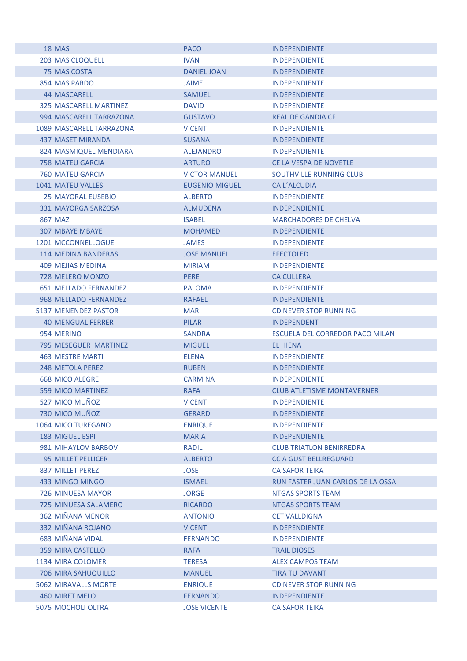|  | 18 MAS                        | <b>PACO</b>          | <b>INDEPENDIENTE</b>              |
|--|-------------------------------|----------------------|-----------------------------------|
|  | <b>203 MAS CLOQUELL</b>       | <b>IVAN</b>          | <b>INDEPENDIENTE</b>              |
|  | 75 MAS COSTA                  | DANIEL JOAN          | <b>INDEPENDIENTE</b>              |
|  | 854 MAS PARDO                 | <b>JAIME</b>         | <b>INDEPENDIENTE</b>              |
|  | 44 MASCARELL                  | <b>SAMUEL</b>        | <b>INDEPENDIENTE</b>              |
|  | <b>325 MASCARELL MARTINEZ</b> | <b>DAVID</b>         | <b>INDEPENDIENTE</b>              |
|  | 994 MASCARELL TARRAZONA       | <b>GUSTAVO</b>       | REAL DE GANDIA CF                 |
|  | 1089 MASCARELL TARRAZONA      | <b>VICENT</b>        | <b>INDEPENDIENTE</b>              |
|  | 437 MASET MIRANDA             | <b>SUSANA</b>        | <b>INDEPENDIENTE</b>              |
|  | 824 MASMIQUEL MENDIARA        | ALEJANDRO            | <b>INDEPENDIENTE</b>              |
|  | 758 MATEU GARCIA              | <b>ARTURO</b>        | CE LA VESPA DE NOVETLE            |
|  | 760 MATEU GARCIA              | <b>VICTOR MANUEL</b> | SOUTHVILLE RUNNING CLUB           |
|  | 1041 MATEU VALLES             | EUGENIO MIGUEL       | CA L'ALCUDIA                      |
|  | 25 MAYORAL EUSEBIO            | <b>ALBERTO</b>       | <b>INDEPENDIENTE</b>              |
|  | 331 MAYORGA SARZOSA           | <b>ALMUDENA</b>      | <b>INDEPENDIENTE</b>              |
|  | 867 MAZ                       | <b>ISABEL</b>        | <b>MARCHADORES DE CHELVA</b>      |
|  | 307 MBAYE MBAYE               | <b>MOHAMED</b>       | <b>INDEPENDIENTE</b>              |
|  | <b>1201 MCCONNELLOGUE</b>     | <b>JAMES</b>         | <b>INDEPENDIENTE</b>              |
|  | <b>114 MEDINA BANDERAS</b>    | <b>JOSE MANUEL</b>   | <b>EFECTOLED</b>                  |
|  | <b>409 MEJIAS MEDINA</b>      | <b>MIRIAM</b>        | <b>INDEPENDIENTE</b>              |
|  | 728 MELERO MONZO              | <b>PERE</b>          | <b>CA CULLERA</b>                 |
|  | <b>651 MELLADO FERNANDEZ</b>  | <b>PALOMA</b>        | <b>INDEPENDIENTE</b>              |
|  | 968 MELLADO FERNANDEZ         | RAFAEL               | <b>INDEPENDIENTE</b>              |
|  | 5137 MENENDEZ PASTOR          | <b>MAR</b>           | CD NEVER STOP RUNNING             |
|  | 40 MENGUAL FERRER             | <b>PILAR</b>         | <b>INDEPENDENT</b>                |
|  | 954 MERINO                    | <b>SANDRA</b>        | ESCUELA DEL CORREDOR PACO MILAN   |
|  | 795 MESEGUER MARTINEZ         | <b>MIGUEL</b>        | EL HIENA                          |
|  | 463 MESTRE MARTI              | <b>ELENA</b>         | <b>INDEPENDIENTE</b>              |
|  | 248 METOLA PEREZ              | <b>RUBEN</b>         | <b>INDEPENDIENTE</b>              |
|  | <b>668 MICO ALEGRE</b>        | <b>CARMINA</b>       | <b>INDEPENDIENTE</b>              |
|  | <b>559 MICO MARTINEZ</b>      | <b>RAFA</b>          | <b>CLUB ATLETISME MONTAVERNER</b> |
|  | 527 MICO MUÑOZ                | <b>VICENT</b>        | <b>INDEPENDIENTE</b>              |
|  | 730 MICO MUÑOZ                | <b>GERARD</b>        | <b>INDEPENDIENTE</b>              |
|  | <b>1064 MICO TUREGANO</b>     | <b>ENRIQUE</b>       | <b>INDEPENDIENTE</b>              |
|  | 183 MIGUEL ESPI               | <b>MARIA</b>         | <b>INDEPENDIENTE</b>              |
|  | 981 MIHAYLOV BARBOV           | <b>RADIL</b>         | <b>CLUB TRIATLON BENIRREDRA</b>   |
|  | 95 MILLET PELLICER            | <b>ALBERTO</b>       | <b>CC A GUST BELLREGUARD</b>      |
|  | 837 MILLET PEREZ              | <b>JOSE</b>          | <b>CA SAFOR TEIKA</b>             |
|  | 433 MINGO MINGO               | <b>ISMAEL</b>        | RUN FASTER JUAN CARLOS DE LA OSSA |
|  | <b>726 MINUESA MAYOR</b>      | <b>JORGE</b>         | <b>NTGAS SPORTS TEAM</b>          |
|  | 725 MINUESA SALAMERO          | <b>RICARDO</b>       | NTGAS SPORTS TEAM                 |
|  | 362 MIÑANA MENOR              | <b>ANTONIO</b>       | <b>CET VALLDIGNA</b>              |
|  | 332 MIÑANA ROJANO             | <b>VICENT</b>        | <b>INDEPENDIENTE</b>              |
|  | 683 MIÑANA VIDAL              | <b>FERNANDO</b>      | <b>INDEPENDIENTE</b>              |
|  | <b>359 MIRA CASTELLO</b>      | <b>RAFA</b>          | <b>TRAIL DIOSES</b>               |
|  | 1134 MIRA COLOMER             | <b>TERESA</b>        | <b>ALEX CAMPOS TEAM</b>           |
|  | <b>706 MIRA SAHUQUILLO</b>    | <b>MANUEL</b>        | <b>TIRA TU DAVANT</b>             |
|  | <b>5062 MIRAVALLS MORTE</b>   | <b>ENRIQUE</b>       | CD NEVER STOP RUNNING             |
|  | 460 MIRET MELO                | <b>FERNANDO</b>      | <b>INDEPENDIENTE</b>              |
|  | 5075 MOCHOLI OLTRA            | <b>JOSE VICENTE</b>  | <b>CA SAFOR TEIKA</b>             |
|  |                               |                      |                                   |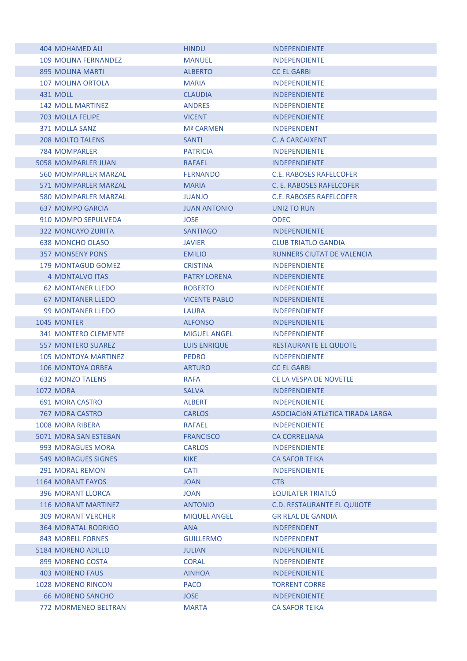| <b>404 MOHAMED ALI</b>      | <b>HINDU</b>         | <b>INDEPENDIENTE</b>             |
|-----------------------------|----------------------|----------------------------------|
| 109 MOLINA FERNANDEZ        | <b>MANUEL</b>        | <b>INDEPENDIENTE</b>             |
| 895 MOLINA MARTI            | <b>ALBERTO</b>       | <b>CC EL GARBI</b>               |
| 107 MOLINA ORTOLA           | <b>MARIA</b>         | <b>INDEPENDIENTE</b>             |
| 431 MOLL                    | <b>CLAUDIA</b>       | <b>INDEPENDIENTE</b>             |
| 142 MOLL MARTINEZ           | <b>ANDRES</b>        | <b>INDEPENDIENTE</b>             |
| 703 MOLLA FELIPE            | <b>VICENT</b>        | <b>INDEPENDIENTE</b>             |
| 371 MOLLA SANZ              | <b>Mª CARMEN</b>     | <b>INDEPENDENT</b>               |
| <b>208 MOLTO TALENS</b>     | <b>SANTI</b>         | C. A CARCAIXENT                  |
| 784 MOMPARLER               | <b>PATRICIA</b>      | <b>INDEPENDIENTE</b>             |
| 5058 MOMPARLER JUAN         | <b>RAFAEL</b>        | <b>INDEPENDIENTE</b>             |
| 560 MOMPARLER MARZAL        | <b>FERNANDO</b>      | C.E. RABOSES RAFELCOFER          |
| 571 MOMPARLER MARZAL        | <b>MARIA</b>         | C. E. RABOSES RAFELCOFER         |
| 580 MOMPARLER MARZAL        | <b>OLIANJUL</b>      | C.E. RABOSES RAFELCOFER          |
| 637 MOMPO GARCIA            | <b>JUAN ANTONIO</b>  | UNI2 TO RUN                      |
| 910 MOMPO SEPULVEDA         | <b>JOSE</b>          | <b>ODEC</b>                      |
| 322 MONCAYO ZURITA          | <b>SANTIAGO</b>      | <b>INDEPENDIENTE</b>             |
| <b>638 MONCHO OLASO</b>     | <b>JAVIER</b>        | <b>CLUB TRIATLO GANDIA</b>       |
| 357 MONSENY PONS            | <b>EMILIO</b>        | RUNNERS CIUTAT DE VALENCIA       |
| 179 MONTAGUD GOMEZ          | <b>CRISTINA</b>      | <b>INDEPENDIENTE</b>             |
| 4 MONTALVO ITAS             | <b>PATRY LORENA</b>  | <b>INDEPENDIENTE</b>             |
| <b>62 MONTANER LLEDO</b>    | <b>ROBERTO</b>       | <b>INDEPENDIENTE</b>             |
| <b>67 MONTANER LLEDO</b>    | <b>VICENTE PABLO</b> | <b>INDEPENDIENTE</b>             |
| <b>99 MONTANER LLEDO</b>    | LAURA                | <b>INDEPENDIENTE</b>             |
| 1045 MONTER                 | <b>ALFONSO</b>       | <b>INDEPENDIENTE</b>             |
| 341 MONTERO CLEMENTE        | <b>MIGUEL ANGEL</b>  | <b>INDEPENDIENTE</b>             |
| <b>557 MONTERO SUAREZ</b>   | <b>LUIS ENRIQUE</b>  | <b>RESTAURANTE EL QUIJOTE</b>    |
| 105 MONTOYA MARTINEZ        | <b>PEDRO</b>         | <b>INDEPENDIENTE</b>             |
| 106 MONTOYA ORBEA           | <b>ARTURO</b>        | <b>CC EL GARBI</b>               |
| <b>632 MONZO TALENS</b>     | <b>RAFA</b>          | CE LA VESPA DE NOVETLE           |
| <b>1072 MORA</b>            | <b>SALVA</b>         | <b>INDEPENDIENTE</b>             |
| <b>691 MORA CASTRO</b>      | <b>ALBERT</b>        | <b>INDEPENDIENTE</b>             |
| 767 MORA CASTRO             | <b>CARLOS</b>        | ASOCIACIÓN ATLÉTICA TIRADA LARGA |
| 1008 MORA RIBERA            | <b>RAFAEL</b>        | <b>INDEPENDIENTE</b>             |
| 5071 MORA SAN ESTEBAN       | <b>FRANCISCO</b>     | <b>CA CORRELIANA</b>             |
| 993 MORAGUES MORA           | <b>CARLOS</b>        | <b>INDEPENDIENTE</b>             |
| <b>549 MORAGUES SIGNES</b>  | <b>KIKE</b>          | <b>CA SAFOR TEIKA</b>            |
| 291 MORAL REMON             | <b>CATI</b>          | <b>INDEPENDIENTE</b>             |
| <b>1164 MORANT FAYOS</b>    | <b>JOAN</b>          | CTB                              |
| <b>396 MORANT LLORCA</b>    | <b>JOAN</b>          | <b>EQUILATER TRIATLÓ</b>         |
| 116 MORANT MARTINEZ         | <b>ANTONIO</b>       | C.D. RESTAURANTE EL QUIJOTE      |
| <b>309 MORANT VERCHER</b>   | <b>MIQUEL ANGEL</b>  | <b>GR REAL DE GANDIA</b>         |
| <b>364 MORATAL RODRIGO</b>  | <b>ANA</b>           | <b>INDEPENDENT</b>               |
| 843 MORELL FORNES           | <b>GUILLERMO</b>     | <b>INDEPENDENT</b>               |
| 5184 MORENO ADILLO          | <b>JULIAN</b>        | <b>INDEPENDIENTE</b>             |
| 899 MORENO COSTA            | <b>CORAL</b>         | <b>INDEPENDIENTE</b>             |
| 403 MORENO FAUS             | <b>AINHOA</b>        | <b>INDEPENDIENTE</b>             |
| <b>1028 MORENO RINCON</b>   | <b>PACO</b>          | <b>TORRENT CORRE</b>             |
| <b>66 MORENO SANCHO</b>     | <b>JOSE</b>          | <b>INDEPENDIENTE</b>             |
| <b>772 MORMENEO BELTRAN</b> | <b>MARTA</b>         | <b>CA SAFOR TEIKA</b>            |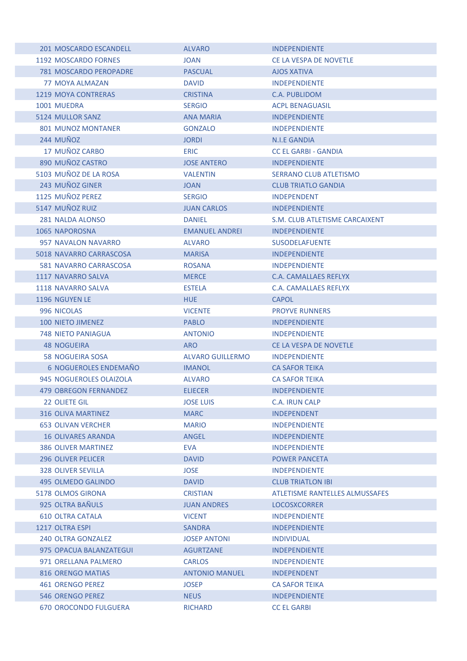| 201 MOSCARDO ESCANDELL       | <b>ALVARO</b>         | <b>INDEPENDIENTE</b>           |
|------------------------------|-----------------------|--------------------------------|
| 1192 MOSCARDO FORNES         | <b>JOAN</b>           | CE LA VESPA DE NOVETLE         |
| 781 MOSCARDO PEROPADRE       | <b>PASCUAL</b>        | AJOS XATIVA                    |
| 77 MOYA ALMAZAN              | <b>DAVID</b>          | <b>INDEPENDIENTE</b>           |
| <b>1219 MOYA CONTRERAS</b>   | <b>CRISTINA</b>       | C.A. PUBLIDOM                  |
| 1001 MUEDRA                  | <b>SERGIO</b>         | <b>ACPL BENAGUASIL</b>         |
| 5124 MULLOR SANZ             | <b>ANA MARIA</b>      | <b>INDEPENDIENTE</b>           |
| <b>801 MUNOZ MONTANER</b>    | <b>GONZALO</b>        | <b>INDEPENDIENTE</b>           |
| 244 MUÑOZ                    | <b>JORDI</b>          | N.I.E GANDIA                   |
| 17 MUÑOZ CARBO               | <b>ERIC</b>           | <b>CC EL GARBI - GANDIA</b>    |
| 890 MUÑOZ CASTRO             | <b>JOSE ANTERO</b>    | <b>INDEPENDIENTE</b>           |
| 5103 MUÑOZ DE LA ROSA        | <b>VALENTIN</b>       | SERRANO CLUB ATLETISMO         |
| 243 MUÑOZ GINER              | <b>JOAN</b>           | <b>CLUB TRIATLO GANDIA</b>     |
| 1125 MUÑOZ PEREZ             | <b>SERGIO</b>         | <b>INDEPENDENT</b>             |
| 5147 MUÑOZ RUIZ              | <b>JUAN CARLOS</b>    | <b>INDEPENDIENTE</b>           |
| 281 NALDA ALONSO             | <b>DANIEL</b>         | S.M. CLUB ATLETISME CARCAIXENT |
| 1065 NAPOROSNA               | <b>EMANUEL ANDREI</b> | <b>INDEPENDIENTE</b>           |
| 957 NAVALON NAVARRO          | <b>ALVARO</b>         | <b>SUSODELAFUENTE</b>          |
| 5018 NAVARRO CARRASCOSA      | <b>MARISA</b>         | <b>INDEPENDIENTE</b>           |
| 581 NAVARRO CARRASCOSA       | <b>ROSANA</b>         | <b>INDEPENDIENTE</b>           |
| 1117 NAVARRO SALVA           | <b>MERCE</b>          | C.A. CAMALLAES REFLYX          |
| 1118 NAVARRO SALVA           | <b>ESTELA</b>         | C.A. CAMALLAES REFLYX          |
| 1196 NGUYEN LE               | <b>HUE</b>            | <b>CAPOL</b>                   |
| 996 NICOLAS                  | <b>VICENTE</b>        | <b>PROYVE RUNNERS</b>          |
| 100 NIETO JIMENEZ            | <b>PABLO</b>          | <b>INDEPENDIENTE</b>           |
| <b>748 NIETO PANIAGUA</b>    | <b>ANTONIO</b>        | <b>INDEPENDIENTE</b>           |
| <b>48 NOGUEIRA</b>           | <b>ARO</b>            | <b>CE LA VESPA DE NOVETLE</b>  |
| 58 NOGUEIRA SOSA             | ALVARO GUILLERMO      | <b>INDEPENDIENTE</b>           |
| <b>6 NOGUEROLES ENDEMAÑO</b> | <b>IMANOL</b>         | <b>CA SAFOR TEIKA</b>          |
| 945 NOGUEROLES OLAIZOLA      | <b>ALVARO</b>         | <b>CA SAFOR TEIKA</b>          |
| <b>479 OBREGON FERNANDEZ</b> | <b>ELIECER</b>        | <b>INDEPENDIENTE</b>           |
| 22 OLIETE GIL                | <b>JOSE LUIS</b>      | <b>C.A. IRUN CALP</b>          |
| <b>316 OLIVA MARTINEZ</b>    | <b>MARC</b>           | <b>INDEPENDENT</b>             |
| <b>653 OLIVAN VERCHER</b>    | <b>MARIO</b>          | <b>INDEPENDIENTE</b>           |
| <b>16 OLIVARES ARANDA</b>    | ANGEL                 | <b>INDEPENDIENTE</b>           |
| <b>386 OLIVER MARTINEZ</b>   | <b>EVA</b>            | <b>INDEPENDIENTE</b>           |
| <b>296 OLIVER PELICER</b>    | <b>DAVID</b>          | POWER PANCETA                  |
| <b>328 OLIVER SEVILLA</b>    | <b>JOSE</b>           | <b>INDEPENDIENTE</b>           |
| <b>495 OLMEDO GALINDO</b>    | <b>DAVID</b>          | <b>CLUB TRIATLON IBI</b>       |
| 5178 OLMOS GIRONA            | <b>CRISTIAN</b>       | ATLETISME RANTELLES ALMUSSAFES |
| 925 OLTRA BAÑULS             | <b>JUAN ANDRES</b>    | <b>LOCOSXCORRER</b>            |
| <b>610 OLTRA CATALA</b>      | <b>VICENT</b>         | <b>INDEPENDIENTE</b>           |
| 1217 OLTRA ESPI              | <b>SANDRA</b>         | <b>INDEPENDIENTE</b>           |
| <b>240 OLTRA GONZALEZ</b>    | <b>JOSEP ANTONI</b>   | <b>INDIVIDUAL</b>              |
| 975 OPACUA BALANZATEGUI      | <b>AGURTZANE</b>      | <b>INDEPENDIENTE</b>           |
| 971 ORELLANA PALMERO         | <b>CARLOS</b>         | <b>INDEPENDIENTE</b>           |
| 816 ORENGO MATIAS            | <b>ANTONIO MANUEL</b> | <b>INDEPENDENT</b>             |
| 461 ORENGO PEREZ             | <b>JOSEP</b>          | <b>CA SAFOR TEIKA</b>          |
| 546 ORENGO PEREZ             | <b>NEUS</b>           | <b>INDEPENDIENTE</b>           |
| <b>670 OROCONDO FULGUERA</b> | <b>RICHARD</b>        | <b>CC EL GARBI</b>             |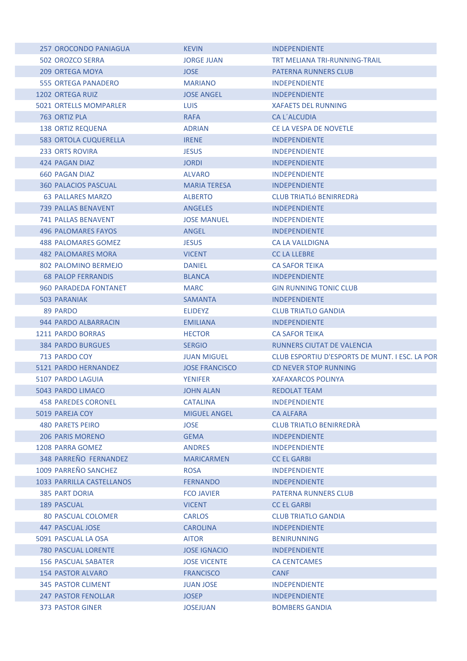| 257 OROCONDO PANIAGUA        | <b>KEVIN</b>          | <b>INDEPENDIENTE</b>                           |
|------------------------------|-----------------------|------------------------------------------------|
| 502 OROZCO SERRA             | <b>JORGE JUAN</b>     | TRT MELIANA TRI-RUNNING-TRAIL                  |
| 209 ORTEGA MOYA              | <b>JOSE</b>           | PATERNA RUNNERS CLUB                           |
| 555 ORTEGA PANADERO          | <b>MARIANO</b>        | <b>INDEPENDIENTE</b>                           |
| 1202 ORTEGA RUIZ             | <b>JOSE ANGEL</b>     | <b>INDEPENDIENTE</b>                           |
| 5021 ORTELLS MOMPARLER       | LUIS.                 | <b>XAFAETS DEL RUNNING</b>                     |
| 763 ORTIZ PLA                | <b>RAFA</b>           | CA L'ALCUDIA                                   |
| <b>138 ORTIZ REQUENA</b>     | <b>ADRIAN</b>         | CE LA VESPA DE NOVETLE                         |
| <b>583 ORTOLA CUQUERELLA</b> | <b>IRENE</b>          | <b>INDEPENDIENTE</b>                           |
| 233 ORTS ROVIRA              | <b>JESUS</b>          | <b>INDEPENDIENTE</b>                           |
| 424 PAGAN DIAZ               | <b>JORDI</b>          | <b>INDEPENDIENTE</b>                           |
| <b>660 PAGAN DIAZ</b>        | <b>ALVARO</b>         | <b>INDEPENDIENTE</b>                           |
| <b>360 PALACIOS PASCUAL</b>  | <b>MARIA TERESA</b>   | <b>INDEPENDIENTE</b>                           |
| <b>63 PALLARES MARZO</b>     | <b>ALBERTO</b>        | CLUB TRIATLÓ BENIRREDRA                        |
| 739 PALLAS BENAVENT          | ANGELES               | <b>INDEPENDIENTE</b>                           |
| 741 PALLAS BENAVENT          | <b>JOSE MANUEL</b>    | <b>INDEPENDIENTE</b>                           |
| 496 PALOMARES FAYOS          | ANGEL                 | <b>INDEPENDIENTE</b>                           |
| <b>488 PALOMARES GOMEZ</b>   | <b>JESUS</b>          | CA LA VALLDIGNA                                |
| 482 PALOMARES MORA           | <b>VICENT</b>         | <b>CC LA LLEBRE</b>                            |
| 802 PALOMINO BERMEJO         | <b>DANIEL</b>         | <b>CA SAFOR TEIKA</b>                          |
| <b>68 PALOP FERRANDIS</b>    | <b>BLANCA</b>         | <b>INDEPENDIENTE</b>                           |
| 960 PARADEDA FONTANET        | MARC                  | <b>GIN RUNNING TONIC CLUB</b>                  |
| 503 PARANIAK                 | SAMANTA               | <b>INDEPENDIENTE</b>                           |
| 89 PARDO                     | <b>ELIDEYZ</b>        | <b>CLUB TRIATLO GANDIA</b>                     |
| 944 PARDO ALBARRACIN         | EMILIANA              | <b>INDEPENDIENTE</b>                           |
| 1211 PARDO BORRAS            | <b>HECTOR</b>         | <b>CA SAFOR TEIKA</b>                          |
| <b>384 PARDO BURGUES</b>     | <b>SERGIO</b>         | RUNNERS CIUTAT DE VALENCIA                     |
| 713 PARDO COY                | <b>JUAN MIGUEL</b>    | CLUB ESPORTIU D'ESPORTS DE MUNT. I ESC. LA POR |
| 5121 PARDO HERNANDEZ         | <b>JOSE FRANCISCO</b> | CD NEVER STOP RUNNING                          |
| <b>5107 PARDO LAGUIA</b>     | <b>YENIFER</b>        | <b>XAFAXARCOS POLINYA</b>                      |
| 5043 PARDO LIMACO            | <b>JOHN ALAN</b>      | REDOLAT TEAM                                   |
| 458 PAREDES CORONEL          | CATALINA              | <b>INDEPENDIENTE</b>                           |
| 5019 PAREJA COY              | <b>MIGUEL ANGEL</b>   | <b>CA ALFARA</b>                               |
| <b>480 PARETS PEIRO</b>      | <b>JOSE</b>           | <b>CLUB TRIATLO BENIRREDRÀ</b>                 |
| <b>206 PARIS MORENO</b>      | <b>GEMA</b>           | <b>INDEPENDIENTE</b>                           |
| 1208 PARRA GOMEZ             | <b>ANDRES</b>         | <b>INDEPENDIENTE</b>                           |
| 348 PARREÑO FERNANDEZ        | <b>MARICARMEN</b>     | <b>CC EL GARBI</b>                             |
| 1009 PARREÑO SANCHEZ         | <b>ROSA</b>           | <b>INDEPENDIENTE</b>                           |
| 1033 PARRILLA CASTELLANOS    | <b>FERNANDO</b>       | <b>INDEPENDIENTE</b>                           |
| <b>385 PART DORIA</b>        | <b>FCO JAVIER</b>     | PATERNA RUNNERS CLUB                           |
| 189 PASCUAL                  | <b>VICENT</b>         | <b>CC EL GARBI</b>                             |
| <b>80 PASCUAL COLOMER</b>    | <b>CARLOS</b>         | <b>CLUB TRIATLO GANDIA</b>                     |
| <b>447 PASCUAL JOSE</b>      | <b>CAROLINA</b>       | <b>INDEPENDIENTE</b>                           |
| 5091 PASCUAL LA OSA          | <b>AITOR</b>          | <b>BENIRUNNING</b>                             |
| 780 PASCUAL LORENTE          | <b>JOSE IGNACIO</b>   | <b>INDEPENDIENTE</b>                           |
| <b>156 PASCUAL SABATER</b>   | <b>JOSE VICENTE</b>   | <b>CA CENTCAMES</b>                            |
| 154 PASTOR ALVARO            | <b>FRANCISCO</b>      | <b>CANF</b>                                    |
| 345 PASTOR CLIMENT           | <b>JUAN JOSE</b>      | <b>INDEPENDIENTE</b>                           |
| <b>247 PASTOR FENOLLAR</b>   | <b>JOSEP</b>          | <b>INDEPENDIENTE</b>                           |
| 373 PASTOR GINER             | <b>JOSEJUAN</b>       | <b>BOMBERS GANDIA</b>                          |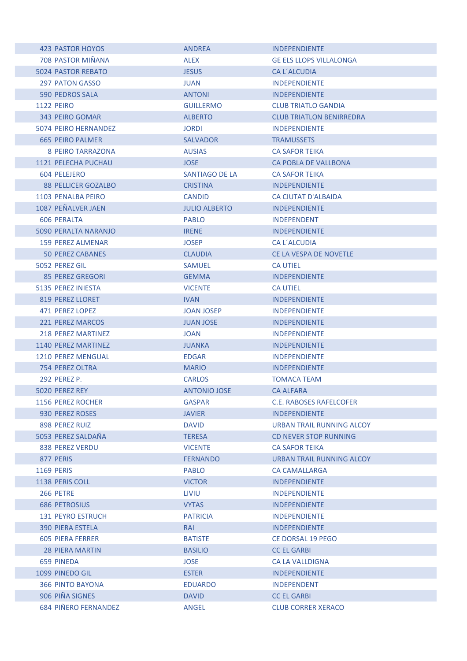| <b>423 PASTOR HOYOS</b>    | ANDREA               | <b>INDEPENDIENTE</b>            |
|----------------------------|----------------------|---------------------------------|
| 708 PASTOR MIÑANA          | <b>ALEX</b>          | <b>GE ELS LLOPS VILLALONGA</b>  |
| <b>5024 PASTOR REBATO</b>  | <b>JESUS</b>         | CA L'ALCUDIA                    |
| <b>297 PATON GASSO</b>     | <b>JUAN</b>          | <b>INDEPENDIENTE</b>            |
| 590 PEDROS SALA            | <b>ANTONI</b>        | <b>INDEPENDIENTE</b>            |
| <b>1122 PEIRO</b>          | <b>GUILLERMO</b>     | <b>CLUB TRIATLO GANDIA</b>      |
| 343 PEIRO GOMAR            | <b>ALBERTO</b>       | <b>CLUB TRIATLON BENIRREDRA</b> |
| 5074 PEIRO HERNANDEZ       | <b>JORDI</b>         | <b>INDEPENDIENTE</b>            |
| <b>665 PEIRO PALMER</b>    | <b>SALVADOR</b>      | <b>TRAMUSSETS</b>               |
| 8 PEIRO TARRAZONA          | <b>AUSIAS</b>        | <b>CA SAFOR TEIKA</b>           |
| 1121 PELECHA PUCHAU        | <b>JOSE</b>          | CA POBLA DE VALLBONA            |
| 604 PELEJERO               | SANTIAGO DE LA       | <b>CA SAFOR TEIKA</b>           |
| <b>88 PELLICER GOZALBO</b> | <b>CRISTINA</b>      | <b>INDEPENDIENTE</b>            |
| 1103 PENALBA PEIRO         | <b>CANDID</b>        | <b>CA CIUTAT D'ALBAIDA</b>      |
| 1087 PEÑALVER JAEN         | <b>JULIO ALBERTO</b> | <b>INDEPENDIENTE</b>            |
| <b>606 PERALTA</b>         | <b>PABLO</b>         | <b>INDEPENDENT</b>              |
| 5090 PERALTA NARANJO       | <b>IRENE</b>         | <b>INDEPENDIENTE</b>            |
| <b>159 PEREZ ALMENAR</b>   | <b>JOSEP</b>         | CA L'ALCUDIA                    |
| <b>50 PEREZ CABANES</b>    | <b>CLAUDIA</b>       | CE LA VESPA DE NOVETLE          |
| 5052 PEREZ GIL             | <b>SAMUEL</b>        | CA UTIEL                        |
| 85 PEREZ GREGORI           | <b>GEMMA</b>         | <b>INDEPENDIENTE</b>            |
| 5135 PEREZ INIESTA         | <b>VICENTE</b>       | CA UTIEL                        |
| 819 PEREZ LLORET           | <b>IVAN</b>          | <b>INDEPENDIENTE</b>            |
| 471 PEREZ LOPEZ            | <b>JOAN JOSEP</b>    | <b>INDEPENDIENTE</b>            |
| 221 PEREZ MARCOS           | <b>JUAN JOSE</b>     | <b>INDEPENDIENTE</b>            |
| 218 PEREZ MARTINEZ         | <b>JOAN</b>          | <b>INDEPENDIENTE</b>            |
| 1140 PEREZ MARTINEZ        | <b>JUANKA</b>        | <b>INDEPENDIENTE</b>            |
| <b>1210 PEREZ MENGUAL</b>  | EDGAR                | <b>INDEPENDIENTE</b>            |
| 754 PEREZ OLTRA            | <b>MARIO</b>         | <b>INDEPENDIENTE</b>            |
| 292 PEREZ P.               | <b>CARLOS</b>        | <b>TOMACA TEAM</b>              |
| 5020 PEREZ REY             | <b>ANTONIO JOSE</b>  | <b>CA ALFARA</b>                |
| 1156 PEREZ ROCHER          | <b>GASPAR</b>        | C.E. RABOSES RAFELCOFER         |
| 930 PEREZ ROSES            | <b>JAVIER</b>        | <b>INDEPENDIENTE</b>            |
| 898 PEREZ RUIZ             | <b>DAVID</b>         | URBAN TRAIL RUNNING ALCOY       |
| 5053 PEREZ SALDAÑA         | <b>TERESA</b>        | CD NEVER STOP RUNNING           |
| 838 PEREZ VERDU            | <b>VICENTE</b>       | <b>CA SAFOR TEIKA</b>           |
| 877 PERIS                  | FERNANDO             | URBAN TRAIL RUNNING ALCOY       |
| <b>1169 PERIS</b>          |                      |                                 |
|                            | <b>PABLO</b>         | CA CAMALLARGA                   |
| 1138 PERIS COLL            | <b>VICTOR</b>        | <b>INDEPENDIENTE</b>            |
| 266 PETRE                  | <b>LIVIU</b>         | <b>INDEPENDIENTE</b>            |
| <b>686 PETROSIUS</b>       | <b>VYTAS</b>         | <b>INDEPENDIENTE</b>            |
| <b>131 PEYRO ESTRUCH</b>   | <b>PATRICIA</b>      | <b>INDEPENDIENTE</b>            |
| <b>390 PIERA ESTELA</b>    | RAI                  | <b>INDEPENDIENTE</b>            |
| <b>605 PIERA FERRER</b>    | <b>BATISTE</b>       | CE DORSAL 19 PEGO               |
| <b>28 PIERA MARTIN</b>     | <b>BASILIO</b>       | <b>CC EL GARBI</b>              |
| 659 PINEDA                 | <b>JOSE</b>          | CA LA VALLDIGNA                 |
| 1099 PINEDO GIL            | <b>ESTER</b>         | <b>INDEPENDIENTE</b>            |
| <b>366 PINTO BAYONA</b>    | <b>EDUARDO</b>       | <b>INDEPENDENT</b>              |
| 906 PIÑA SIGNES            | <b>DAVID</b>         | <b>CC EL GARBI</b>              |
| 684 PIÑERO FERNANDEZ       | ANGEL                | <b>CLUB CORRER XERACO</b>       |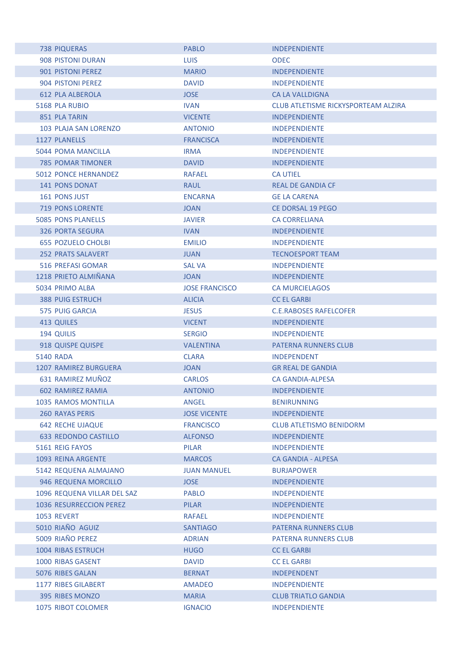| <b>738 PIQUERAS</b>         | <b>PABLO</b>          | <b>INDEPENDIENTE</b>                |
|-----------------------------|-----------------------|-------------------------------------|
| 908 PISTONI DURAN           | LUIS.                 | <b>ODEC</b>                         |
| 901 PISTONI PEREZ           | <b>MARIO</b>          | <b>INDEPENDIENTE</b>                |
| 904 PISTONI PEREZ           | <b>DAVID</b>          | <b>INDEPENDIENTE</b>                |
| 612 PLA ALBEROLA            | <b>JOSE</b>           | <b>CA LA VALLDIGNA</b>              |
| 5168 PLA RUBIO              | <b>IVAN</b>           | CLUB ATLETISME RICKYSPORTEAM ALZIRA |
| 851 PLA TARIN               | <b>VICENTE</b>        | <b>INDEPENDIENTE</b>                |
| 103 PLAJA SAN LORENZO       | <b>ANTONIO</b>        | <b>INDEPENDIENTE</b>                |
| 1127 PLANELLS               | <b>FRANCISCA</b>      | <b>INDEPENDIENTE</b>                |
| 5044 POMA MANCILLA          | <b>IRMA</b>           | <b>INDEPENDIENTE</b>                |
| 785 POMAR TIMONER           | <b>DAVID</b>          | <b>INDEPENDIENTE</b>                |
| 5012 PONCE HERNANDEZ        | RAFAEL                | <b>CA UTIEL</b>                     |
| 141 PONS DONAT              | RAUL                  | REAL DE GANDIA CF                   |
| 161 PONS JUST               | ENCARNA               | <b>GE LA CARENA</b>                 |
| <b>719 PONS LORENTE</b>     | <b>JOAN</b>           | <b>CE DORSAL 19 PEGO</b>            |
| <b>5085 PONS PLANELLS</b>   | <b>JAVIER</b>         | <b>CA CORRELIANA</b>                |
| <b>326 PORTA SEGURA</b>     | <b>IVAN</b>           | <b>INDEPENDIENTE</b>                |
| <b>655 POZUELO CHOLBI</b>   | <b>EMILIO</b>         | <b>INDEPENDIENTE</b>                |
| <b>252 PRATS SALAVERT</b>   | <b>JUAN</b>           | <b>TECNOESPORT TEAM</b>             |
| 516 PREFASI GOMAR           | <b>SAL VA</b>         | <b>INDEPENDIENTE</b>                |
| 1218 PRIETO ALMIÑANA        | JOAN                  | <b>INDEPENDIENTE</b>                |
| 5034 PRIMO ALBA             | <b>JOSE FRANCISCO</b> | <b>CA MURCIELAGOS</b>               |
| <b>388 PUIG ESTRUCH</b>     | <b>ALICIA</b>         | <b>CC EL GARBI</b>                  |
| 575 PUIG GARCIA             | <b>JESUS</b>          | C.E.RABOSES RAFELCOFER              |
| 413 QUILES                  | <b>VICENT</b>         | <b>INDEPENDIENTE</b>                |
| 194 QUILIS                  | <b>SERGIO</b>         | <b>INDEPENDIENTE</b>                |
| 918 QUISPE QUISPE           | <b>VALENTINA</b>      | <b>PATERNA RUNNERS CLUB</b>         |
| 5140 RADA                   | <b>CLARA</b>          | <b>INDEPENDENT</b>                  |
| 1207 RAMIREZ BURGUERA       | <b>JOAN</b>           | <b>GR REAL DE GANDIA</b>            |
| <b>631 RAMIREZ MUÑOZ</b>    | <b>CARLOS</b>         | <b>CA GANDIA-ALPESA</b>             |
| <b>602 RAMIREZ RAMIA</b>    | ANTONIO               | <b>INDEPENDIENTE</b>                |
| 1035 RAMOS MONTILLA         | ANGEL                 | <b>BENIRUNNING</b>                  |
| <b>260 RAYAS PERIS</b>      | <b>JOSE VICENTE</b>   | <b>INDEPENDIENTE</b>                |
| <b>642 RECHE UJAQUE</b>     | <b>FRANCISCO</b>      | <b>CLUB ATLETISMO BENIDORM</b>      |
| <b>633 REDONDO CASTILLO</b> | <b>ALFONSO</b>        | <b>INDEPENDIENTE</b>                |
| 5161 REIG FAYOS             | <b>PILAR</b>          | <b>INDEPENDIENTE</b>                |
| 1093 REINA ARGENTE          | <b>MARCOS</b>         | <b>CA GANDIA - ALPESA</b>           |
| 5142 REQUENA ALMAJANO       | <b>JUAN MANUEL</b>    | <b>BURJAPOWER</b>                   |
| 946 REQUENA MORCILLO        | <b>JOSE</b>           | <b>INDEPENDIENTE</b>                |
| 1096 REQUENA VILLAR DEL SAZ | <b>PABLO</b>          | <b>INDEPENDIENTE</b>                |
| 1036 RESURRECCION PEREZ     | PILAR                 | <b>INDEPENDIENTE</b>                |
| 1053 REVERT                 | <b>RAFAEL</b>         | <b>INDEPENDIENTE</b>                |
| 5010 RIAÑO AGUIZ            | <b>SANTIAGO</b>       | PATERNA RUNNERS CLUB                |
| 5009 RIAÑO PEREZ            | <b>ADRIAN</b>         | PATERNA RUNNERS CLUB                |
| 1004 RIBAS ESTRUCH          | <b>HUGO</b>           | <b>CC EL GARBI</b>                  |
| <b>1000 RIBAS GASENT</b>    | <b>DAVID</b>          | <b>CC EL GARBI</b>                  |
| 5076 RIBES GALAN            | BERNAT                | <b>INDEPENDENT</b>                  |
| 1177 RIBES GILABERT         | <b>AMADEO</b>         | <b>INDEPENDIENTE</b>                |
| 395 RIBES MONZO             | <b>MARIA</b>          | <b>CLUB TRIATLO GANDIA</b>          |
| 1075 RIBOT COLOMER          | <b>IGNACIO</b>        | <b>INDEPENDIENTE</b>                |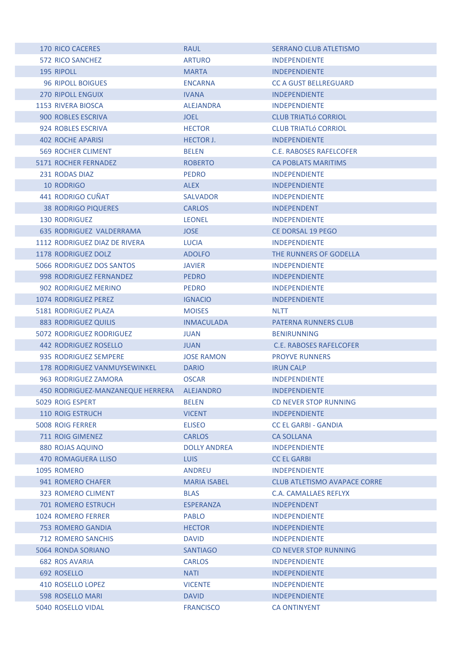|  | 170 RICO CACERES                 | RAUL                | SERRANO CLUB ATLETISMO         |
|--|----------------------------------|---------------------|--------------------------------|
|  | 572 RICO SANCHEZ                 | <b>ARTURO</b>       | <b>INDEPENDIENTE</b>           |
|  | 195 RIPOLL                       | <b>MARTA</b>        | <b>INDEPENDIENTE</b>           |
|  | <b>96 RIPOLL BOIGUES</b>         | <b>ENCARNA</b>      | <b>CC A GUST BELLREGUARD</b>   |
|  | 270 RIPOLL ENGUIX                | <b>IVANA</b>        | <b>INDEPENDIENTE</b>           |
|  | 1153 RIVERA BIOSCA               | <b>ALEJANDRA</b>    | <b>INDEPENDIENTE</b>           |
|  | <b>900 ROBLES ESCRIVA</b>        | <b>JOEL</b>         | <b>CLUB TRIATLÓ CORRIOL</b>    |
|  | 924 ROBLES ESCRIVA               | <b>HECTOR</b>       | <b>CLUB TRIATLÓ CORRIOL</b>    |
|  | <b>402 ROCHE APARISI</b>         | <b>HECTOR J.</b>    | <b>INDEPENDIENTE</b>           |
|  | <b>569 ROCHER CLIMENT</b>        | <b>BELEN</b>        | <b>C.E. RABOSES RAFELCOFER</b> |
|  | 5171 ROCHER FERNADEZ             | <b>ROBERTO</b>      | <b>CA POBLATS MARITIMS</b>     |
|  | 231 RODAS DIAZ                   | <b>PEDRO</b>        | <b>INDEPENDIENTE</b>           |
|  | <b>10 RODRIGO</b>                | ALEX                | <b>INDEPENDIENTE</b>           |
|  | 441 RODRIGO CUÑAT                | <b>SALVADOR</b>     | <b>INDEPENDIENTE</b>           |
|  | <b>38 RODRIGO PIQUERES</b>       | <b>CARLOS</b>       | <b>INDEPENDENT</b>             |
|  | <b>130 RODRIGUEZ</b>             | <b>LEONEL</b>       | <b>INDEPENDIENTE</b>           |
|  | <b>635 RODRIGUEZ VALDERRAMA</b>  | <b>JOSE</b>         | CE DORSAL 19 PEGO              |
|  | 1112 RODRIGUEZ DIAZ DE RIVERA    | <b>LUCIA</b>        | <b>INDEPENDIENTE</b>           |
|  | 1178 RODRIGUEZ DOLZ              | <b>ADOLFO</b>       | THE RUNNERS OF GODELLA         |
|  | 5066 RODRIGUEZ DOS SANTOS        | <b>JAVIER</b>       | <b>INDEPENDIENTE</b>           |
|  | 998 RODRIGUEZ FERNANDEZ          | <b>PEDRO</b>        | <b>INDEPENDIENTE</b>           |
|  | 902 RODRIGUEZ MERINO             | <b>PEDRO</b>        | <b>INDEPENDIENTE</b>           |
|  | 1074 RODRIGUEZ PEREZ             | <b>IGNACIO</b>      | <b>INDEPENDIENTE</b>           |
|  | 5181 RODRIGUEZ PLAZA             | <b>MOISES</b>       | NLTT                           |
|  | <b>883 RODRIGUEZ QUILIS</b>      | <b>INMACULADA</b>   | <b>PATERNA RUNNERS CLUB</b>    |
|  | 5072 RODRIGUEZ RODRIGUEZ         | <b>JUAN</b>         | <b>BENIRUNNING</b>             |
|  | <b>442 RODRIGUEZ ROSELLO</b>     | <b>JUAN</b>         | <b>C.E. RABOSES RAFELCOFER</b> |
|  | 935 RODRIGUEZ SEMPERE            | <b>JOSE RAMON</b>   | <b>PROYVE RUNNERS</b>          |
|  | 178 RODRIGUEZ VANMUYSEWINKEL     | <b>DARIO</b>        | <b>IRUN CALP</b>               |
|  | 963 RODRIGUEZ ZAMORA             | <b>OSCAR</b>        | <b>INDEPENDIENTE</b>           |
|  | 450 RODRIGUEZ-MANZANEQUE HERRERA | <b>ALEJANDRO</b>    | <b>INDEPENDIENTE</b>           |
|  | 5029 ROIG ESPERT                 | <b>BELEN</b>        | CD NEVER STOP RUNNING          |
|  | 110 ROIG ESTRUCH                 | <b>VICENT</b>       | <b>INDEPENDIENTE</b>           |
|  | 5008 ROIG FERRER                 | <b>ELISEO</b>       | <b>CC EL GARBI - GANDIA</b>    |
|  | 711 ROIG GIMENEZ                 | <b>CARLOS</b>       | CA SOLLANA                     |
|  | 880 ROJAS AQUINO                 | <b>DOLLY ANDREA</b> | <b>INDEPENDIENTE</b>           |
|  | 470 ROMAGUERA LLISO              | <b>LUIS</b>         | <b>CC EL GARBI</b>             |
|  | 1095 ROMERO                      | ANDREU              | <b>INDEPENDIENTE</b>           |
|  | 941 ROMERO CHAFER                | <b>MARIA ISABEL</b> | CLUB ATLETISMO AVAPACE CORRE   |
|  | <b>323 ROMERO CLIMENT</b>        | <b>BLAS</b>         | <b>C.A. CAMALLAES REFLYX</b>   |
|  | <b>701 ROMERO ESTRUCH</b>        | <b>ESPERANZA</b>    | <b>INDEPENDENT</b>             |
|  | 1024 ROMERO FERRER               | <b>PABLO</b>        | <b>INDEPENDIENTE</b>           |
|  | 753 ROMERO GANDIA                | <b>HECTOR</b>       | <b>INDEPENDIENTE</b>           |
|  | <b>712 ROMERO SANCHIS</b>        | <b>DAVID</b>        | <b>INDEPENDIENTE</b>           |
|  | 5064 RONDA SORIANO               | <b>SANTIAGO</b>     | CD NEVER STOP RUNNING          |
|  | <b>682 ROS AVARIA</b>            | <b>CARLOS</b>       | <b>INDEPENDIENTE</b>           |
|  | 692 ROSELLO                      | <b>NATI</b>         | <b>INDEPENDIENTE</b>           |
|  | 410 ROSELLO LOPEZ                | <b>VICENTE</b>      | <b>INDEPENDIENTE</b>           |
|  | 598 ROSELLO MARI                 | <b>DAVID</b>        | <b>INDEPENDIENTE</b>           |
|  | 5040 ROSELLO VIDAL               | <b>FRANCISCO</b>    | CA ONTINYENT                   |
|  |                                  |                     |                                |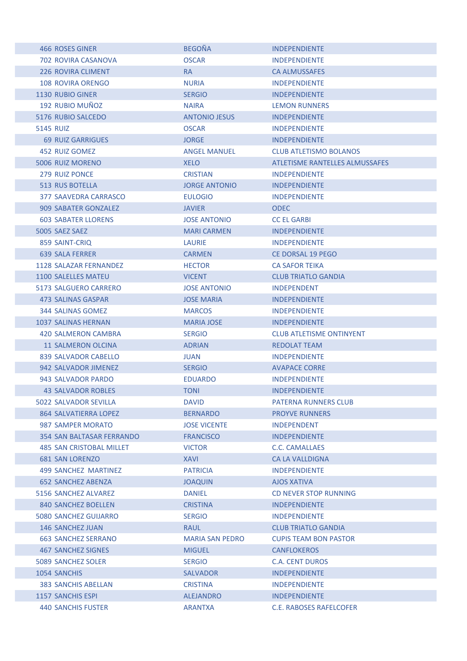|                  | <b>466 ROSES GINER</b>           | <b>BEGOÑA</b>        | <b>INDEPENDIENTE</b>            |
|------------------|----------------------------------|----------------------|---------------------------------|
|                  | 702 ROVIRA CASANOVA              | <b>OSCAR</b>         | <b>INDEPENDIENTE</b>            |
|                  | 226 ROVIRA CLIMENT               | <b>RA</b>            | <b>CA ALMUSSAFES</b>            |
|                  | <b>108 ROVIRA ORENGO</b>         | <b>NURIA</b>         | <b>INDEPENDIENTE</b>            |
|                  | 1130 RUBIO GINER                 | <b>SERGIO</b>        | <b>INDEPENDIENTE</b>            |
|                  | 192 RUBIO MUÑOZ                  | NAIRA                | <b>LEMON RUNNERS</b>            |
|                  | 5176 RUBIO SALCEDO               | <b>ANTONIO JESUS</b> | <b>INDEPENDIENTE</b>            |
| <b>5145 RUIZ</b> |                                  | <b>OSCAR</b>         | <b>INDEPENDIENTE</b>            |
|                  | <b>69 RUIZ GARRIGUES</b>         | <b>JORGE</b>         | <b>INDEPENDIENTE</b>            |
|                  | 452 RUIZ GOMEZ                   | <b>ANGEL MANUEL</b>  | <b>CLUB ATLETISMO BOLANOS</b>   |
|                  | 5006 RUIZ MORENO                 | <b>XELO</b>          | ATLETISME RANTELLES ALMUSSAFES  |
|                  | 279 RUIZ PONCE                   | <b>CRISTIAN</b>      | <b>INDEPENDIENTE</b>            |
|                  | <b>513 RUS BOTELLA</b>           | <b>JORGE ANTONIO</b> | <b>INDEPENDIENTE</b>            |
|                  | <b>377 SAAVEDRA CARRASCO</b>     | <b>EULOGIO</b>       | <b>INDEPENDIENTE</b>            |
|                  | 909 SABATER GONZALEZ             | <b>JAVIER</b>        | <b>ODEC</b>                     |
|                  | <b>603 SABATER LLORENS</b>       | <b>JOSE ANTONIO</b>  | <b>CC EL GARBI</b>              |
|                  | 5005 SAEZ SAEZ                   | <b>MARI CARMEN</b>   | <b>INDEPENDIENTE</b>            |
|                  | 859 SAINT-CRIQ                   | <b>LAURIE</b>        | <b>INDEPENDIENTE</b>            |
|                  | <b>639 SALA FERRER</b>           | <b>CARMEN</b>        | CE DORSAL 19 PEGO               |
|                  | 1128 SALAZAR FERNANDEZ           | <b>HECTOR</b>        | <b>CA SAFOR TEIKA</b>           |
|                  | 1100 SALELLES MATEU              | <b>VICENT</b>        | <b>CLUB TRIATLO GANDIA</b>      |
|                  | 5173 SALGUERO CARRERO            | <b>JOSE ANTONIO</b>  | <b>INDEPENDENT</b>              |
|                  | <b>473 SALINAS GASPAR</b>        | <b>JOSE MARIA</b>    | <b>INDEPENDIENTE</b>            |
|                  | 344 SALINAS GOMEZ                | <b>MARCOS</b>        | <b>INDEPENDIENTE</b>            |
|                  | 1037 SALINAS HERNAN              | MARIA JOSE           | <b>INDEPENDIENTE</b>            |
|                  | 420 SALMERON CAMBRA              | <b>SERGIO</b>        | <b>CLUB ATLETISME ONTINYENT</b> |
|                  | <b>11 SALMERON OLCINA</b>        | <b>ADRIAN</b>        | <b>REDOLAT TEAM</b>             |
|                  | 839 SALVADOR CABELLO             | <b>JUAN</b>          | <b>INDEPENDIENTE</b>            |
|                  | 942 SALVADOR JIMENEZ             | <b>SERGIO</b>        | <b>AVAPACE CORRE</b>            |
|                  | 943 SALVADOR PARDO               | <b>EDUARDO</b>       | <b>INDEPENDIENTE</b>            |
|                  | <b>43 SALVADOR ROBLES</b>        | <b>TONI</b>          | <b>INDEPENDIENTE</b>            |
|                  | 5022 SALVADOR SEVILLA            | DAVID                | PATERNA RUNNERS CLUB            |
|                  | 864 SALVATIERRA LOPEZ            | <b>BERNARDO</b>      | <b>PROYVE RUNNERS</b>           |
|                  | 987 SAMPER MORATO                | <b>JOSE VICENTE</b>  | <b>INDEPENDENT</b>              |
|                  | <b>354 SAN BALTASAR FERRANDO</b> | <b>FRANCISCO</b>     | <b>INDEPENDIENTE</b>            |
|                  | 485 SAN CRISTOBAL MILLET         | <b>VICTOR</b>        | C.C. CAMALLAES                  |
|                  | 681 SAN LORENZO                  | <b>XAVI</b>          | <b>CA LA VALLDIGNA</b>          |
|                  | 499 SANCHEZ MARTINEZ             | <b>PATRICIA</b>      | <b>INDEPENDIENTE</b>            |
|                  | <b>652 SANCHEZ ABENZA</b>        | <b>JOAQUIN</b>       | AJOS XATIVA                     |
|                  | 5156 SANCHEZ ALVAREZ             | DANIEL               | CD NEVER STOP RUNNING           |
|                  | 840 SANCHEZ BOELLEN              | <b>CRISTINA</b>      | <b>INDEPENDIENTE</b>            |
|                  | 5080 SANCHEZ GUIJARRO            | <b>SERGIO</b>        | <b>INDEPENDIENTE</b>            |
|                  | 146 SANCHEZ JUAN                 | RAUL                 | <b>CLUB TRIATLO GANDIA</b>      |
|                  | 663 SANCHEZ SERRANO              | MARIA SAN PEDRO      | <b>CUPIS TEAM BON PASTOR</b>    |
|                  | <b>467 SANCHEZ SIGNES</b>        | <b>MIGUEL</b>        | <b>CANFLOKEROS</b>              |
|                  | 5089 SANCHEZ SOLER               | <b>SERGIO</b>        | <b>C.A. CENT DUROS</b>          |
|                  | 1054 SANCHIS                     | SALVADOR             | <b>INDEPENDIENTE</b>            |
|                  | 383 SANCHIS ABELLAN              | <b>CRISTINA</b>      | <b>INDEPENDIENTE</b>            |
|                  | 1157 SANCHIS ESPI                | <b>ALEJANDRO</b>     | <b>INDEPENDIENTE</b>            |
|                  | 440 SANCHIS FUSTER               | ARANTXA              | C.E. RABOSES RAFELCOFER         |
|                  |                                  |                      |                                 |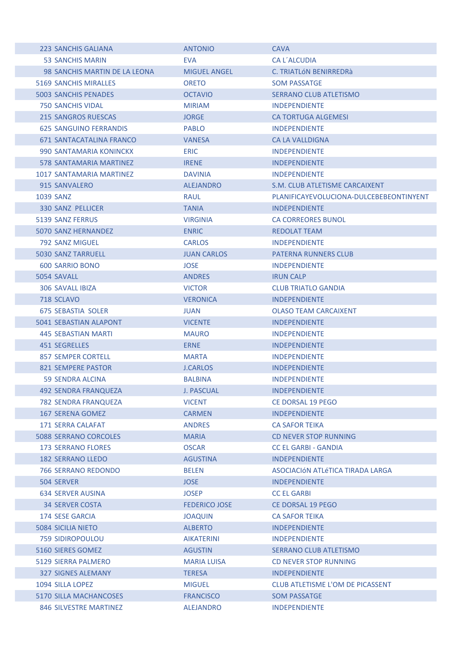| 223 SANCHIS GALIANA           | <b>ANTONIO</b>       | <b>CAVA</b>                             |
|-------------------------------|----------------------|-----------------------------------------|
| 53 SANCHIS MARIN              | EVA.                 | CA L'ALCUDIA                            |
| 98 SANCHIS MARTIN DE LA LEONA | <b>MIGUEL ANGEL</b>  | C. TRIATLÓN BENIRREDRÀ                  |
| 5169 SANCHIS MIRALLES         | <b>ORETO</b>         | <b>SOM PASSATGE</b>                     |
| 5003 SANCHIS PENADES          | <b>OCTAVIO</b>       | SERRANO CLUB ATLETISMO                  |
| 750 SANCHIS VIDAL             | <b>MIRIAM</b>        | <b>INDEPENDIENTE</b>                    |
| 215 SANGROS RUESCAS           | <b>JORGE</b>         | CA TORTUGA ALGEMESI                     |
| <b>625 SANGUINO FERRANDIS</b> | <b>PABLO</b>         | <b>INDEPENDIENTE</b>                    |
| 671 SANTACATALINA FRANCO      | <b>VANESA</b>        | CA LA VALLDIGNA                         |
| 990 SANTAMARIA KONINCKX       | <b>ERIC</b>          | <b>INDEPENDIENTE</b>                    |
| 578 SANTAMARIA MARTINEZ       | <b>IRENE</b>         | <b>INDEPENDIENTE</b>                    |
| 1017 SANTAMARIA MARTINEZ      | <b>DAVINIA</b>       | <b>INDEPENDIENTE</b>                    |
| 915 SANVALERO                 | <b>ALEJANDRO</b>     | S.M. CLUB ATLETISME CARCAIXENT          |
| 1039 SANZ                     | RAUL                 | PLANIFICAYEVOLUCIONA-DULCEBEBEONTINYENT |
| 330 SANZ PELLICER             | <b>TANIA</b>         | <b>INDEPENDIENTE</b>                    |
| 5139 SANZ FERRUS              | <b>VIRGINIA</b>      | <b>CA CORREORES BUNOL</b>               |
| 5070 SANZ HERNANDEZ           | <b>ENRIC</b>         | REDOLAT TEAM                            |
| 792 SANZ MIGUEL               | <b>CARLOS</b>        | <b>INDEPENDIENTE</b>                    |
| 5030 SANZ TARRUELL            | <b>JUAN CARLOS</b>   | PATERNA RUNNERS CLUB                    |
| <b>600 SARRIO BONO</b>        | <b>JOSE</b>          | <b>INDEPENDIENTE</b>                    |
| 5054 SAVALL                   | <b>ANDRES</b>        | <b>IRUN CALP</b>                        |
| 306 SAVALL IBIZA              | <b>VICTOR</b>        | <b>CLUB TRIATLO GANDIA</b>              |
| 718 SCLAVO                    | <b>VERONICA</b>      | <b>INDEPENDIENTE</b>                    |
| 675 SEBASTIA SOLER            | JUAN                 | OLASO TEAM CARCAIXENT                   |
| 5041 SEBASTIAN ALAPONT        | <b>VICENTE</b>       | <b>INDEPENDIENTE</b>                    |
| 445 SEBASTIAN MARTI           | <b>MAURO</b>         | <b>INDEPENDIENTE</b>                    |
| 451 SEGRELLES                 | ERNE                 | <b>INDEPENDIENTE</b>                    |
| 857 SEMPER CORTELL            | <b>MARTA</b>         | <b>INDEPENDIENTE</b>                    |
| 821 SEMPERE PASTOR            | <b>J.CARLOS</b>      | <b>INDEPENDIENTE</b>                    |
| 59 SENDRA ALCINA              | <b>BALBINA</b>       | <b>INDEPENDIENTE</b>                    |
| <b>492 SENDRA FRANQUEZA</b>   | <b>J. PASCUAL</b>    | <b>INDEPENDIENTE</b>                    |
| <b>782 SENDRA FRANQUEZA</b>   | <b>VICENT</b>        | <b>CE DORSAL 19 PEGO</b>                |
| <b>167 SERENA GOMEZ</b>       | <b>CARMEN</b>        | <b>INDEPENDIENTE</b>                    |
| 171 SERRA CALAFAT             | <b>ANDRES</b>        | <b>CA SAFOR TEIKA</b>                   |
| <b>5088 SERRANO CORCOLES</b>  | <b>MARIA</b>         | CD NEVER STOP RUNNING                   |
| 173 SERRANO FLORES            | <b>OSCAR</b>         | <b>CC EL GARBI - GANDIA</b>             |
| 182 SERRANO LLEDO             | <b>AGUSTINA</b>      | <b>INDEPENDIENTE</b>                    |
| 766 SERRANO REDONDO           | <b>BELEN</b>         | ASOCIACIÓN ATLÉTICA TIRADA LARGA        |
| 504 SERVER                    | <b>JOSE</b>          | <b>INDEPENDIENTE</b>                    |
| 634 SERVER AUSINA             | <b>JOSEP</b>         | <b>CC EL GARBI</b>                      |
| <b>34 SERVER COSTA</b>        | <b>FEDERICO JOSE</b> | CE DORSAL 19 PEGO                       |
| 174 SESE GARCIA               | <b>JOAQUIN</b>       | <b>CA SAFOR TEIKA</b>                   |
| 5084 SICILIA NIETO            | <b>ALBERTO</b>       | <b>INDEPENDIENTE</b>                    |
| <b>759 SIDIROPOULOU</b>       | AIKATERINI           | <b>INDEPENDIENTE</b>                    |
| 5160 SIERES GOMEZ             | <b>AGUSTIN</b>       | SERRANO CLUB ATLETISMO                  |
| 5129 SIERRA PALMERO           | <b>MARIA LUISA</b>   | CD NEVER STOP RUNNING                   |
| 327 SIGNES ALEMANY            | <b>TERESA</b>        | <b>INDEPENDIENTE</b>                    |
| 1094 SILLA LOPEZ              | <b>MIGUEL</b>        | CLUB ATLETISME L'OM DE PICASSENT        |
| <b>5170 SILLA MACHANCOSES</b> | <b>FRANCISCO</b>     | <b>SOM PASSATGE</b>                     |
| 846 SILVESTRE MARTINEZ        | <b>ALEJANDRO</b>     | <b>INDEPENDIENTE</b>                    |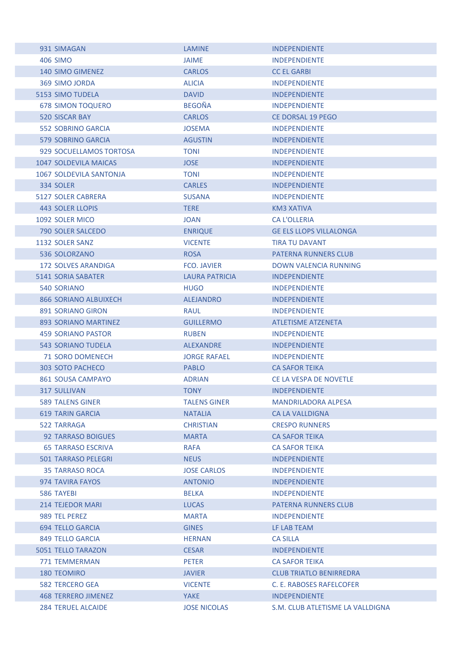| 931 SIMAGAN                | LAMINE              | <b>INDEPENDIENTE</b>             |
|----------------------------|---------------------|----------------------------------|
| <b>406 SIMO</b>            | <b>JAIME</b>        | <b>INDEPENDIENTE</b>             |
| 140 SIMO GIMENEZ           | <b>CARLOS</b>       | <b>CC EL GARBI</b>               |
| 369 SIMO JORDA             | <b>ALICIA</b>       | <b>INDEPENDIENTE</b>             |
| 5153 SIMO TUDELA           | <b>DAVID</b>        | <b>INDEPENDIENTE</b>             |
| <b>678 SIMON TOQUERO</b>   | <b>BEGOÑA</b>       | <b>INDEPENDIENTE</b>             |
| 520 SISCAR BAY             | <b>CARLOS</b>       | <b>CE DORSAL 19 PEGO</b>         |
| <b>552 SOBRINO GARCIA</b>  | <b>JOSEMA</b>       | <b>INDEPENDIENTE</b>             |
| 579 SOBRINO GARCIA         | <b>AGUSTIN</b>      | <b>INDEPENDIENTE</b>             |
| 929 SOCUELLAMOS TORTOSA    | <b>TONI</b>         | <b>INDEPENDIENTE</b>             |
| 1047 SOLDEVILA MAICAS      | <b>JOSE</b>         | <b>INDEPENDIENTE</b>             |
| 1067 SOLDEVILA SANTONJA    | <b>TONI</b>         | <b>INDEPENDIENTE</b>             |
| 334 SOLER                  | <b>CARLES</b>       | <b>INDEPENDIENTE</b>             |
| <b>5127 SOLER CABRERA</b>  | <b>SUSANA</b>       | <b>INDEPENDIENTE</b>             |
| 443 SOLER LLOPIS           | <b>TERE</b>         | KM3 XATIVA                       |
| 1092 SOLER MICO            | <b>JOAN</b>         | <b>CAL'OLLERIA</b>               |
| 790 SOLER SALCEDO          | <b>ENRIQUE</b>      | <b>GE ELS LLOPS VILLALONGA</b>   |
| 1132 SOLER SANZ            | <b>VICENTE</b>      | TIRA TU DAVANT                   |
| 536 SOLORZANO              | <b>ROSA</b>         | <b>PATERNA RUNNERS CLUB</b>      |
| <b>172 SOLVES ARANDIGA</b> | FCO. JAVIER         | DOWN VALENCIA RUNNING            |
| 5141 SORIA SABATER         | LAURA PATRICIA      | <b>INDEPENDIENTE</b>             |
| 540 SORIANO                | <b>HUGO</b>         | <b>INDEPENDIENTE</b>             |
| 866 SORIANO ALBUIXECH      | <b>ALEJANDRO</b>    | <b>INDEPENDIENTE</b>             |
| 891 SORIANO GIRON          | RAUL                | <b>INDEPENDIENTE</b>             |
| 893 SORIANO MARTINEZ       | <b>GUILLERMO</b>    | ATLETISME ATZENETA               |
| 459 SORIANO PASTOR         | <b>RUBEN</b>        | <b>INDEPENDIENTE</b>             |
| <b>543 SORIANO TUDELA</b>  | <b>ALEXANDRE</b>    | <b>INDEPENDIENTE</b>             |
| 71 SORO DOMENECH           | <b>JORGE RAFAEL</b> | <b>INDEPENDIENTE</b>             |
| 303 SOTO PACHECO           | <b>PABLO</b>        | <b>CA SAFOR TEIKA</b>            |
| 861 SOUSA CAMPAYO          | <b>ADRIAN</b>       | CE LA VESPA DE NOVETLE           |
| <b>317 SULLIVAN</b>        | <b>TONY</b>         | <b>INDEPENDIENTE</b>             |
| <b>589 TALENS GINER</b>    | <b>TALENS GINER</b> | <b>MANDRILADORA ALPESA</b>       |
| 619 TARIN GARCIA           | <b>NATALIA</b>      | CA LA VALLDIGNA                  |
| 522 TARRAGA                | <b>CHRISTIAN</b>    | <b>CRESPO RUNNERS</b>            |
| <b>92 TARRASO BOIGUES</b>  | <b>MARTA</b>        | <b>CA SAFOR TEIKA</b>            |
| <b>65 TARRASO ESCRIVA</b>  | <b>RAFA</b>         | <b>CA SAFOR TEIKA</b>            |
| <b>501 TARRASO PELEGRI</b> | <b>NEUS</b>         | <b>INDEPENDIENTE</b>             |
| <b>35 TARRASO ROCA</b>     | <b>JOSE CARLOS</b>  | <b>INDEPENDIENTE</b>             |
| 974 TAVIRA FAYOS           | <b>ANTONIO</b>      | <b>INDEPENDIENTE</b>             |
| <b>586 TAYEBI</b>          | <b>BELKA</b>        | <b>INDEPENDIENTE</b>             |
| <b>214 TEJEDOR MARI</b>    | <b>LUCAS</b>        | PATERNA RUNNERS CLUB             |
| 989 TEL PEREZ              | <b>MARTA</b>        | <b>INDEPENDIENTE</b>             |
| 694 TELLO GARCIA           | <b>GINES</b>        | LF LAB TEAM                      |
| <b>849 TELLO GARCIA</b>    | HERNAN              | <b>CA SILLA</b>                  |
| 5051 TELLO TARAZON         | <b>CESAR</b>        | <b>INDEPENDIENTE</b>             |
| 771 TEMMERMAN              | <b>PETER</b>        | <b>CA SAFOR TEIKA</b>            |
| 180 TEOMIRO                | <b>JAVIER</b>       | <b>CLUB TRIATLO BENIRREDRA</b>   |
| <b>582 TERCERO GEA</b>     | <b>VICENTE</b>      | C. E. RABOSES RAFELCOFER         |
| <b>468 TERRERO JIMENEZ</b> | <b>YAKE</b>         | <b>INDEPENDIENTE</b>             |
|                            |                     |                                  |
| 284 TERUEL ALCAIDE         | <b>JOSE NICOLAS</b> | S.M. CLUB ATLETISME LA VALLDIGNA |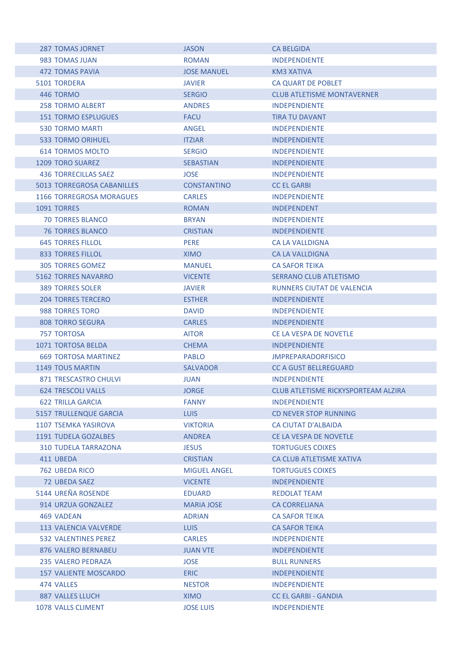| <b>287 TOMAS JORNET</b>       | <b>JASON</b>        | <b>CA BELGIDA</b>                   |
|-------------------------------|---------------------|-------------------------------------|
| 983 TOMAS JUAN                | <b>ROMAN</b>        | <b>INDEPENDIENTE</b>                |
| 472 TOMAS PAVIA               | <b>JOSE MANUEL</b>  | KM3 XATIVA                          |
| 5101 TORDERA                  | <b>JAVIER</b>       | CA QUART DE POBLET                  |
| 446 TORMO                     | <b>SERGIO</b>       | <b>CLUB ATLETISME MONTAVERNER</b>   |
| <b>258 TORMO ALBERT</b>       | <b>ANDRES</b>       | <b>INDEPENDIENTE</b>                |
| <b>151 TORMO ESPLUGUES</b>    | <b>FACU</b>         | TIRA TU DAVANT                      |
| <b>530 TORMO MARTI</b>        | ANGEL               | <b>INDEPENDIENTE</b>                |
| 533 TORMO ORIHUEL             | <b>ITZIAR</b>       | <b>INDEPENDIENTE</b>                |
| <b>614 TORMOS MOLTO</b>       | <b>SERGIO</b>       | <b>INDEPENDIENTE</b>                |
| <b>1209 TORO SUAREZ</b>       | <b>SEBASTIAN</b>    | <b>INDEPENDIENTE</b>                |
| <b>436 TORRECILLAS SAEZ</b>   | JOSE                | <b>INDEPENDIENTE</b>                |
| 5013 TORREGROSA CABANILLES    | <b>CONSTANTINO</b>  | <b>CC EL GARBI</b>                  |
| 1166 TORREGROSA MORAGUES      | <b>CARLES</b>       | <b>INDEPENDIENTE</b>                |
| 1091 TORRES                   | <b>ROMAN</b>        | <b>INDEPENDENT</b>                  |
| <b>70 TORRES BLANCO</b>       | <b>BRYAN</b>        | <b>INDEPENDIENTE</b>                |
| <b>76 TORRES BLANCO</b>       | <b>CRISTIAN</b>     | <b>INDEPENDIENTE</b>                |
| <b>645 TORRES FILLOL</b>      | <b>PERE</b>         | <b>CA LA VALLDIGNA</b>              |
| 833 TORRES FILLOL             | XIMO                | CA LA VALLDIGNA                     |
| <b>305 TORRES GOMEZ</b>       | <b>MANUEL</b>       | <b>CA SAFOR TEIKA</b>               |
| <b>5162 TORRES NAVARRO</b>    | <b>VICENTE</b>      | <b>SERRANO CLUB ATLETISMO</b>       |
| <b>389 TORRES SOLER</b>       | <b>JAVIER</b>       | RUNNERS CIUTAT DE VALENCIA          |
| <b>204 TORRES TERCERO</b>     | <b>ESTHER</b>       | <b>INDEPENDIENTE</b>                |
| 988 TORRES TORO               | <b>DAVID</b>        | <b>INDEPENDIENTE</b>                |
| 808 TORRO SEGURA              | <b>CARLES</b>       | <b>INDEPENDIENTE</b>                |
| 757 TORTOSA                   | AITOR               | CE LA VESPA DE NOVETLE              |
| 1071 TORTOSA BELDA            | <b>CHEMA</b>        | <b>INDEPENDIENTE</b>                |
| <b>669 TORTOSA MARTINEZ</b>   | <b>PABLO</b>        | <b>JMPREPARADORFISICO</b>           |
| 1149 TOUS MARTIN              | <b>SALVADOR</b>     | <b>CC A GUST BELLREGUARD</b>        |
| 871 TRESCASTRO CHULVI         | <b>JUAN</b>         | <b>INDEPENDIENTE</b>                |
| 624 TRESCOLI VALLS            | <b>JORGE</b>        | CLUB ATLETISME RICKYSPORTEAM ALZIRA |
| <b>622 TRILLA GARCIA</b>      | <b>FANNY</b>        | <b>INDEPENDIENTE</b>                |
| <b>5157 TRULLENQUE GARCIA</b> | <b>LUIS</b>         | CD NEVER STOP RUNNING               |
| 1107 TSEMKA YASIROVA          | <b>VIKTORIA</b>     | CA CIUTAT D'ALBAIDA                 |
| 1191 TUDELA GOZALBES          | ANDREA              | CE LA VESPA DE NOVETLE              |
| <b>310 TUDELA TARRAZONA</b>   | <b>JESUS</b>        | <b>TORTUGUES COIXES</b>             |
| 411 UBEDA                     | <b>CRISTIAN</b>     | CA CLUB ATLETISME XATIVA            |
| 762 UBEDA RICO                | <b>MIGUEL ANGEL</b> | <b>TORTUGUES COIXES</b>             |
| 72 UBEDA SAEZ                 | <b>VICENTE</b>      | <b>INDEPENDIENTE</b>                |
| 5144 UREÑA ROSENDE            | <b>EDUARD</b>       | <b>REDOLAT TEAM</b>                 |
| 914 URZUA GONZALEZ            | <b>MARIA JOSE</b>   | <b>CA CORRELIANA</b>                |
| 469 VADEAN                    | <b>ADRIAN</b>       | <b>CA SAFOR TEIKA</b>               |
| <b>113 VALENCIA VALVERDE</b>  | LUIS                | <b>CA SAFOR TEIKA</b>               |
| <b>532 VALENTINES PEREZ</b>   | <b>CARLES</b>       | <b>INDEPENDIENTE</b>                |
| <b>876 VALERO BERNABEU</b>    | <b>JUAN VTE</b>     | <b>INDEPENDIENTE</b>                |
| 235 VALERO PEDRAZA            | <b>JOSE</b>         | <b>BULL RUNNERS</b>                 |
| <b>157 VALIENTE MOSCARDO</b>  | <b>ERIC</b>         | <b>INDEPENDIENTE</b>                |
| 474 VALLES                    | <b>NESTOR</b>       | <b>INDEPENDIENTE</b>                |
| <b>887 VALLES LLUCH</b>       | <b>XIMO</b>         | <b>CC EL GARBI - GANDIA</b>         |
| 1078 VALLS CLIMENT            | <b>JOSE LUIS</b>    | <b>INDEPENDIENTE</b>                |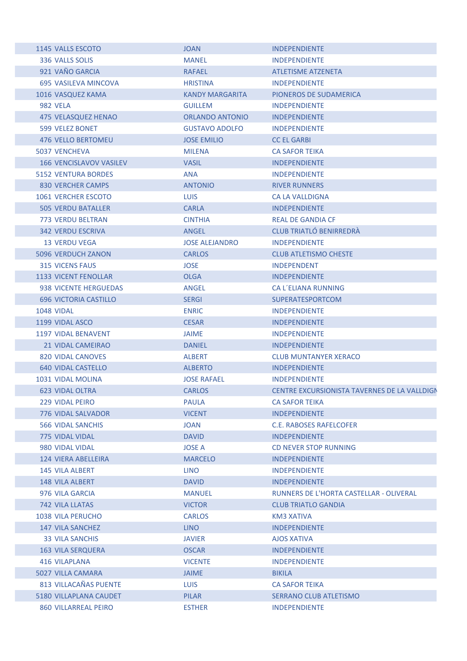| 1145 VALLS ESCOTO            | <b>JOAN</b>            | <b>INDEPENDIENTE</b>                           |
|------------------------------|------------------------|------------------------------------------------|
| 336 VALLS SOLIS              | <b>MANEL</b>           | <b>INDEPENDIENTE</b>                           |
| 921 VAÑO GARCIA              | <b>RAFAEL</b>          | ATLETISME ATZENETA                             |
| <b>695 VASILEVA MINCOVA</b>  | <b>HRISTINA</b>        | <b>INDEPENDIENTE</b>                           |
| 1016 VASQUEZ KAMA            | <b>KANDY MARGARITA</b> | PIONEROS DE SUDAMERICA                         |
| <b>982 VELA</b>              | <b>GUILLEM</b>         | <b>INDEPENDIENTE</b>                           |
| <b>475 VELASQUEZ HENAO</b>   | ORLANDO ANTONIO        | <b>INDEPENDIENTE</b>                           |
| 599 VELEZ BONET              | <b>GUSTAVO ADOLFO</b>  | <b>INDEPENDIENTE</b>                           |
| <b>476 VELLO BERTOMEU</b>    | <b>JOSE EMILIO</b>     | <b>CC EL GARBI</b>                             |
| 5037 VENCHEVA                | <b>MILENA</b>          | <b>CA SAFOR TEIKA</b>                          |
| 166 VENCISLAVOV VASILEV      | <b>VASIL</b>           | <b>INDEPENDIENTE</b>                           |
| 5152 VENTURA BORDES          | ANA                    | <b>INDEPENDIENTE</b>                           |
| <b>830 VERCHER CAMPS</b>     | <b>ANTONIO</b>         | <b>RIVER RUNNERS</b>                           |
| <b>1061 VERCHER ESCOTO</b>   | <b>LUIS</b>            | <b>CA LA VALLDIGNA</b>                         |
| 505 VERDU BATALLER           | <b>CARLA</b>           | <b>INDEPENDIENTE</b>                           |
| <b>773 VERDU BELTRAN</b>     | <b>CINTHIA</b>         | <b>REAL DE GANDIA CF</b>                       |
| <b>342 VERDU ESCRIVA</b>     | <b>ANGEL</b>           | <b>CLUB TRIATLÓ BENIRREDRÀ</b>                 |
| <b>13 VERDU VEGA</b>         | <b>JOSE ALEJANDRO</b>  | <b>INDEPENDIENTE</b>                           |
| <b>5096 VERDUCH ZANON</b>    | <b>CARLOS</b>          | <b>CLUB ATLETISMO CHESTE</b>                   |
| <b>315 VICENS FAUS</b>       | <b>JOSE</b>            | <b>INDEPENDENT</b>                             |
| 1133 VICENT FENOLLAR         | <b>OLGA</b>            | <b>INDEPENDIENTE</b>                           |
| 938 VICENTE HERGUEDAS        | ANGEL                  | CA L'ELIANA RUNNING                            |
| <b>696 VICTORIA CASTILLO</b> | <b>SERGI</b>           | SUPERATESPORTCOM                               |
| 1048 VIDAL                   | <b>ENRIC</b>           | <b>INDEPENDIENTE</b>                           |
| 1199 VIDAL ASCO              | <b>CESAR</b>           | <b>INDEPENDIENTE</b>                           |
| <b>1197 VIDAL BENAVENT</b>   | <b>JAIME</b>           | <b>INDEPENDIENTE</b>                           |
| 21 VIDAL CAMEIRAO            | <b>DANIEL</b>          | <b>INDEPENDIENTE</b>                           |
| 820 VIDAL CANOVES            | <b>ALBERT</b>          | <b>CLUB MUNTANYER XERACO</b>                   |
| <b>640 VIDAL CASTELLO</b>    | <b>ALBERTO</b>         | <b>INDEPENDIENTE</b>                           |
| 1031 VIDAL MOLINA            | <b>JOSE RAFAEL</b>     | <b>INDEPENDIENTE</b>                           |
| <b>623 VIDAL OLTRA</b>       | <b>CARLOS</b>          | CENTRE EXCURSIONISTA TAVERNES DE LA VALLDIGN   |
| <b>229 VIDAL PEIRO</b>       | <b>PAULA</b>           | <b>CA SAFOR TEIKA</b>                          |
| 776 VIDAL SALVADOR           | <b>VICENT</b>          | <b>INDEPENDIENTE</b>                           |
| <b>566 VIDAL SANCHIS</b>     | <b>JOAN</b>            | C.E. RABOSES RAFELCOFER                        |
| 775 VIDAL VIDAL              | <b>DAVID</b>           | <b>INDEPENDIENTE</b>                           |
| 980 VIDAL VIDAL              | <b>JOSE A</b>          | CD NEVER STOP RUNNING                          |
| <b>124 VIERA ABELLEIRA</b>   | <b>MARCELO</b>         | <b>INDEPENDIENTE</b>                           |
| <b>145 VILA ALBERT</b>       | <b>LINO</b>            | <b>INDEPENDIENTE</b>                           |
| <b>148 VILA ALBERT</b>       | <b>DAVID</b>           | <b>INDEPENDIENTE</b>                           |
| 976 VILA GARCIA              | <b>MANUEL</b>          | <b>RUNNERS DE L'HORTA CASTELLAR - OLIVERAL</b> |
| <b>742 VILA LLATAS</b>       | <b>VICTOR</b>          | <b>CLUB TRIATLO GANDIA</b>                     |
| <b>1038 VILA PERUCHO</b>     | <b>CARLOS</b>          | KM3 XATIVA                                     |
| 147 VILA SANCHEZ             | <b>LINO</b>            | <b>INDEPENDIENTE</b>                           |
| <b>33 VILA SANCHIS</b>       | <b>JAVIER</b>          | <b>AJOS XATIVA</b>                             |
| <b>163 VILA SERQUERA</b>     | <b>OSCAR</b>           | <b>INDEPENDIENTE</b>                           |
| 416 VILAPLANA                | <b>VICENTE</b>         | <b>INDEPENDIENTE</b>                           |
| 5027 VILLA CAMARA            | <b>JAIME</b>           | <b>BIKILA</b>                                  |
| 813 VILLACAÑAS PUENTE        | LUIS.                  | <b>CA SAFOR TEIKA</b>                          |
| 5180 VILLAPLANA CAUDET       | <b>PILAR</b>           | SERRANO CLUB ATLETISMO                         |
| 860 VILLARREAL PEIRO         | <b>ESTHER</b>          | <b>INDEPENDIENTE</b>                           |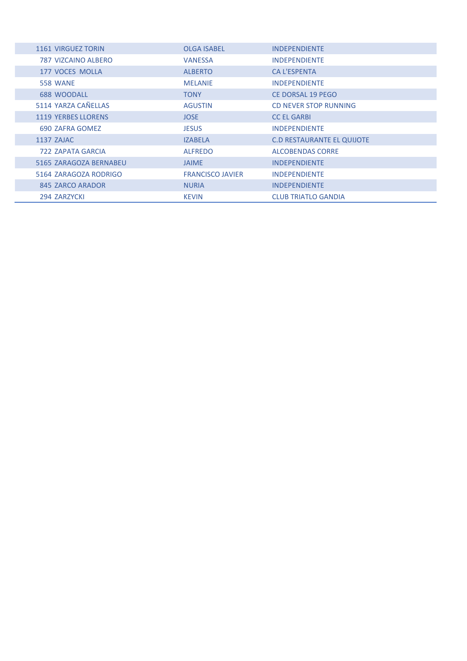| <b>1161 VIRGUEZ TORIN</b>  | <b>OLGA ISABEL</b>      | <b>INDEPENDIENTE</b>              |
|----------------------------|-------------------------|-----------------------------------|
| 787 VIZCAINO ALBERO        | <b>VANESSA</b>          | <b>INDEPENDIENTE</b>              |
| 177 VOCES MOLLA            | <b>ALBERTO</b>          | <b>CA L'ESPENTA</b>               |
| <b>558 WANE</b>            | <b>MELANIE</b>          | <b>INDEPENDIENTE</b>              |
| 688 WOODALL                | <b>TONY</b>             | <b>CE DORSAL 19 PEGO</b>          |
| 5114 YARZA CAÑELLAS        | <b>AGUSTIN</b>          | CD NEVER STOP RUNNING             |
| <b>1119 YERBES LLORENS</b> | <b>JOSE</b>             | <b>CC EL GARBI</b>                |
| 690 ZAFRA GOMEZ            | <b>JESUS</b>            | <b>INDEPENDIENTE</b>              |
| 1137 ZAJAC                 | <b>IZABELA</b>          | <b>C.D RESTAURANTE EL QUIJOTE</b> |
| <b>722 ZAPATA GARCIA</b>   | <b>ALFREDO</b>          | ALCOBENDAS CORRE                  |
| 5165 ZARAGOZA BERNABEU     | <b>JAIME</b>            | <b>INDEPENDIENTE</b>              |
| 5164 ZARAGOZA RODRIGO      | <b>FRANCISCO JAVIER</b> | <b>INDEPENDIENTE</b>              |
| 845 ZARCO ARADOR           | <b>NURIA</b>            | <b>INDEPENDIENTE</b>              |
| 294 ZARZYCKI               | <b>KEVIN</b>            | <b>CLUB TRIATLO GANDIA</b>        |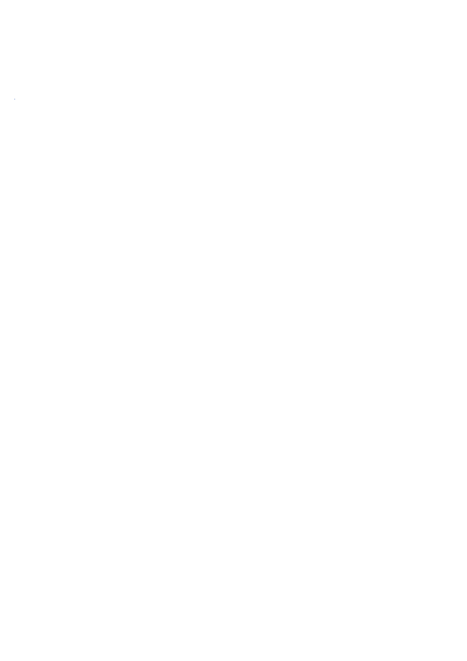$\mathcal{L}(\mathcal{A})$  and  $\mathcal{L}(\mathcal{A})$